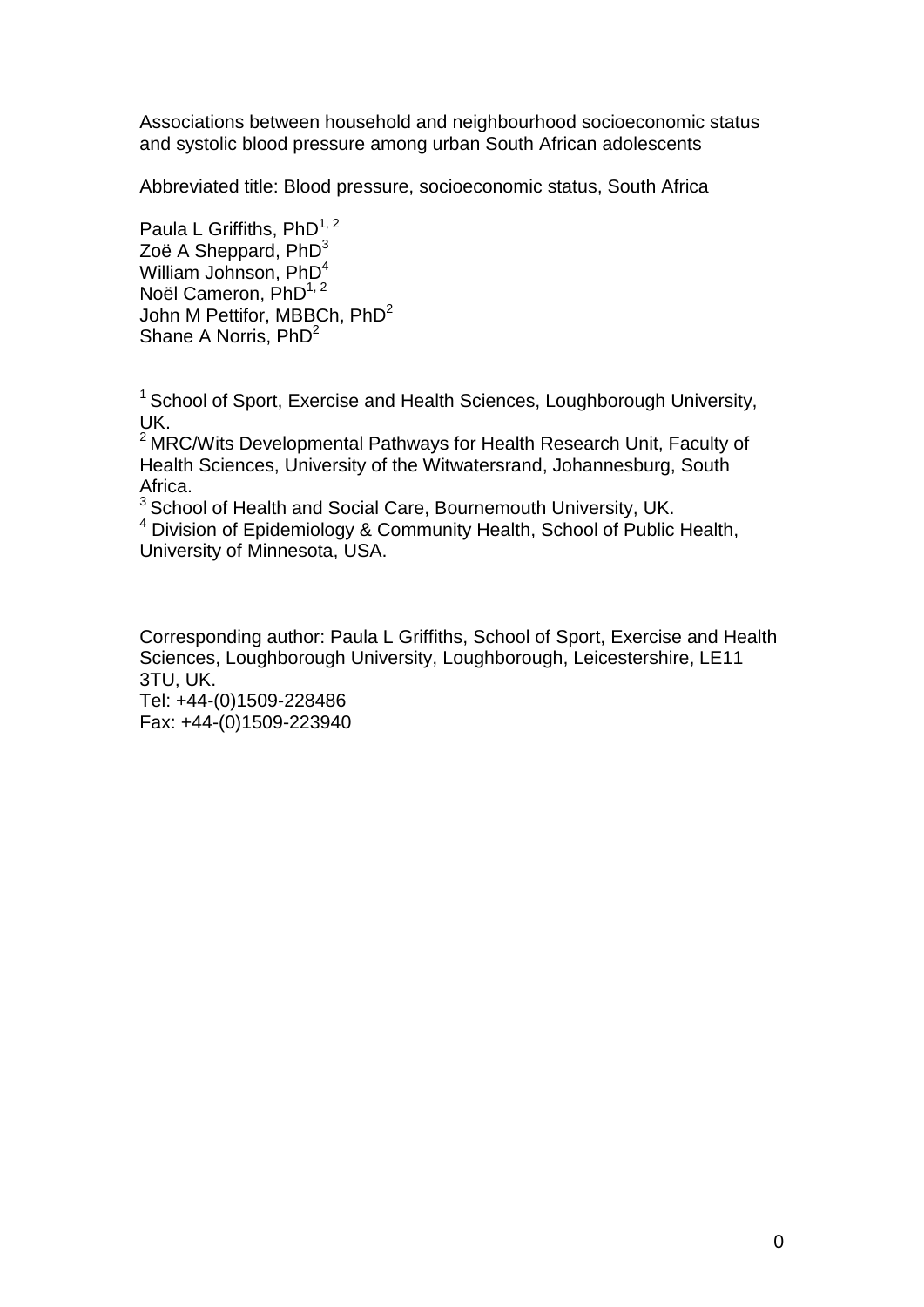Associations between household and neighbourhood socioeconomic status and systolic blood pressure among urban South African adolescents

Abbreviated title: Blood pressure, socioeconomic status, South Africa

Paula L Griffiths,  $PhD^{1, 2}$ Zoë A Sheppard,  $PhD<sup>3</sup>$ William Johnson, PhD<sup>4</sup> Noël Cameron,  $PhD^{1, 2}$ John M Pettifor, MBBCh,  $PhD<sup>2</sup>$ Shane A Norris, PhD<sup>2</sup>

<sup>1</sup> School of Sport, Exercise and Health Sciences, Loughborough University, UK.<br><sup>2</sup> MRC/Wits Developmental Pathways for Health Research Unit, Faculty of

Health Sciences, University of the Witwatersrand, Johannesburg, South Africa.<br><sup>3</sup> School of Health and Social Care, Bournemouth University, UK.

 $<sup>4</sup>$  Division of Epidemiology & Community Health, School of Public Health,</sup> University of Minnesota, USA.

Corresponding author: Paula L Griffiths, School of Sport, Exercise and Health Sciences, Loughborough University, Loughborough, Leicestershire, LE11 3TU, UK. Tel: +44-(0)1509-228486

Fax: +44-(0)1509-223940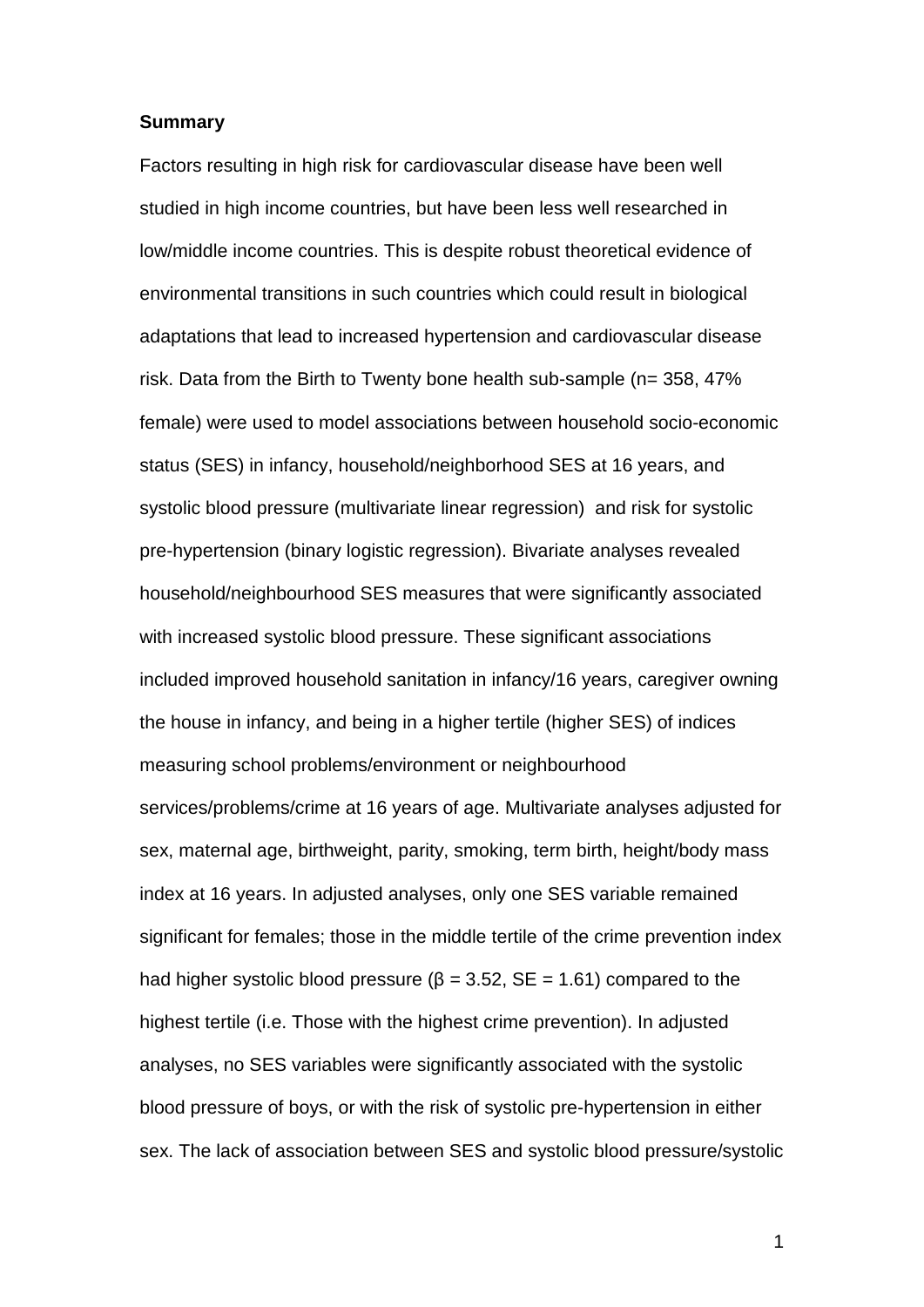#### **Summary**

Factors resulting in high risk for cardiovascular disease have been well studied in high income countries, but have been less well researched in low/middle income countries. This is despite robust theoretical evidence of environmental transitions in such countries which could result in biological adaptations that lead to increased hypertension and cardiovascular disease risk. Data from the Birth to Twenty bone health sub-sample (n= 358, 47% female) were used to model associations between household socio-economic status (SES) in infancy, household/neighborhood SES at 16 years, and systolic blood pressure (multivariate linear regression) and risk for systolic pre-hypertension (binary logistic regression). Bivariate analyses revealed household/neighbourhood SES measures that were significantly associated with increased systolic blood pressure. These significant associations included improved household sanitation in infancy/16 years, caregiver owning the house in infancy, and being in a higher tertile (higher SES) of indices measuring school problems/environment or neighbourhood services/problems/crime at 16 years of age. Multivariate analyses adjusted for sex, maternal age, birthweight, parity, smoking, term birth, height/body mass index at 16 years. In adjusted analyses, only one SES variable remained significant for females; those in the middle tertile of the crime prevention index had higher systolic blood pressure ( $\beta$  = 3.52, SE = 1.61) compared to the highest tertile (i.e. Those with the highest crime prevention). In adjusted analyses, no SES variables were significantly associated with the systolic blood pressure of boys, or with the risk of systolic pre-hypertension in either sex. The lack of association between SES and systolic blood pressure/systolic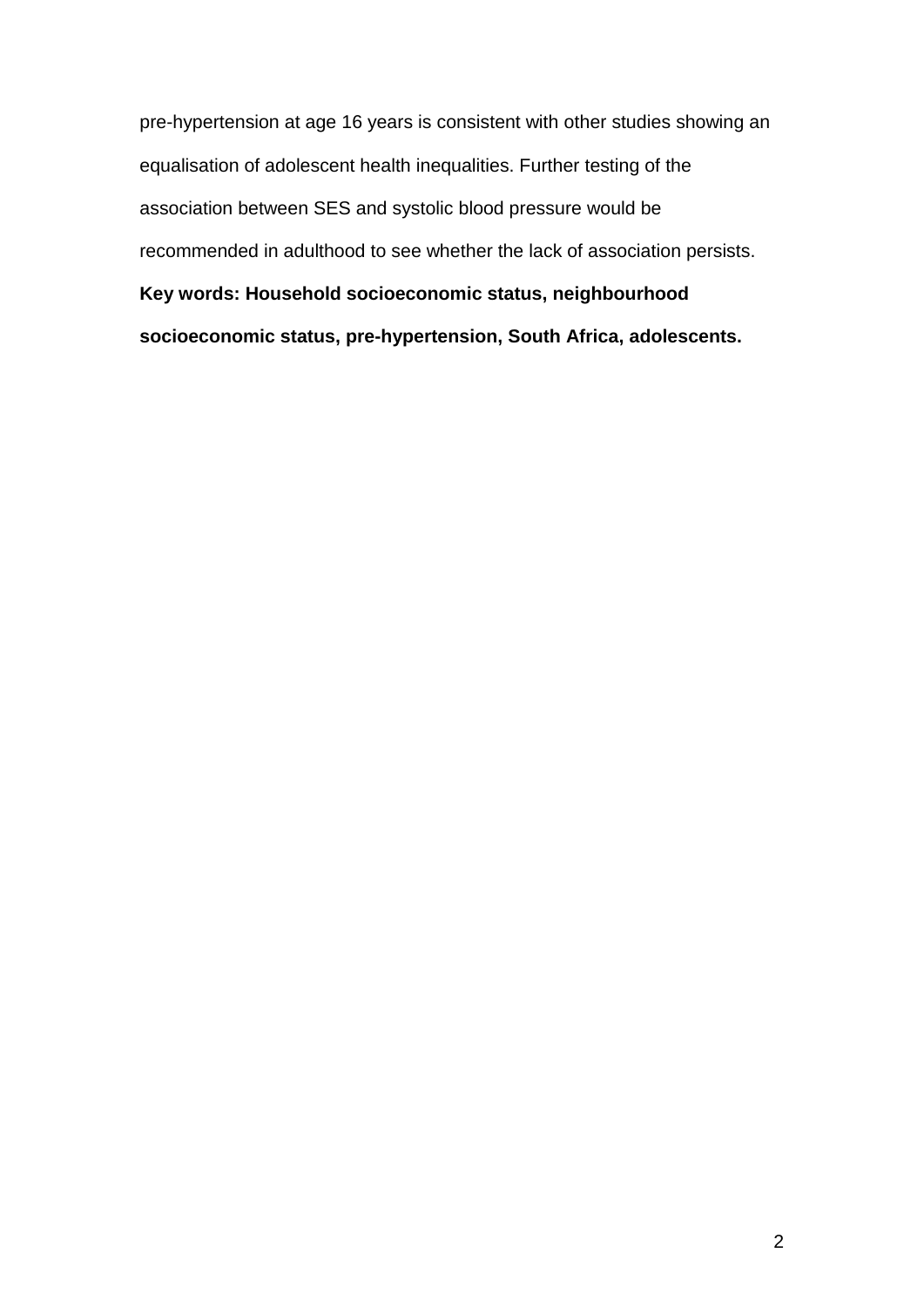pre-hypertension at age 16 years is consistent with other studies showing an equalisation of adolescent health inequalities. Further testing of the association between SES and systolic blood pressure would be recommended in adulthood to see whether the lack of association persists. **Key words: Household socioeconomic status, neighbourhood socioeconomic status, pre-hypertension, South Africa, adolescents.**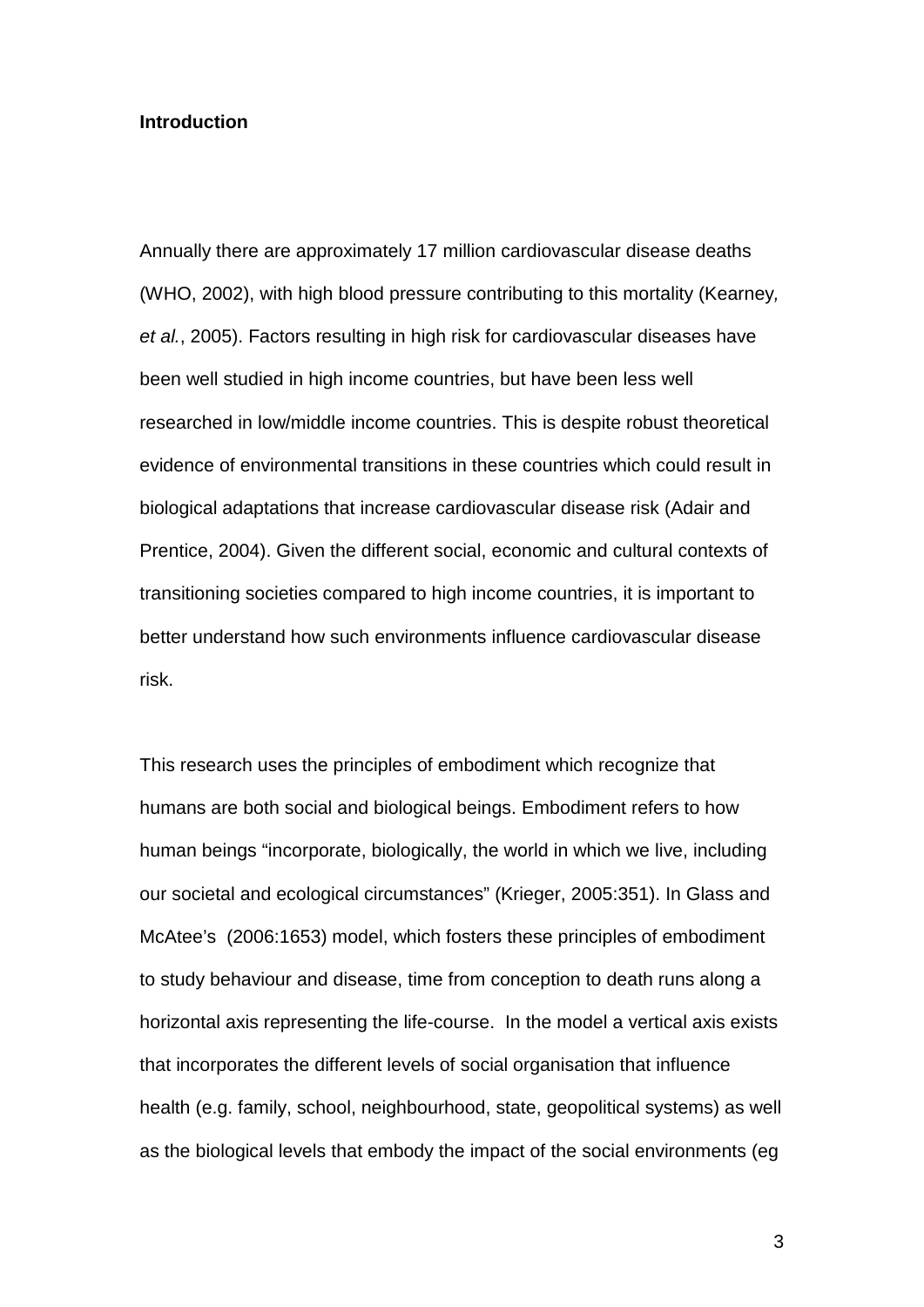#### **Introduction**

Annually there are approximately 17 million cardiovascular disease deaths (WHO, 2002), with high blood pressure contributing to this mortality (Kearney*, et al.*, 2005). Factors resulting in high risk for cardiovascular diseases have been well studied in high income countries, but have been less well researched in low/middle income countries. This is despite robust theoretical evidence of environmental transitions in these countries which could result in biological adaptations that increase cardiovascular disease risk (Adair and Prentice, 2004). Given the different social, economic and cultural contexts of transitioning societies compared to high income countries, it is important to better understand how such environments influence cardiovascular disease risk.

This research uses the principles of embodiment which recognize that humans are both social and biological beings. Embodiment refers to how human beings "incorporate, biologically, the world in which we live, including our societal and ecological circumstances" (Krieger, 2005:351). In Glass and McAtee's (2006:1653) model, which fosters these principles of embodiment to study behaviour and disease, time from conception to death runs along a horizontal axis representing the life-course. In the model a vertical axis exists that incorporates the different levels of social organisation that influence health (e.g. family, school, neighbourhood, state, geopolitical systems) as well as the biological levels that embody the impact of the social environments (eg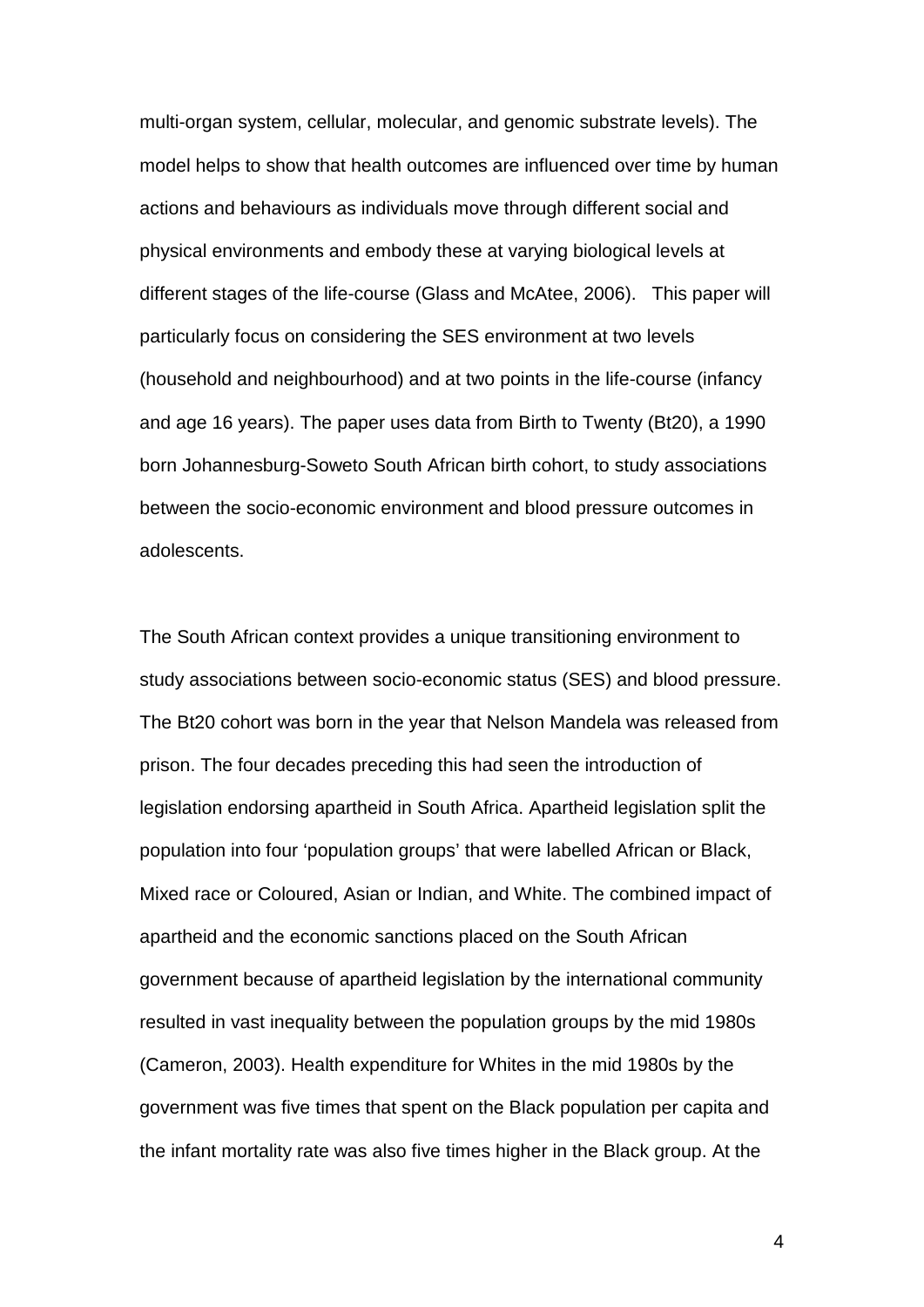multi-organ system, cellular, molecular, and genomic substrate levels). The model helps to show that health outcomes are influenced over time by human actions and behaviours as individuals move through different social and physical environments and embody these at varying biological levels at different stages of the life-course (Glass and McAtee, 2006). This paper will particularly focus on considering the SES environment at two levels (household and neighbourhood) and at two points in the life-course (infancy and age 16 years). The paper uses data from Birth to Twenty (Bt20), a 1990 born Johannesburg-Soweto South African birth cohort, to study associations between the socio-economic environment and blood pressure outcomes in adolescents.

The South African context provides a unique transitioning environment to study associations between socio-economic status (SES) and blood pressure. The Bt20 cohort was born in the year that Nelson Mandela was released from prison. The four decades preceding this had seen the introduction of legislation endorsing apartheid in South Africa. Apartheid legislation split the population into four 'population groups' that were labelled African or Black, Mixed race or Coloured, Asian or Indian, and White. The combined impact of apartheid and the economic sanctions placed on the South African government because of apartheid legislation by the international community resulted in vast inequality between the population groups by the mid 1980s (Cameron, 2003). Health expenditure for Whites in the mid 1980s by the government was five times that spent on the Black population per capita and the infant mortality rate was also five times higher in the Black group. At the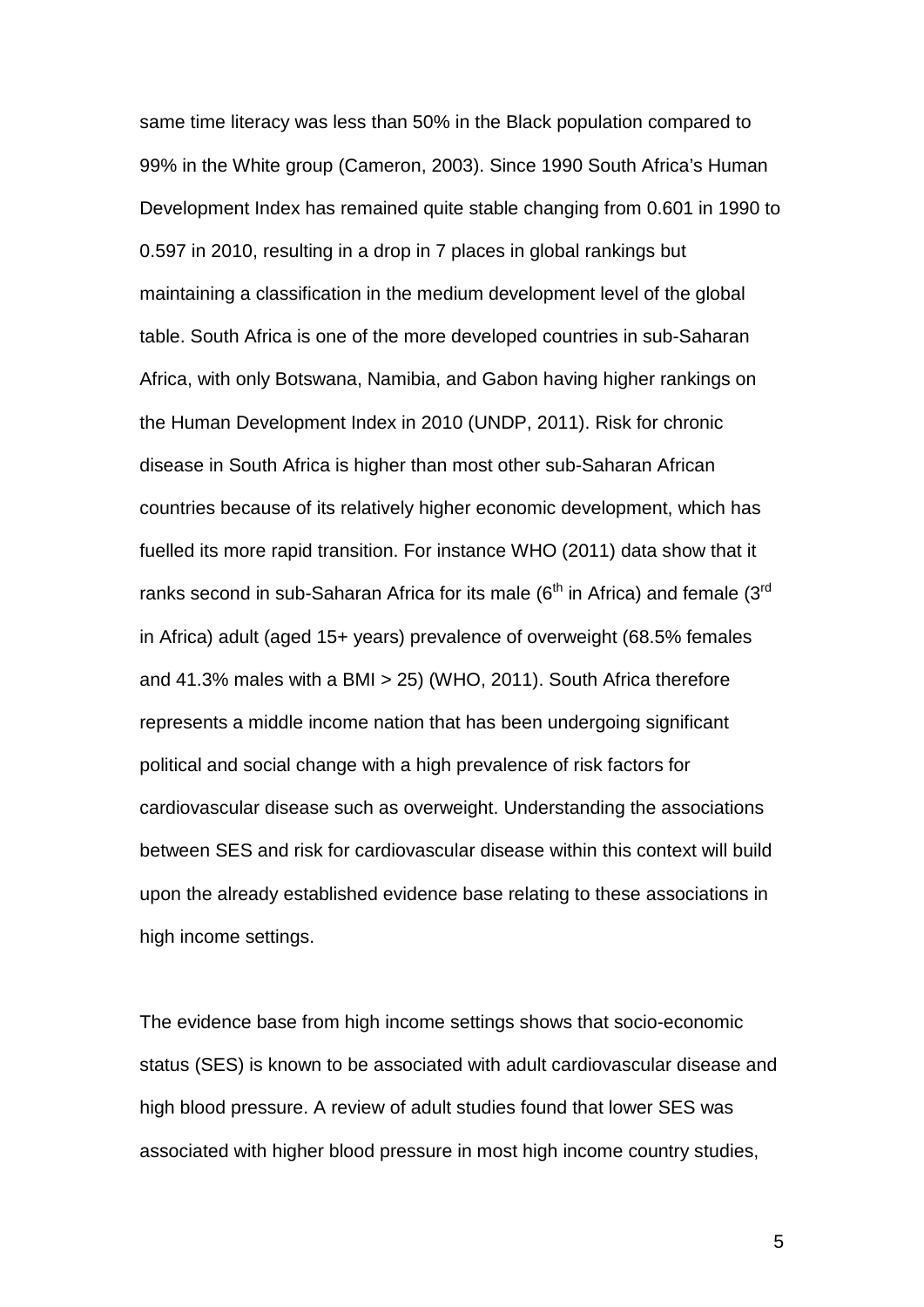same time literacy was less than 50% in the Black population compared to 99% in the White group (Cameron, 2003). Since 1990 South Africa's Human Development Index has remained quite stable changing from 0.601 in 1990 to 0.597 in 2010, resulting in a drop in 7 places in global rankings but maintaining a classification in the medium development level of the global table. South Africa is one of the more developed countries in sub-Saharan Africa, with only Botswana, Namibia, and Gabon having higher rankings on the Human Development Index in 2010 (UNDP, 2011). Risk for chronic disease in South Africa is higher than most other sub-Saharan African countries because of its relatively higher economic development, which has fuelled its more rapid transition. For instance WHO (2011) data show that it ranks second in sub-Saharan Africa for its male ( $6<sup>th</sup>$  in Africa) and female ( $3<sup>rd</sup>$ in Africa) adult (aged 15+ years) prevalence of overweight (68.5% females and 41.3% males with a BMI > 25) (WHO, 2011). South Africa therefore represents a middle income nation that has been undergoing significant political and social change with a high prevalence of risk factors for cardiovascular disease such as overweight. Understanding the associations between SES and risk for cardiovascular disease within this context will build upon the already established evidence base relating to these associations in high income settings.

The evidence base from high income settings shows that socio-economic status (SES) is known to be associated with adult cardiovascular disease and high blood pressure. A review of adult studies found that lower SES was associated with higher blood pressure in most high income country studies,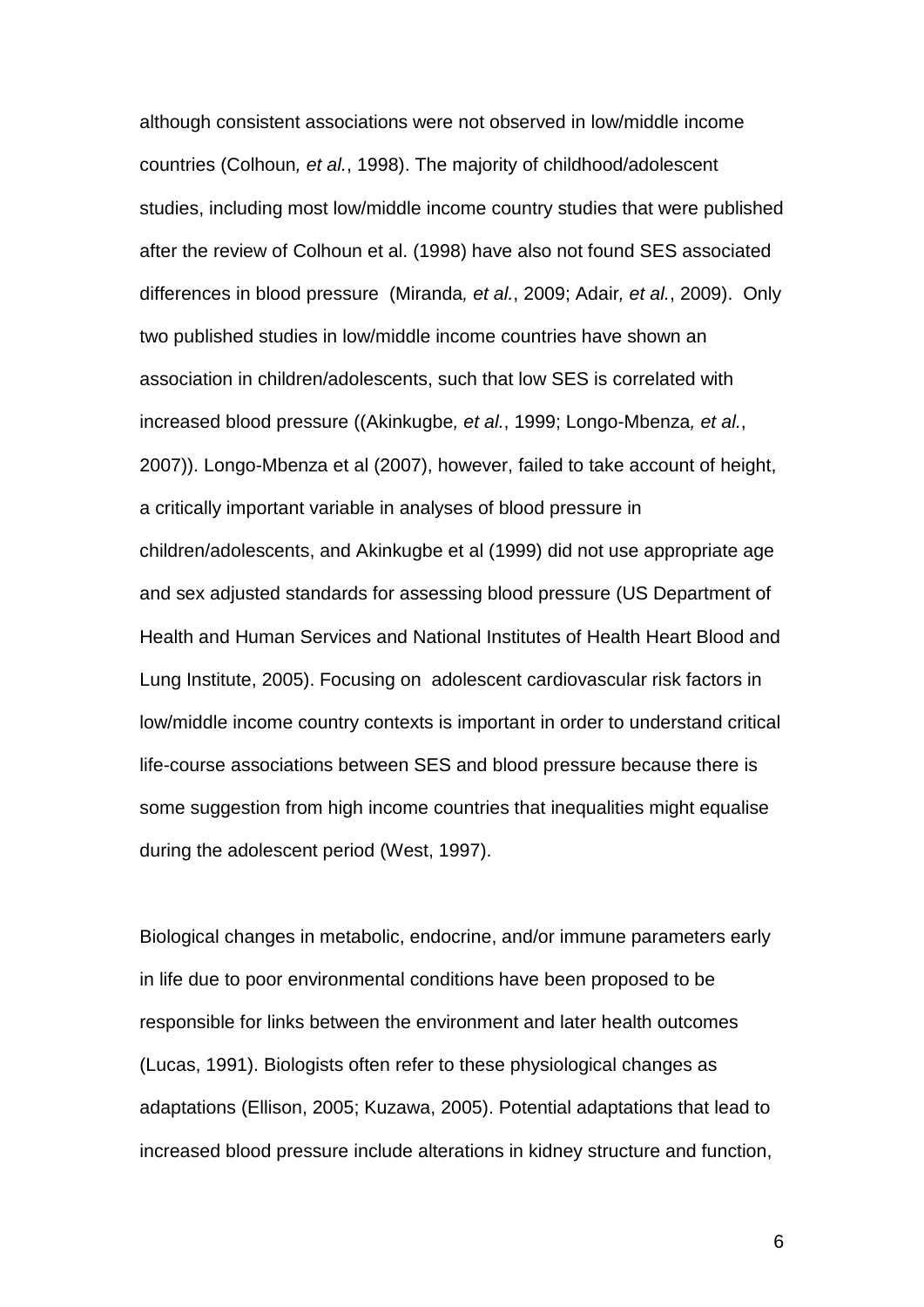although consistent associations were not observed in low/middle income countries (Colhoun*, et al.*, 1998). The majority of childhood/adolescent studies, including most low/middle income country studies that were published after the review of Colhoun et al. (1998) have also not found SES associated differences in blood pressure (Miranda*, et al.*, 2009; Adair*, et al.*, 2009). Only two published studies in low/middle income countries have shown an association in children/adolescents, such that low SES is correlated with increased blood pressure ((Akinkugbe*, et al.*, 1999; Longo-Mbenza*, et al.*, 2007)). Longo-Mbenza et al (2007), however, failed to take account of height, a critically important variable in analyses of blood pressure in children/adolescents, and Akinkugbe et al (1999) did not use appropriate age and sex adjusted standards for assessing blood pressure (US Department of Health and Human Services and National Institutes of Health Heart Blood and Lung Institute, 2005). Focusing on adolescent cardiovascular risk factors in low/middle income country contexts is important in order to understand critical life-course associations between SES and blood pressure because there is some suggestion from high income countries that inequalities might equalise during the adolescent period (West, 1997).

Biological changes in metabolic, endocrine, and/or immune parameters early in life due to poor environmental conditions have been proposed to be responsible for links between the environment and later health outcomes (Lucas, 1991). Biologists often refer to these physiological changes as adaptations (Ellison, 2005; Kuzawa, 2005). Potential adaptations that lead to increased blood pressure include alterations in kidney structure and function,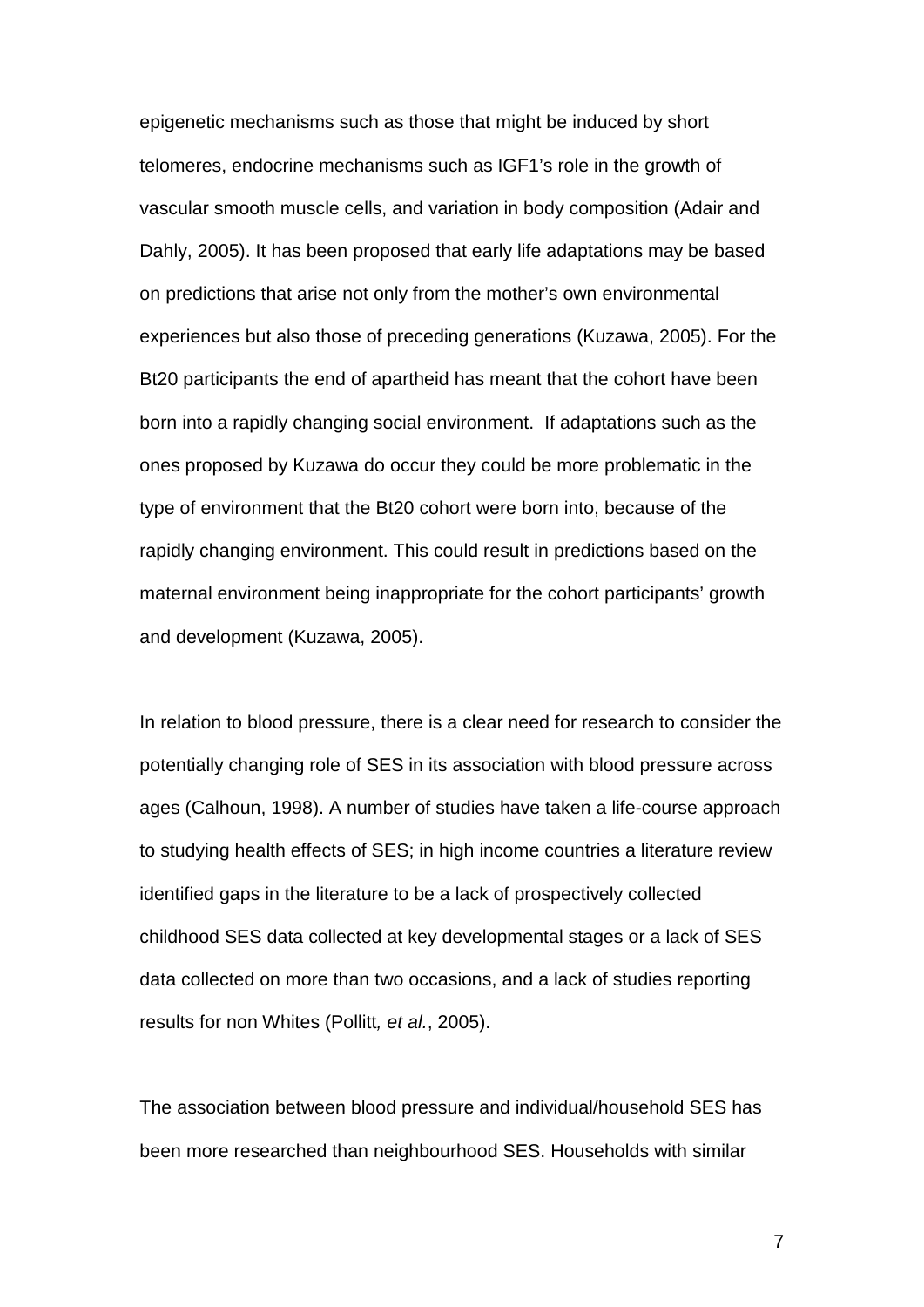epigenetic mechanisms such as those that might be induced by short telomeres, endocrine mechanisms such as IGF1's role in the growth of vascular smooth muscle cells, and variation in body composition (Adair and Dahly, 2005). It has been proposed that early life adaptations may be based on predictions that arise not only from the mother's own environmental experiences but also those of preceding generations (Kuzawa, 2005). For the Bt20 participants the end of apartheid has meant that the cohort have been born into a rapidly changing social environment. If adaptations such as the ones proposed by Kuzawa do occur they could be more problematic in the type of environment that the Bt20 cohort were born into, because of the rapidly changing environment. This could result in predictions based on the maternal environment being inappropriate for the cohort participants' growth and development (Kuzawa, 2005).

In relation to blood pressure, there is a clear need for research to consider the potentially changing role of SES in its association with blood pressure across ages (Calhoun, 1998). A number of studies have taken a life-course approach to studying health effects of SES; in high income countries a literature review identified gaps in the literature to be a lack of prospectively collected childhood SES data collected at key developmental stages or a lack of SES data collected on more than two occasions, and a lack of studies reporting results for non Whites (Pollitt*, et al.*, 2005).

The association between blood pressure and individual/household SES has been more researched than neighbourhood SES. Households with similar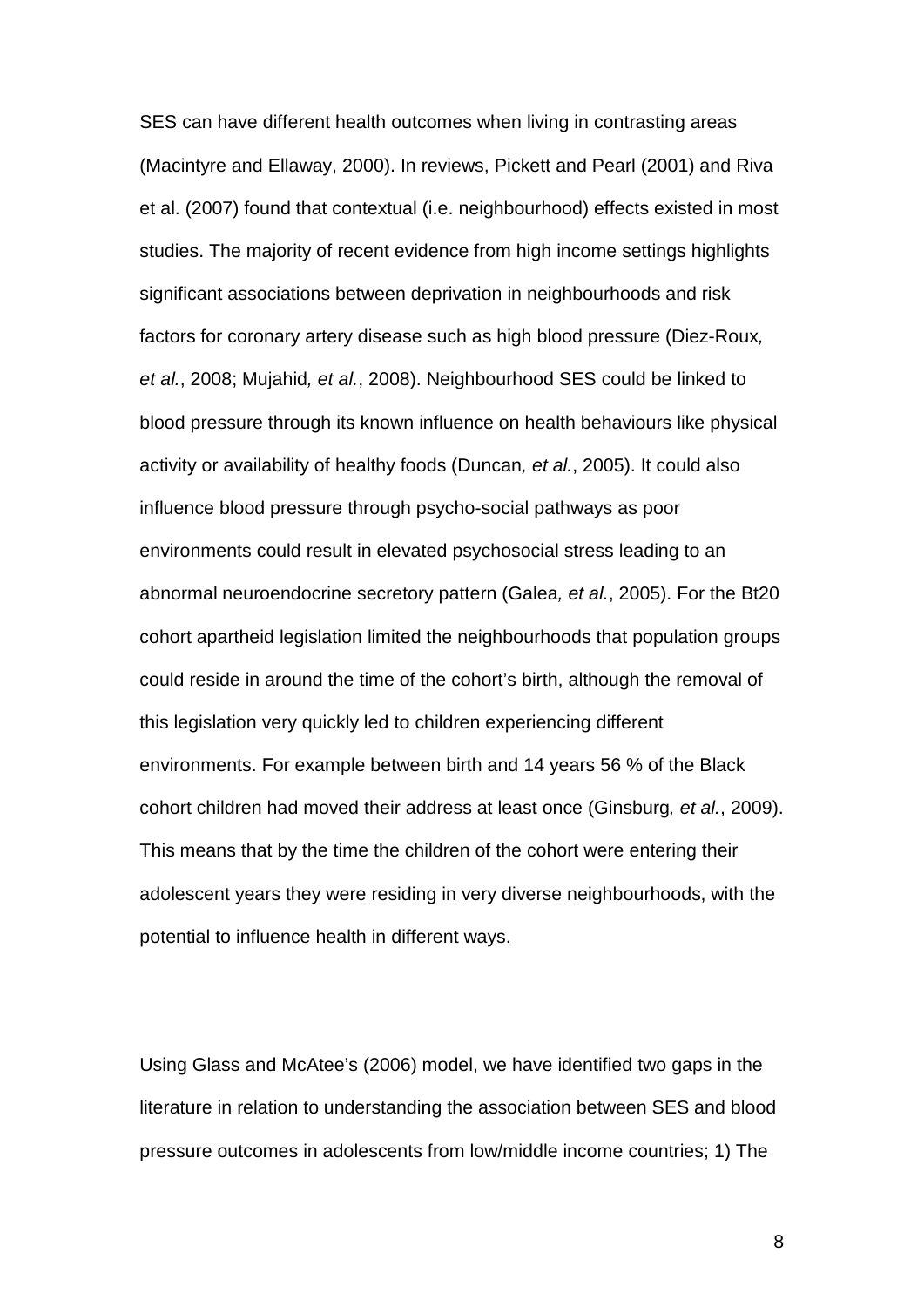SES can have different health outcomes when living in contrasting areas (Macintyre and Ellaway, 2000). In reviews, Pickett and Pearl (2001) and Riva et al. (2007) found that contextual (i.e. neighbourhood) effects existed in most studies. The majority of recent evidence from high income settings highlights significant associations between deprivation in neighbourhoods and risk factors for coronary artery disease such as high blood pressure (Diez-Roux*, et al.*, 2008; Mujahid*, et al.*, 2008). Neighbourhood SES could be linked to blood pressure through its known influence on health behaviours like physical activity or availability of healthy foods (Duncan*, et al.*, 2005). It could also influence blood pressure through psycho-social pathways as poor environments could result in elevated psychosocial stress leading to an abnormal neuroendocrine secretory pattern (Galea*, et al.*, 2005). For the Bt20 cohort apartheid legislation limited the neighbourhoods that population groups could reside in around the time of the cohort's birth, although the removal of this legislation very quickly led to children experiencing different environments. For example between birth and 14 years 56 % of the Black cohort children had moved their address at least once (Ginsburg*, et al.*, 2009). This means that by the time the children of the cohort were entering their adolescent years they were residing in very diverse neighbourhoods, with the potential to influence health in different ways.

Using Glass and McAtee's (2006) model, we have identified two gaps in the literature in relation to understanding the association between SES and blood pressure outcomes in adolescents from low/middle income countries; 1) The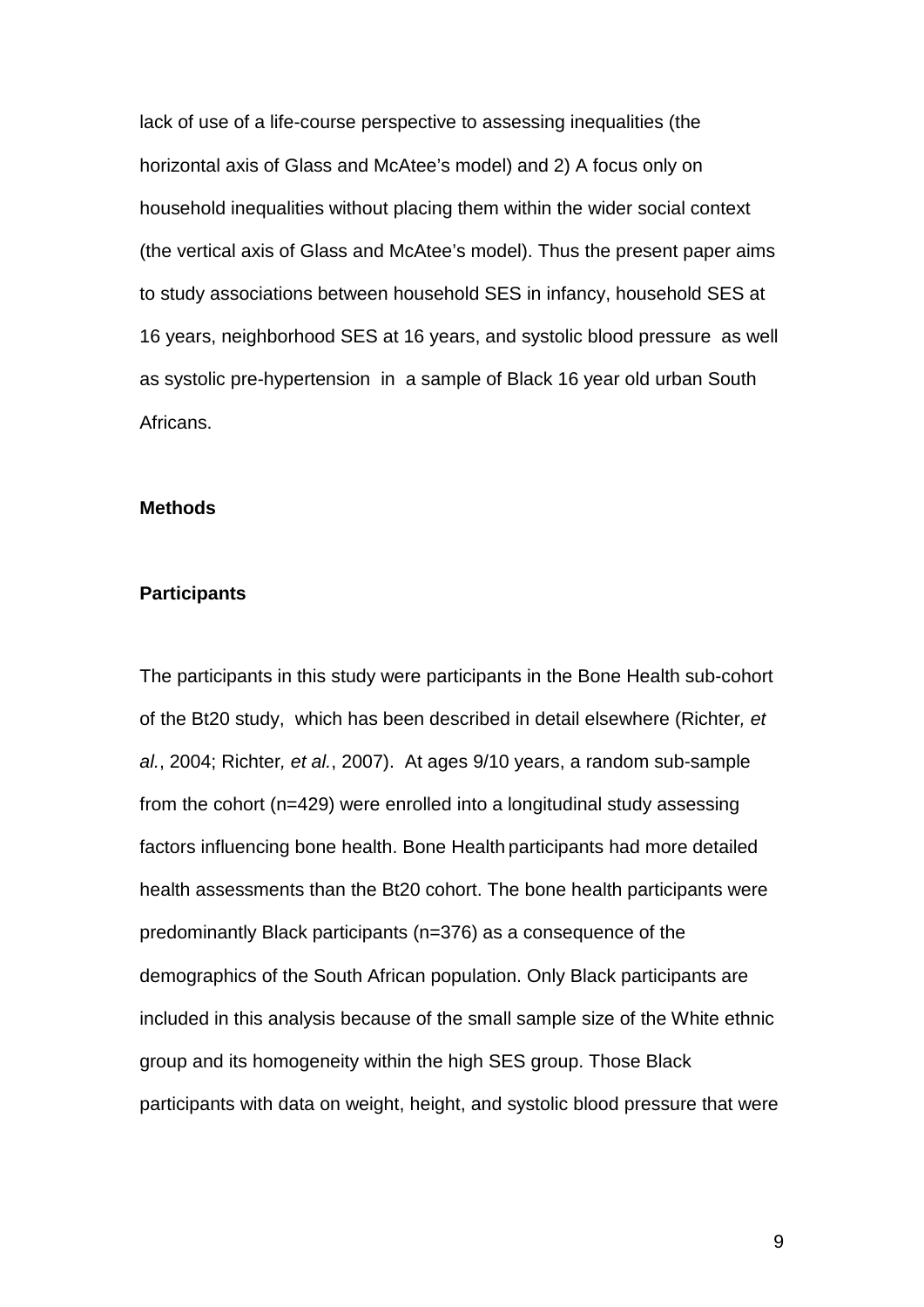lack of use of a life-course perspective to assessing inequalities (the horizontal axis of Glass and McAtee's model) and 2) A focus only on household inequalities without placing them within the wider social context (the vertical axis of Glass and McAtee's model). Thus the present paper aims to study associations between household SES in infancy, household SES at 16 years, neighborhood SES at 16 years, and systolic blood pressure as well as systolic pre-hypertension in a sample of Black 16 year old urban South Africans.

## **Methods**

### **Participants**

The participants in this study were participants in the Bone Health sub-cohort of the Bt20 study, which has been described in detail elsewhere (Richter*, et al.*, 2004; Richter*, et al.*, 2007). At ages 9/10 years, a random sub-sample from the cohort (n=429) were enrolled into a longitudinal study assessing factors influencing bone health. Bone Health participants had more detailed health assessments than the Bt20 cohort. The bone health participants were predominantly Black participants (n=376) as a consequence of the demographics of the South African population. Only Black participants are included in this analysis because of the small sample size of the White ethnic group and its homogeneity within the high SES group. Those Black participants with data on weight, height, and systolic blood pressure that were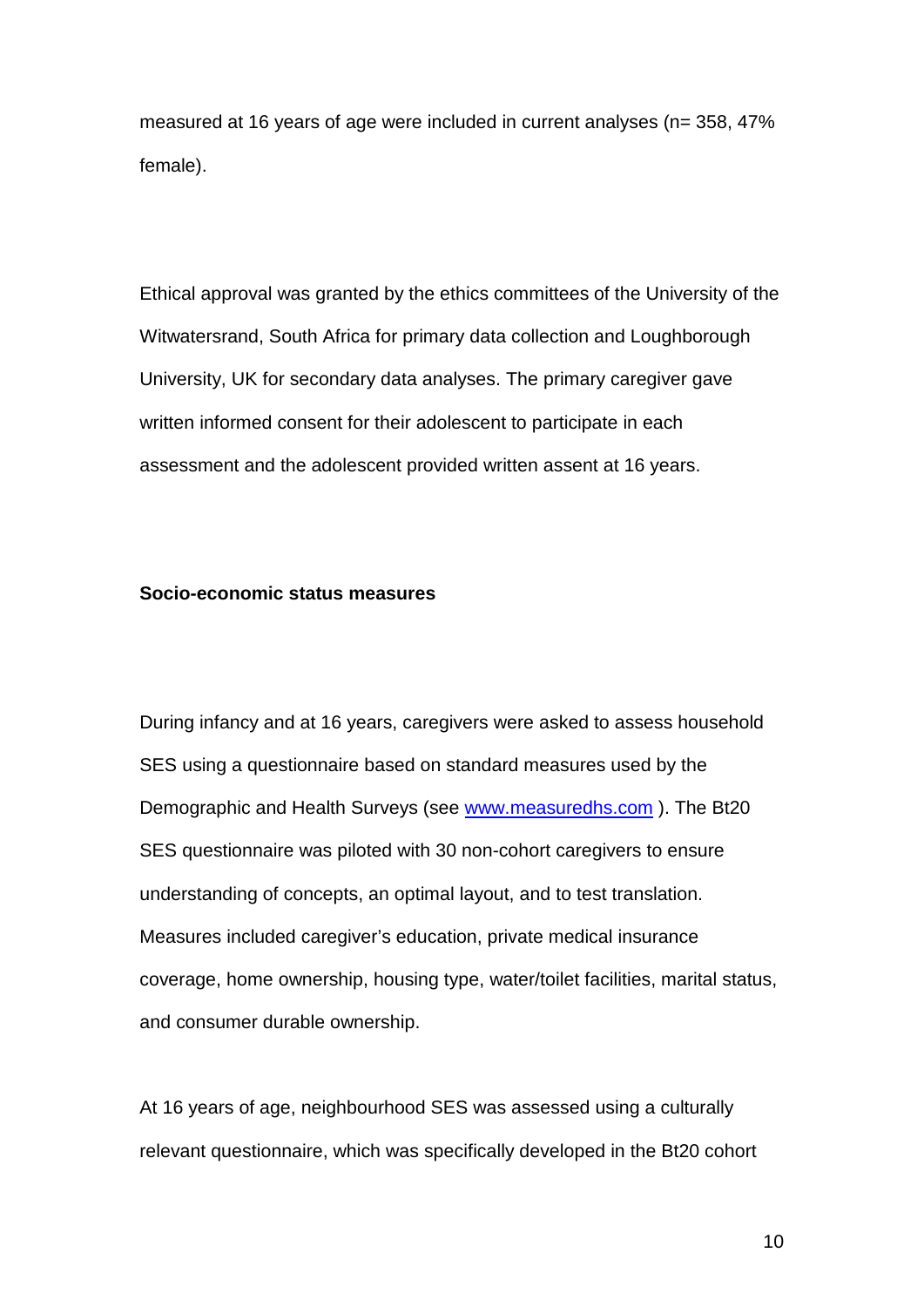measured at 16 years of age were included in current analyses (n= 358, 47% female).

Ethical approval was granted by the ethics committees of the University of the Witwatersrand, South Africa for primary data collection and Loughborough University, UK for secondary data analyses. The primary caregiver gave written informed consent for their adolescent to participate in each assessment and the adolescent provided written assent at 16 years.

# **Socio-economic status measures**

During infancy and at 16 years, caregivers were asked to assess household SES using a questionnaire based on standard measures used by the Demographic and Health Surveys (see [www.measuredhs.com](http://www.measuredhs.com/) ). The Bt20 SES questionnaire was piloted with 30 non-cohort caregivers to ensure understanding of concepts, an optimal layout, and to test translation. Measures included caregiver's education, private medical insurance coverage, home ownership, housing type, water/toilet facilities, marital status, and consumer durable ownership.

At 16 years of age, neighbourhood SES was assessed using a culturally relevant questionnaire, which was specifically developed in the Bt20 cohort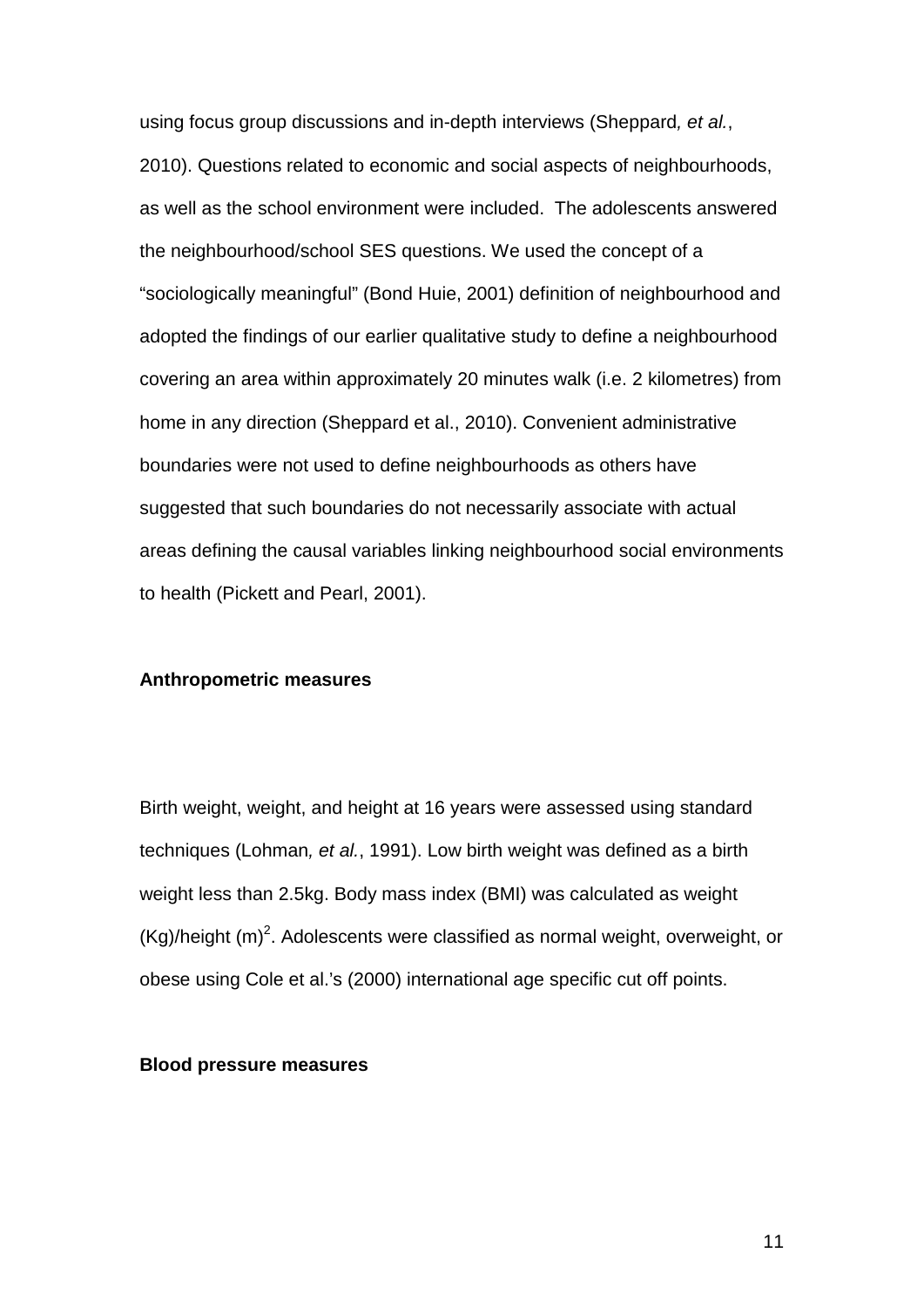using focus group discussions and in-depth interviews (Sheppard*, et al.*, 2010). Questions related to economic and social aspects of neighbourhoods, as well as the school environment were included. The adolescents answered the neighbourhood/school SES questions. We used the concept of a "sociologically meaningful" (Bond Huie, 2001) definition of neighbourhood and adopted the findings of our earlier qualitative study to define a neighbourhood covering an area within approximately 20 minutes walk (i.e. 2 kilometres) from home in any direction (Sheppard et al., 2010). Convenient administrative boundaries were not used to define neighbourhoods as others have suggested that such boundaries do not necessarily associate with actual areas defining the causal variables linking neighbourhood social environments to health (Pickett and Pearl, 2001).

#### **Anthropometric measures**

Birth weight, weight, and height at 16 years were assessed using standard techniques (Lohman*, et al.*, 1991). Low birth weight was defined as a birth weight less than 2.5kg. Body mass index (BMI) was calculated as weight  $(Kg)/$ height  $(m)^2$ . Adolescents were classified as normal weight, overweight, or obese using Cole et al.'s (2000) international age specific cut off points.

## **Blood pressure measures**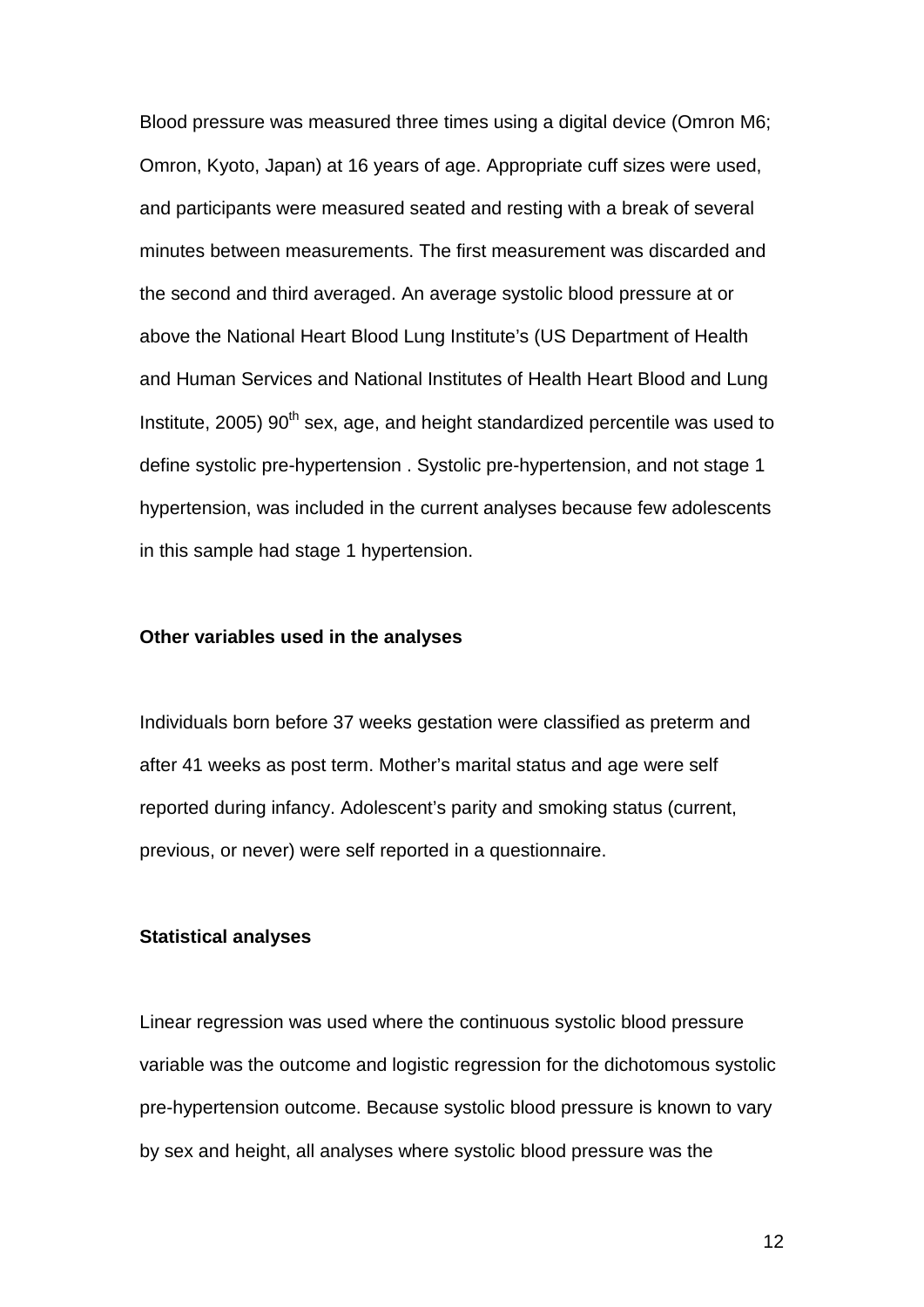Blood pressure was measured three times using a digital device (Omron M6; Omron, Kyoto, Japan) at 16 years of age. Appropriate cuff sizes were used, and participants were measured seated and resting with a break of several minutes between measurements. The first measurement was discarded and the second and third averaged. An average systolic blood pressure at or above the National Heart Blood Lung Institute's (US Department of Health and Human Services and National Institutes of Health Heart Blood and Lung Institute, 2005)  $90<sup>th</sup>$  sex, age, and height standardized percentile was used to define systolic pre-hypertension . Systolic pre-hypertension, and not stage 1 hypertension, was included in the current analyses because few adolescents in this sample had stage 1 hypertension.

## **Other variables used in the analyses**

Individuals born before 37 weeks gestation were classified as preterm and after 41 weeks as post term. Mother's marital status and age were self reported during infancy. Adolescent's parity and smoking status (current, previous, or never) were self reported in a questionnaire.

#### **Statistical analyses**

Linear regression was used where the continuous systolic blood pressure variable was the outcome and logistic regression for the dichotomous systolic pre-hypertension outcome. Because systolic blood pressure is known to vary by sex and height, all analyses where systolic blood pressure was the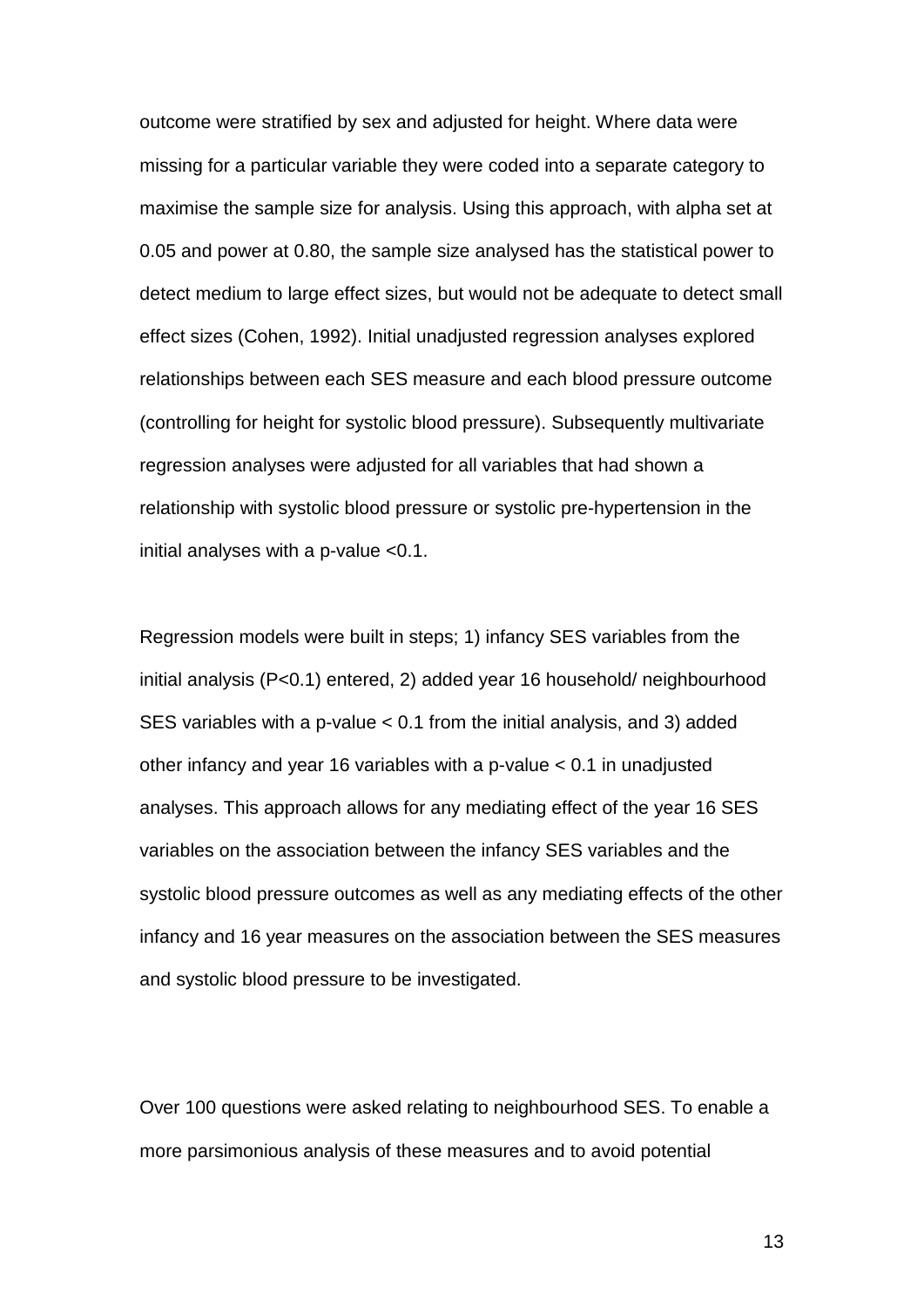outcome were stratified by sex and adjusted for height. Where data were missing for a particular variable they were coded into a separate category to maximise the sample size for analysis. Using this approach, with alpha set at 0.05 and power at 0.80, the sample size analysed has the statistical power to detect medium to large effect sizes, but would not be adequate to detect small effect sizes (Cohen, 1992). Initial unadjusted regression analyses explored relationships between each SES measure and each blood pressure outcome (controlling for height for systolic blood pressure). Subsequently multivariate regression analyses were adjusted for all variables that had shown a relationship with systolic blood pressure or systolic pre-hypertension in the initial analyses with a p-value <0.1.

Regression models were built in steps; 1) infancy SES variables from the initial analysis (P<0.1) entered, 2) added year 16 household/ neighbourhood SES variables with a p-value < 0.1 from the initial analysis, and 3) added other infancy and year 16 variables with a p-value < 0.1 in unadjusted analyses. This approach allows for any mediating effect of the year 16 SES variables on the association between the infancy SES variables and the systolic blood pressure outcomes as well as any mediating effects of the other infancy and 16 year measures on the association between the SES measures and systolic blood pressure to be investigated.

Over 100 questions were asked relating to neighbourhood SES. To enable a more parsimonious analysis of these measures and to avoid potential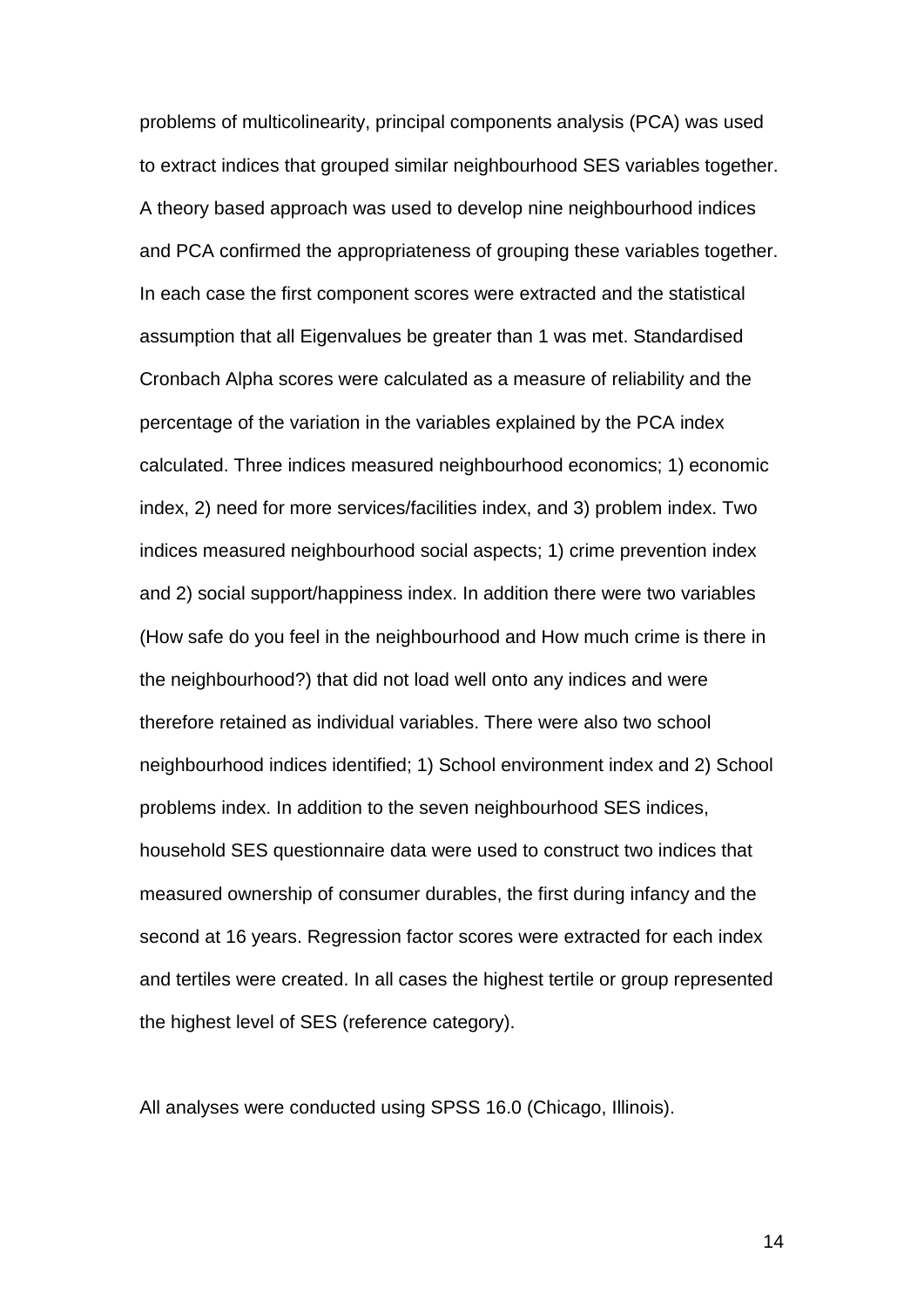problems of multicolinearity, principal components analysis (PCA) was used to extract indices that grouped similar neighbourhood SES variables together. A theory based approach was used to develop nine neighbourhood indices and PCA confirmed the appropriateness of grouping these variables together. In each case the first component scores were extracted and the statistical assumption that all Eigenvalues be greater than 1 was met. Standardised Cronbach Alpha scores were calculated as a measure of reliability and the percentage of the variation in the variables explained by the PCA index calculated. Three indices measured neighbourhood economics; 1) economic index, 2) need for more services/facilities index, and 3) problem index. Two indices measured neighbourhood social aspects; 1) crime prevention index and 2) social support/happiness index. In addition there were two variables (How safe do you feel in the neighbourhood and How much crime is there in the neighbourhood?) that did not load well onto any indices and were therefore retained as individual variables. There were also two school neighbourhood indices identified; 1) School environment index and 2) School problems index. In addition to the seven neighbourhood SES indices, household SES questionnaire data were used to construct two indices that measured ownership of consumer durables, the first during infancy and the second at 16 years. Regression factor scores were extracted for each index and tertiles were created. In all cases the highest tertile or group represented the highest level of SES (reference category).

All analyses were conducted using SPSS 16.0 (Chicago, Illinois).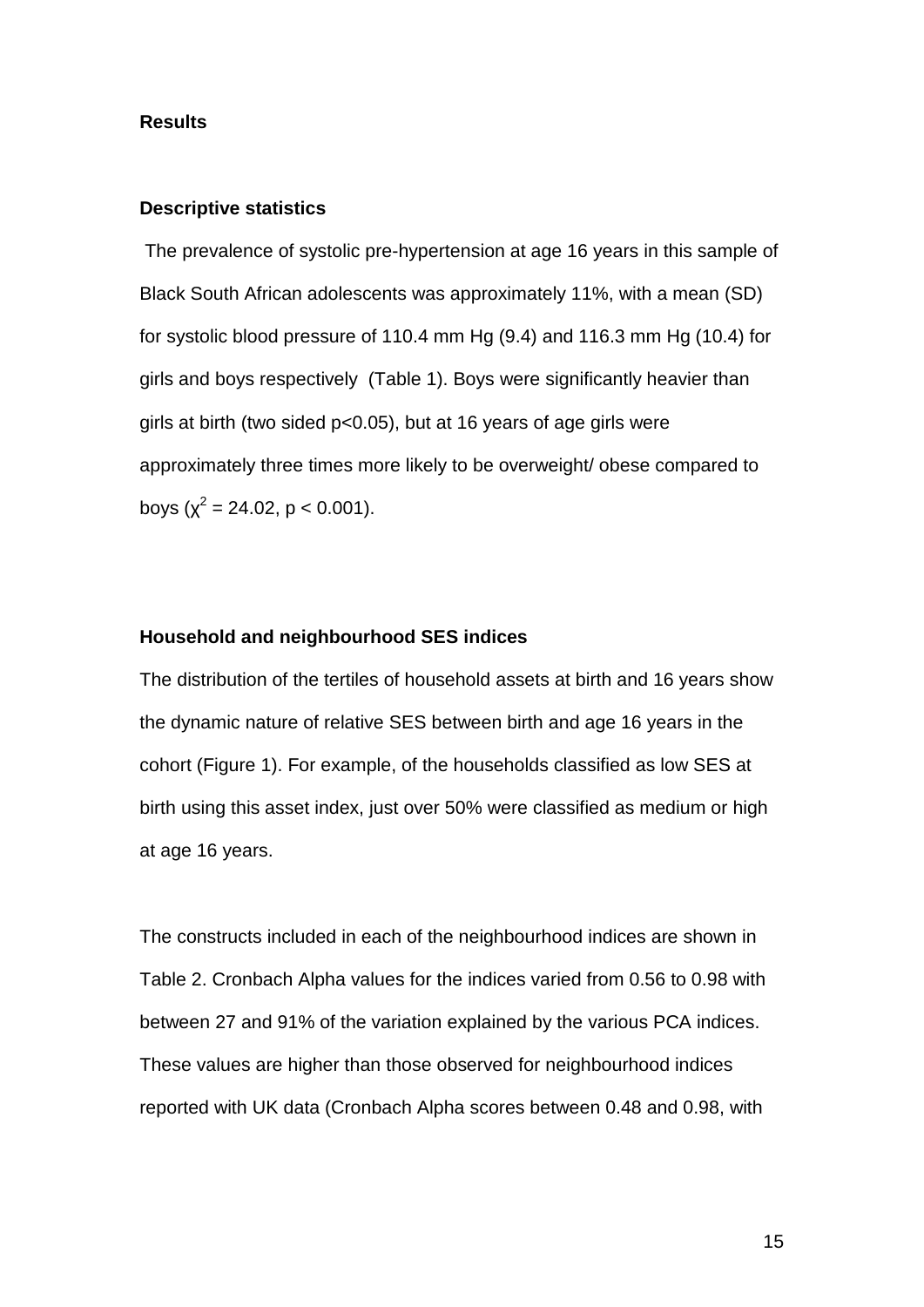#### **Results**

#### **Descriptive statistics**

The prevalence of systolic pre-hypertension at age 16 years in this sample of Black South African adolescents was approximately 11%, with a mean (SD) for systolic blood pressure of 110.4 mm Hg (9.4) and 116.3 mm Hg (10.4) for girls and boys respectively (Table 1). Boys were significantly heavier than girls at birth (two sided p<0.05), but at 16 years of age girls were approximately three times more likely to be overweight/ obese compared to boys ( $\chi^2$  = 24.02, p < 0.001).

# **Household and neighbourhood SES indices**

The distribution of the tertiles of household assets at birth and 16 years show the dynamic nature of relative SES between birth and age 16 years in the cohort (Figure 1). For example, of the households classified as low SES at birth using this asset index, just over 50% were classified as medium or high at age 16 years.

The constructs included in each of the neighbourhood indices are shown in Table 2. Cronbach Alpha values for the indices varied from 0.56 to 0.98 with between 27 and 91% of the variation explained by the various PCA indices. These values are higher than those observed for neighbourhood indices reported with UK data (Cronbach Alpha scores between 0.48 and 0.98, with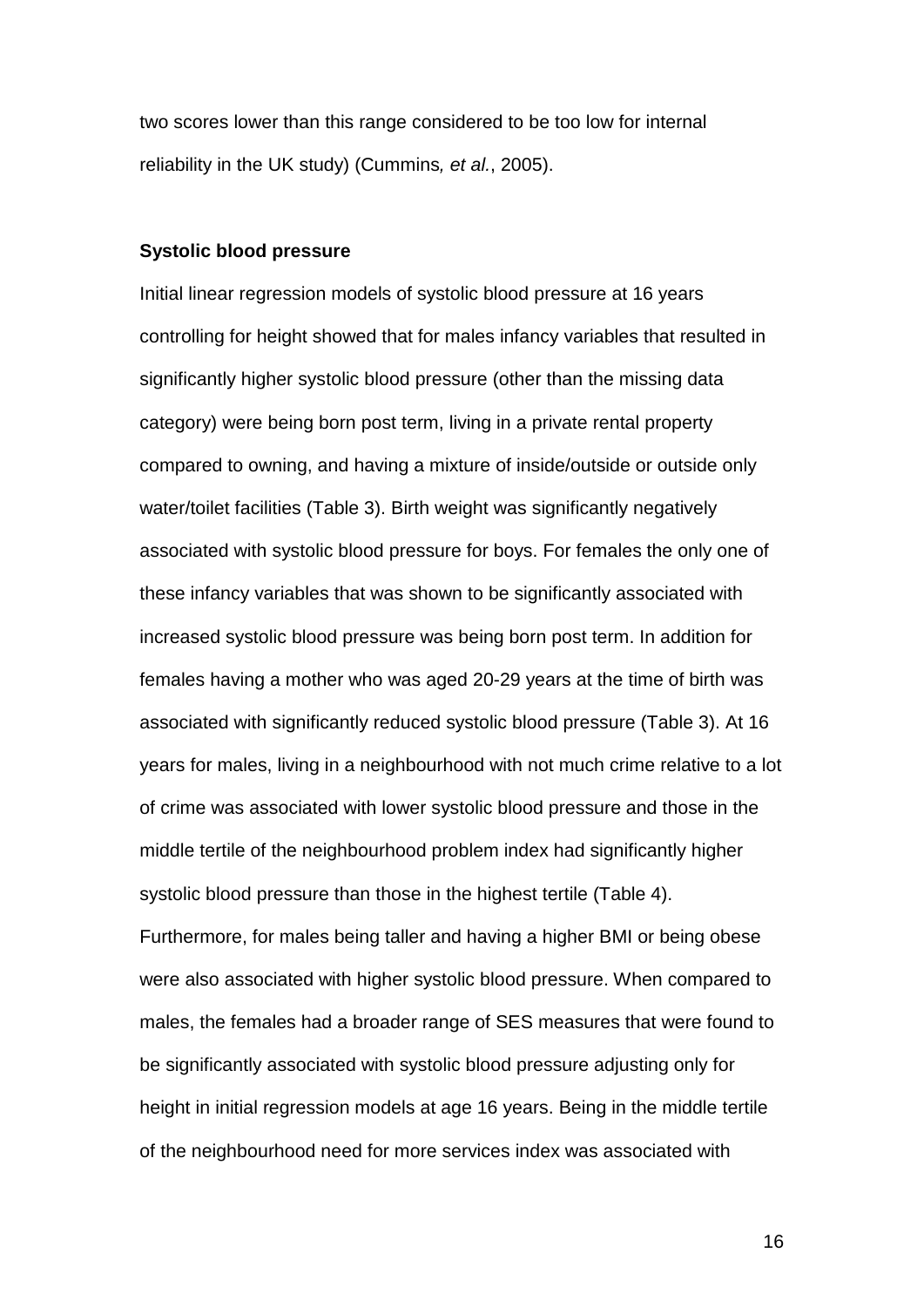two scores lower than this range considered to be too low for internal reliability in the UK study) (Cummins*, et al.*, 2005).

# **Systolic blood pressure**

Initial linear regression models of systolic blood pressure at 16 years controlling for height showed that for males infancy variables that resulted in significantly higher systolic blood pressure (other than the missing data category) were being born post term, living in a private rental property compared to owning, and having a mixture of inside/outside or outside only water/toilet facilities (Table 3). Birth weight was significantly negatively associated with systolic blood pressure for boys. For females the only one of these infancy variables that was shown to be significantly associated with increased systolic blood pressure was being born post term. In addition for females having a mother who was aged 20-29 years at the time of birth was associated with significantly reduced systolic blood pressure (Table 3). At 16 years for males, living in a neighbourhood with not much crime relative to a lot of crime was associated with lower systolic blood pressure and those in the middle tertile of the neighbourhood problem index had significantly higher systolic blood pressure than those in the highest tertile (Table 4). Furthermore, for males being taller and having a higher BMI or being obese were also associated with higher systolic blood pressure. When compared to males, the females had a broader range of SES measures that were found to be significantly associated with systolic blood pressure adjusting only for height in initial regression models at age 16 years. Being in the middle tertile of the neighbourhood need for more services index was associated with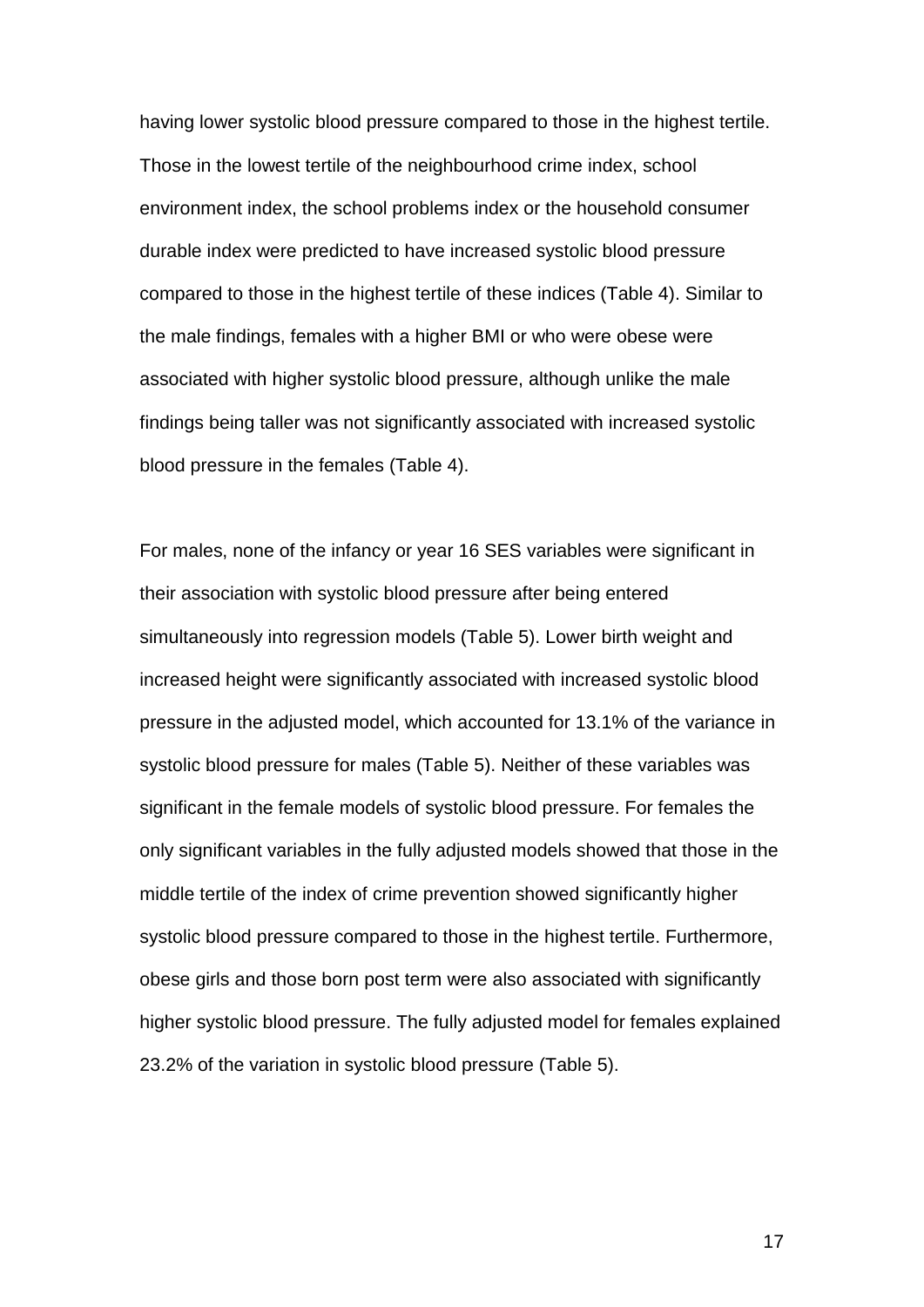having lower systolic blood pressure compared to those in the highest tertile. Those in the lowest tertile of the neighbourhood crime index, school environment index, the school problems index or the household consumer durable index were predicted to have increased systolic blood pressure compared to those in the highest tertile of these indices (Table 4). Similar to the male findings, females with a higher BMI or who were obese were associated with higher systolic blood pressure, although unlike the male findings being taller was not significantly associated with increased systolic blood pressure in the females (Table 4).

For males, none of the infancy or year 16 SES variables were significant in their association with systolic blood pressure after being entered simultaneously into regression models (Table 5). Lower birth weight and increased height were significantly associated with increased systolic blood pressure in the adjusted model, which accounted for 13.1% of the variance in systolic blood pressure for males (Table 5). Neither of these variables was significant in the female models of systolic blood pressure. For females the only significant variables in the fully adjusted models showed that those in the middle tertile of the index of crime prevention showed significantly higher systolic blood pressure compared to those in the highest tertile. Furthermore, obese girls and those born post term were also associated with significantly higher systolic blood pressure. The fully adjusted model for females explained 23.2% of the variation in systolic blood pressure (Table 5).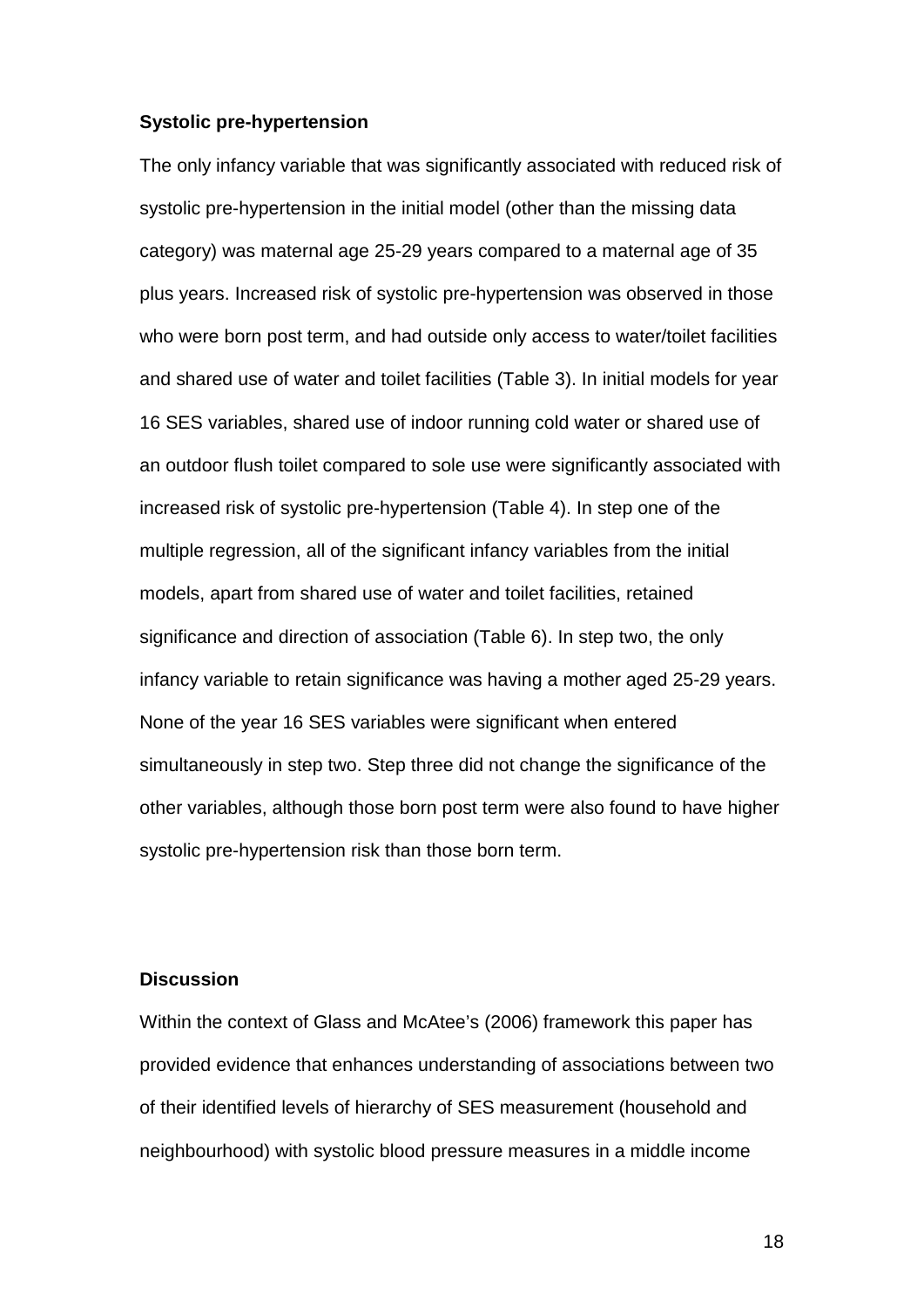#### **Systolic pre-hypertension**

The only infancy variable that was significantly associated with reduced risk of systolic pre-hypertension in the initial model (other than the missing data category) was maternal age 25-29 years compared to a maternal age of 35 plus years. Increased risk of systolic pre-hypertension was observed in those who were born post term, and had outside only access to water/toilet facilities and shared use of water and toilet facilities (Table 3). In initial models for year 16 SES variables, shared use of indoor running cold water or shared use of an outdoor flush toilet compared to sole use were significantly associated with increased risk of systolic pre-hypertension (Table 4). In step one of the multiple regression, all of the significant infancy variables from the initial models, apart from shared use of water and toilet facilities, retained significance and direction of association (Table 6). In step two, the only infancy variable to retain significance was having a mother aged 25-29 years. None of the year 16 SES variables were significant when entered simultaneously in step two. Step three did not change the significance of the other variables, although those born post term were also found to have higher systolic pre-hypertension risk than those born term.

## **Discussion**

Within the context of Glass and McAtee's (2006) framework this paper has provided evidence that enhances understanding of associations between two of their identified levels of hierarchy of SES measurement (household and neighbourhood) with systolic blood pressure measures in a middle income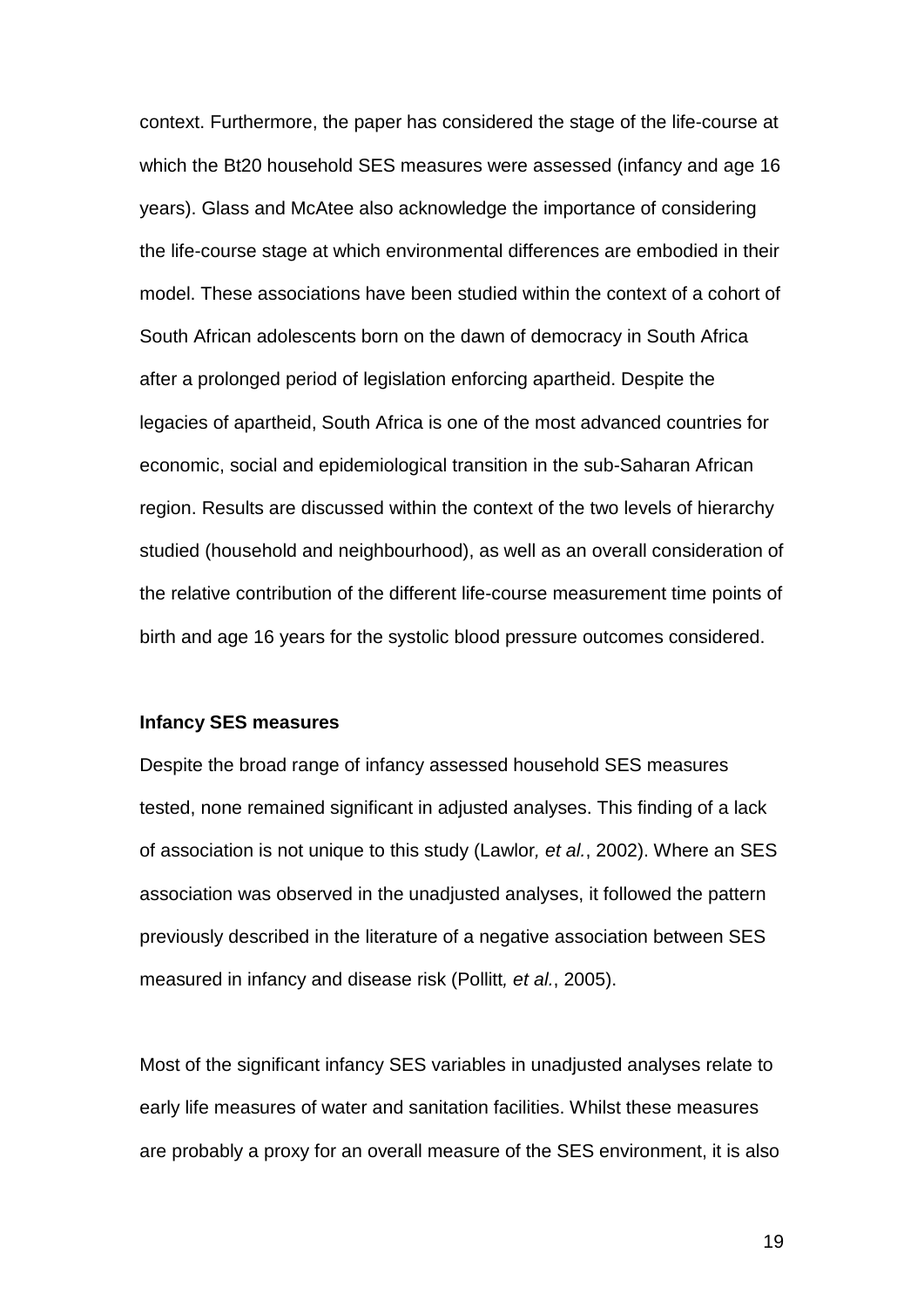context. Furthermore, the paper has considered the stage of the life-course at which the Bt20 household SES measures were assessed (infancy and age 16 years). Glass and McAtee also acknowledge the importance of considering the life-course stage at which environmental differences are embodied in their model. These associations have been studied within the context of a cohort of South African adolescents born on the dawn of democracy in South Africa after a prolonged period of legislation enforcing apartheid. Despite the legacies of apartheid, South Africa is one of the most advanced countries for economic, social and epidemiological transition in the sub-Saharan African region. Results are discussed within the context of the two levels of hierarchy studied (household and neighbourhood), as well as an overall consideration of the relative contribution of the different life-course measurement time points of birth and age 16 years for the systolic blood pressure outcomes considered.

#### **Infancy SES measures**

Despite the broad range of infancy assessed household SES measures tested, none remained significant in adjusted analyses. This finding of a lack of association is not unique to this study (Lawlor*, et al.*, 2002). Where an SES association was observed in the unadjusted analyses, it followed the pattern previously described in the literature of a negative association between SES measured in infancy and disease risk (Pollitt*, et al.*, 2005).

Most of the significant infancy SES variables in unadjusted analyses relate to early life measures of water and sanitation facilities. Whilst these measures are probably a proxy for an overall measure of the SES environment, it is also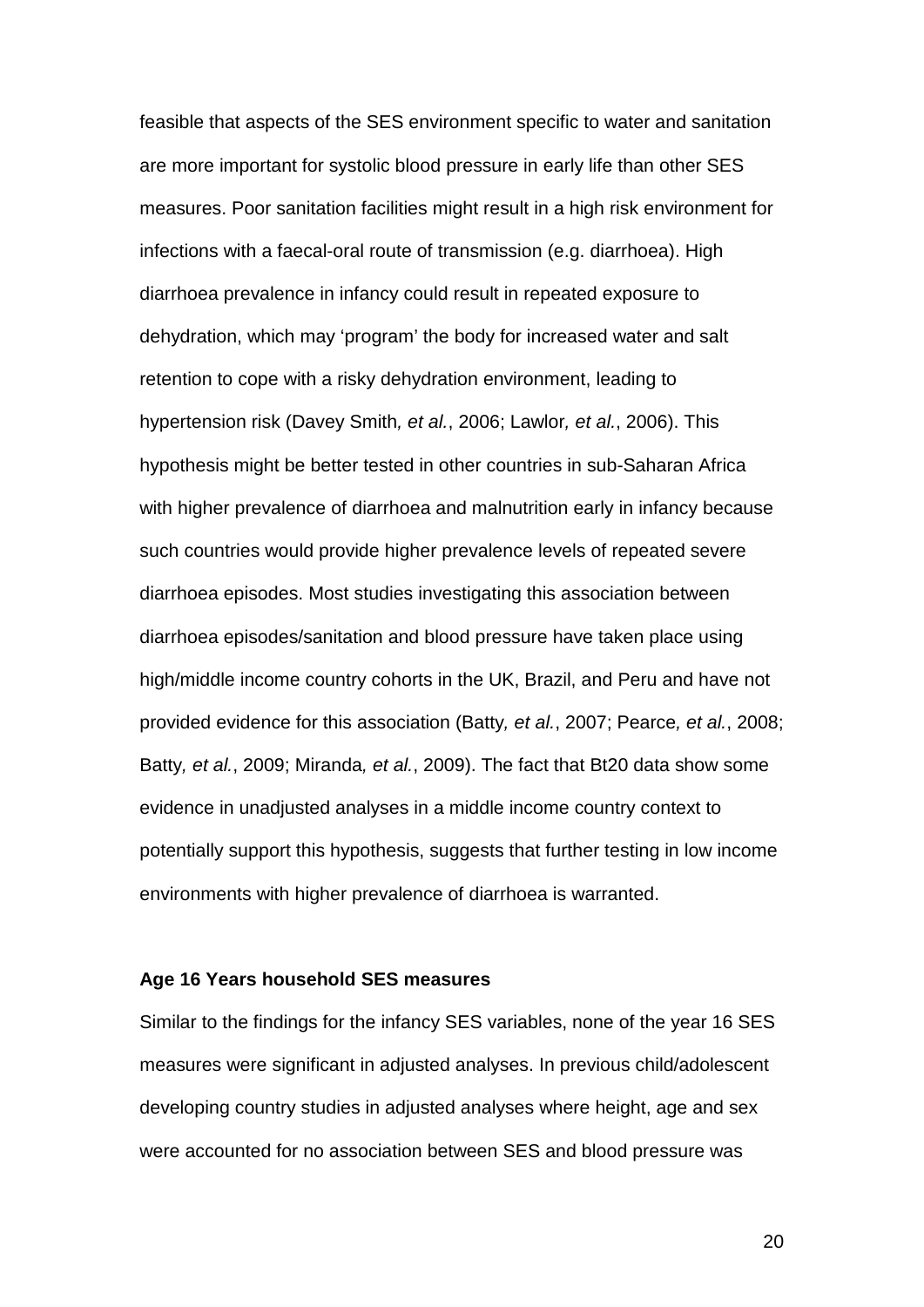feasible that aspects of the SES environment specific to water and sanitation are more important for systolic blood pressure in early life than other SES measures. Poor sanitation facilities might result in a high risk environment for infections with a faecal-oral route of transmission (e.g. diarrhoea). High diarrhoea prevalence in infancy could result in repeated exposure to dehydration, which may 'program' the body for increased water and salt retention to cope with a risky dehydration environment, leading to hypertension risk (Davey Smith*, et al.*, 2006; Lawlor*, et al.*, 2006). This hypothesis might be better tested in other countries in sub-Saharan Africa with higher prevalence of diarrhoea and malnutrition early in infancy because such countries would provide higher prevalence levels of repeated severe diarrhoea episodes. Most studies investigating this association between diarrhoea episodes/sanitation and blood pressure have taken place using high/middle income country cohorts in the UK, Brazil, and Peru and have not provided evidence for this association (Batty*, et al.*, 2007; Pearce*, et al.*, 2008; Batty*, et al.*, 2009; Miranda*, et al.*, 2009). The fact that Bt20 data show some evidence in unadjusted analyses in a middle income country context to potentially support this hypothesis, suggests that further testing in low income environments with higher prevalence of diarrhoea is warranted.

#### **Age 16 Years household SES measures**

Similar to the findings for the infancy SES variables, none of the year 16 SES measures were significant in adjusted analyses. In previous child/adolescent developing country studies in adjusted analyses where height, age and sex were accounted for no association between SES and blood pressure was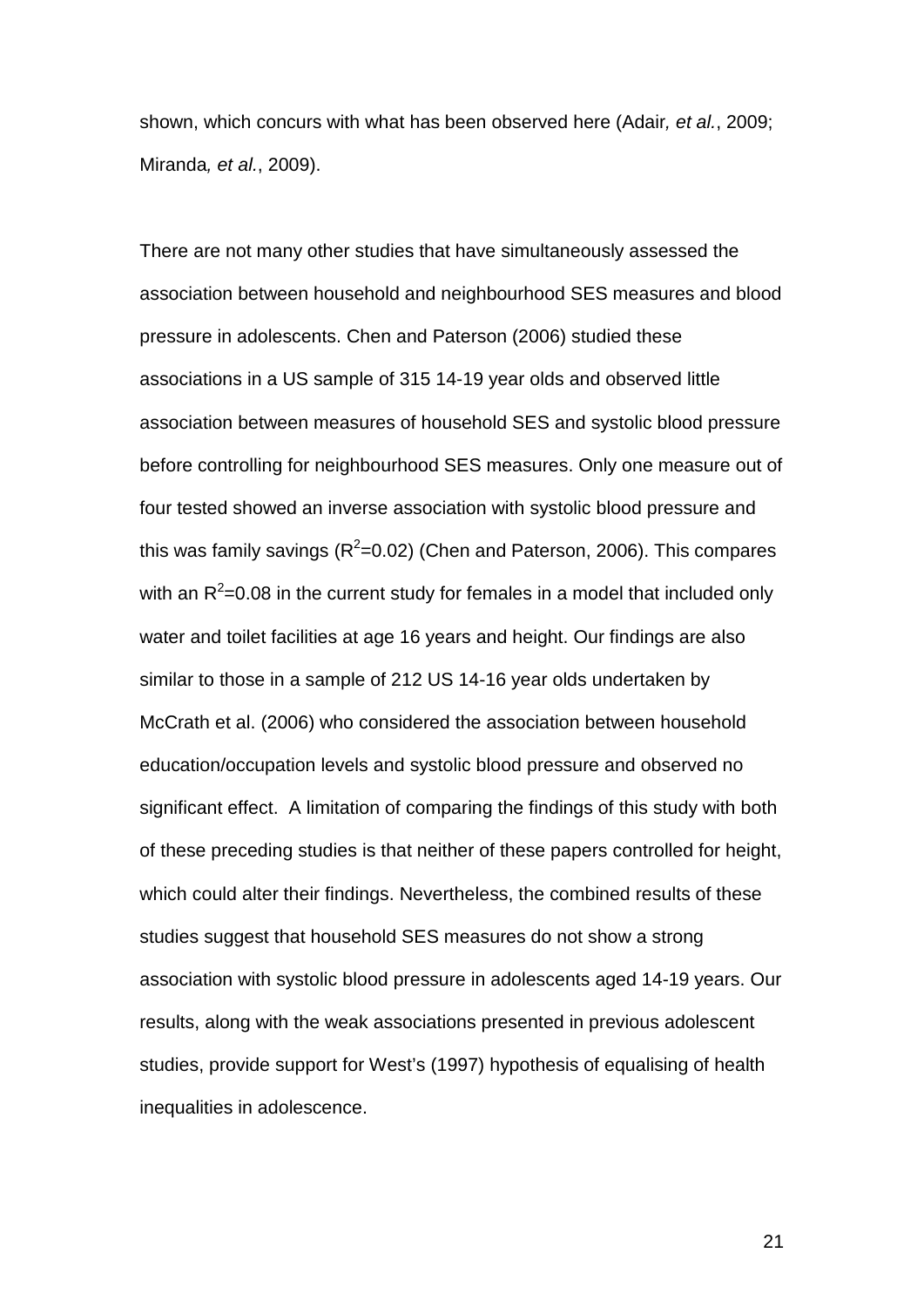shown, which concurs with what has been observed here (Adair*, et al.*, 2009; Miranda*, et al.*, 2009).

There are not many other studies that have simultaneously assessed the association between household and neighbourhood SES measures and blood pressure in adolescents. Chen and Paterson (2006) studied these associations in a US sample of 315 14-19 year olds and observed little association between measures of household SES and systolic blood pressure before controlling for neighbourhood SES measures. Only one measure out of four tested showed an inverse association with systolic blood pressure and this was family savings ( $R^2$ =0.02) (Chen and Paterson, 2006). This compares with an  $R^2$ =0.08 in the current study for females in a model that included only water and toilet facilities at age 16 years and height. Our findings are also similar to those in a sample of 212 US 14-16 year olds undertaken by McCrath et al. (2006) who considered the association between household education/occupation levels and systolic blood pressure and observed no significant effect. A limitation of comparing the findings of this study with both of these preceding studies is that neither of these papers controlled for height, which could alter their findings. Nevertheless, the combined results of these studies suggest that household SES measures do not show a strong association with systolic blood pressure in adolescents aged 14-19 years. Our results, along with the weak associations presented in previous adolescent studies, provide support for West's (1997) hypothesis of equalising of health inequalities in adolescence.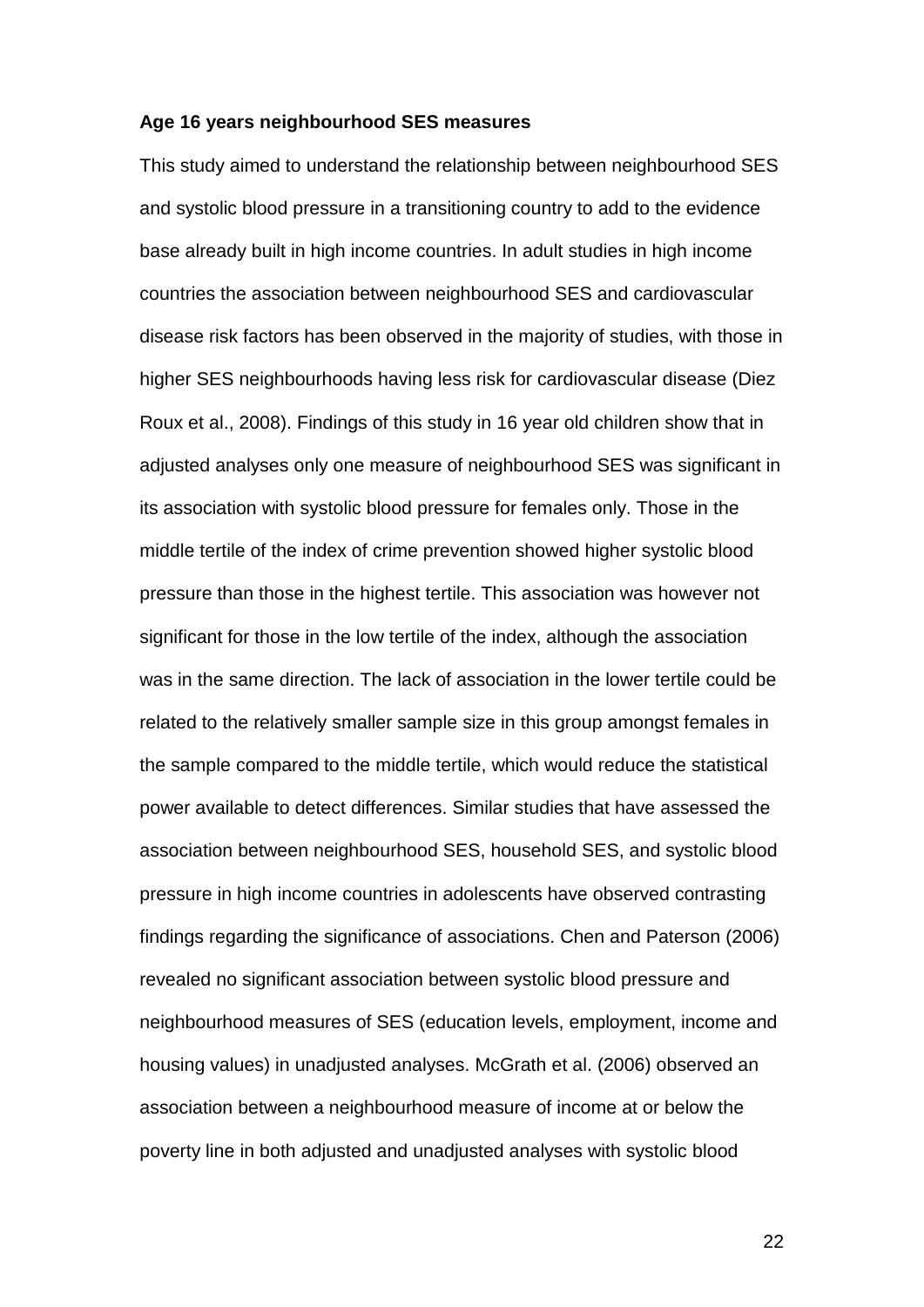#### **Age 16 years neighbourhood SES measures**

This study aimed to understand the relationship between neighbourhood SES and systolic blood pressure in a transitioning country to add to the evidence base already built in high income countries. In adult studies in high income countries the association between neighbourhood SES and cardiovascular disease risk factors has been observed in the majority of studies, with those in higher SES neighbourhoods having less risk for cardiovascular disease (Diez Roux et al., 2008). Findings of this study in 16 year old children show that in adjusted analyses only one measure of neighbourhood SES was significant in its association with systolic blood pressure for females only. Those in the middle tertile of the index of crime prevention showed higher systolic blood pressure than those in the highest tertile. This association was however not significant for those in the low tertile of the index, although the association was in the same direction. The lack of association in the lower tertile could be related to the relatively smaller sample size in this group amongst females in the sample compared to the middle tertile, which would reduce the statistical power available to detect differences. Similar studies that have assessed the association between neighbourhood SES, household SES, and systolic blood pressure in high income countries in adolescents have observed contrasting findings regarding the significance of associations. Chen and Paterson (2006) revealed no significant association between systolic blood pressure and neighbourhood measures of SES (education levels, employment, income and housing values) in unadjusted analyses. McGrath et al. (2006) observed an association between a neighbourhood measure of income at or below the poverty line in both adjusted and unadjusted analyses with systolic blood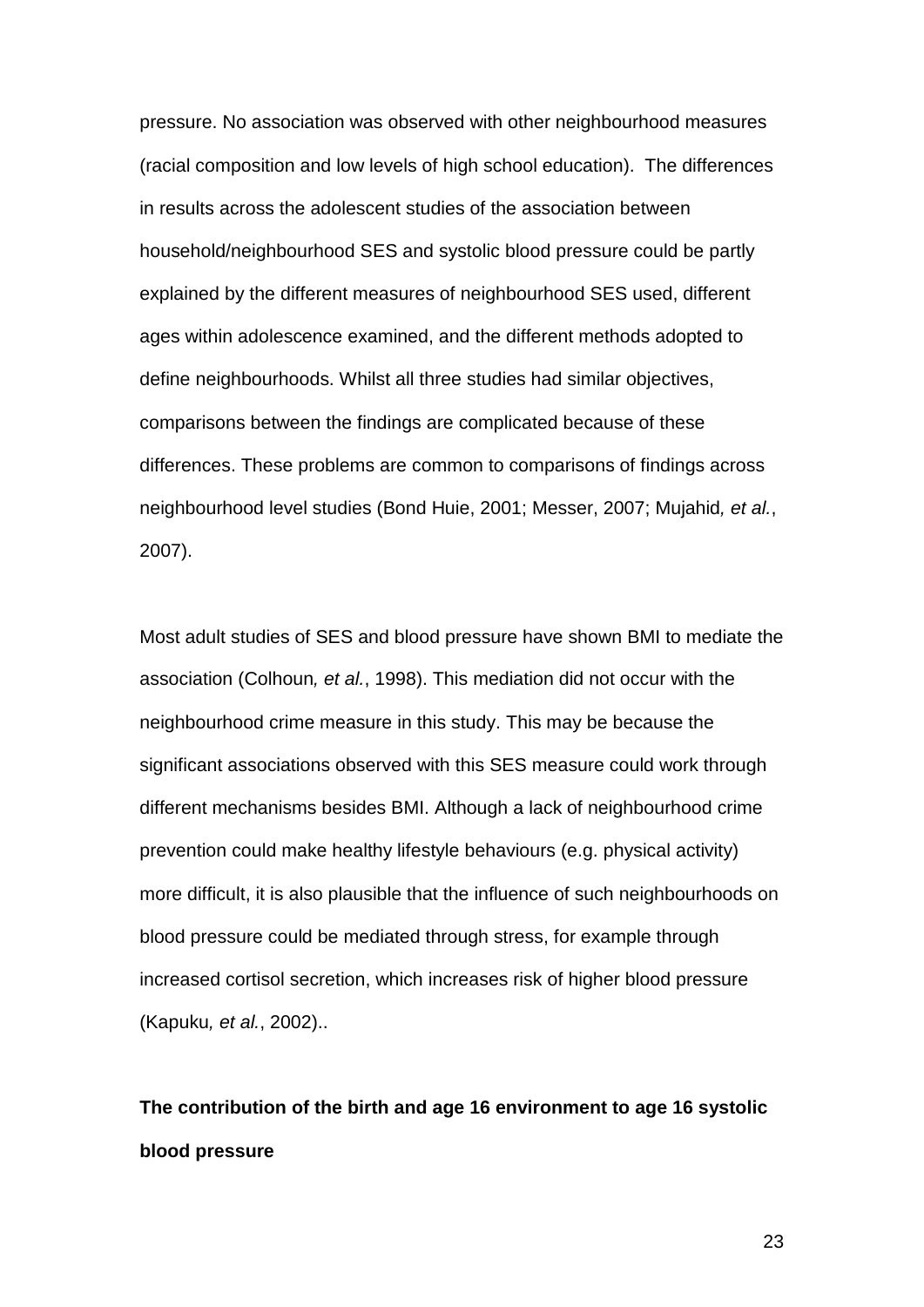pressure. No association was observed with other neighbourhood measures (racial composition and low levels of high school education). The differences in results across the adolescent studies of the association between household/neighbourhood SES and systolic blood pressure could be partly explained by the different measures of neighbourhood SES used, different ages within adolescence examined, and the different methods adopted to define neighbourhoods. Whilst all three studies had similar objectives, comparisons between the findings are complicated because of these differences. These problems are common to comparisons of findings across neighbourhood level studies (Bond Huie, 2001; Messer, 2007; Mujahid*, et al.*, 2007).

Most adult studies of SES and blood pressure have shown BMI to mediate the association (Colhoun*, et al.*, 1998). This mediation did not occur with the neighbourhood crime measure in this study. This may be because the significant associations observed with this SES measure could work through different mechanisms besides BMI. Although a lack of neighbourhood crime prevention could make healthy lifestyle behaviours (e.g. physical activity) more difficult, it is also plausible that the influence of such neighbourhoods on blood pressure could be mediated through stress, for example through increased cortisol secretion, which increases risk of higher blood pressure (Kapuku*, et al.*, 2002)..

# **The contribution of the birth and age 16 environment to age 16 systolic blood pressure**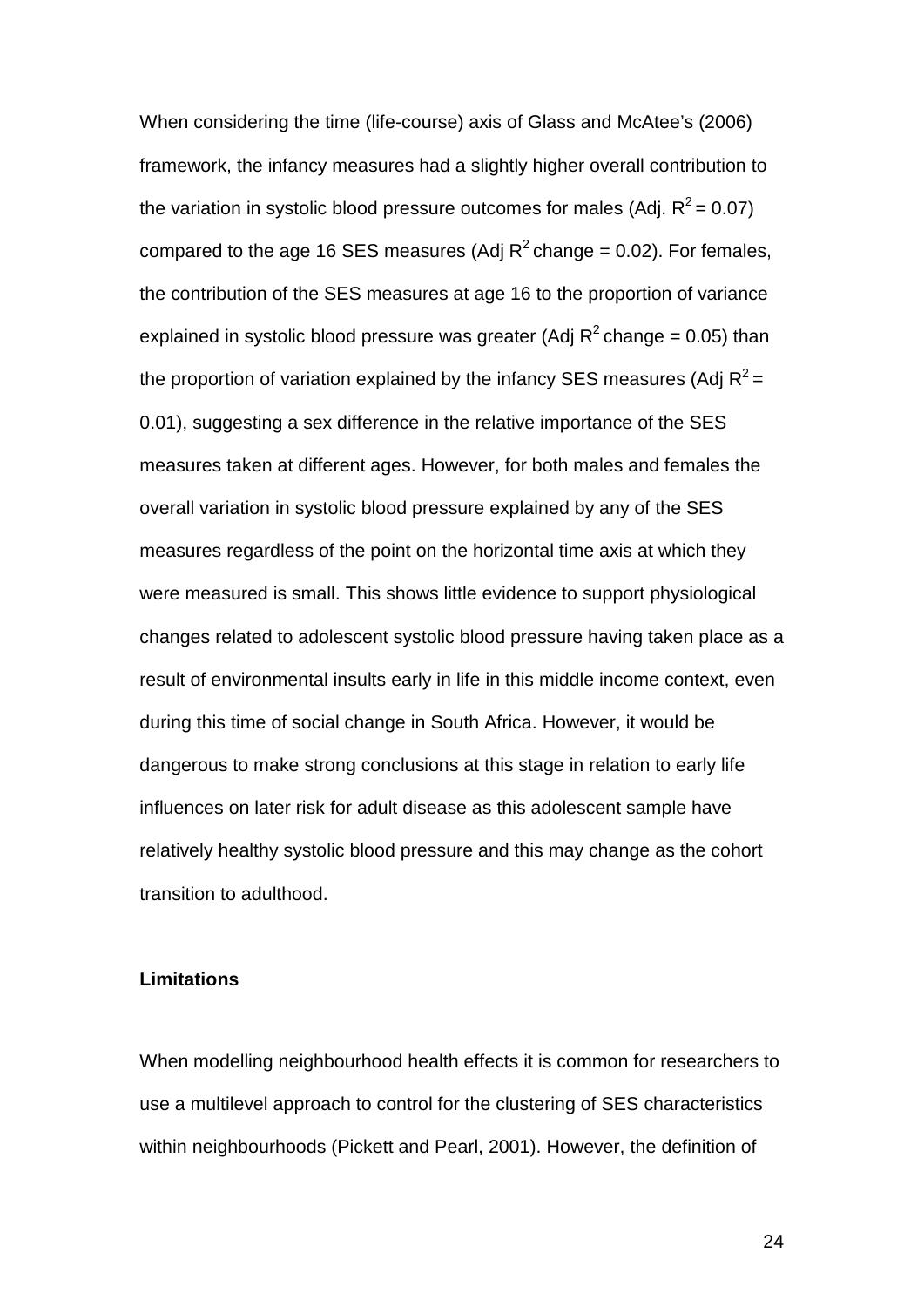When considering the time (life-course) axis of Glass and McAtee's (2006) framework, the infancy measures had a slightly higher overall contribution to the variation in systolic blood pressure outcomes for males (Adj.  $R^2 = 0.07$ ) compared to the age 16 SES measures (Adj  $R^2$  change = 0.02). For females, the contribution of the SES measures at age 16 to the proportion of variance explained in systolic blood pressure was greater (Adj  $R^2$  change = 0.05) than the proportion of variation explained by the infancy SES measures (Adj  $R^2$  = 0.01), suggesting a sex difference in the relative importance of the SES measures taken at different ages. However, for both males and females the overall variation in systolic blood pressure explained by any of the SES measures regardless of the point on the horizontal time axis at which they were measured is small. This shows little evidence to support physiological changes related to adolescent systolic blood pressure having taken place as a result of environmental insults early in life in this middle income context, even during this time of social change in South Africa. However, it would be dangerous to make strong conclusions at this stage in relation to early life influences on later risk for adult disease as this adolescent sample have relatively healthy systolic blood pressure and this may change as the cohort transition to adulthood.

## **Limitations**

When modelling neighbourhood health effects it is common for researchers to use a multilevel approach to control for the clustering of SES characteristics within neighbourhoods (Pickett and Pearl, 2001). However, the definition of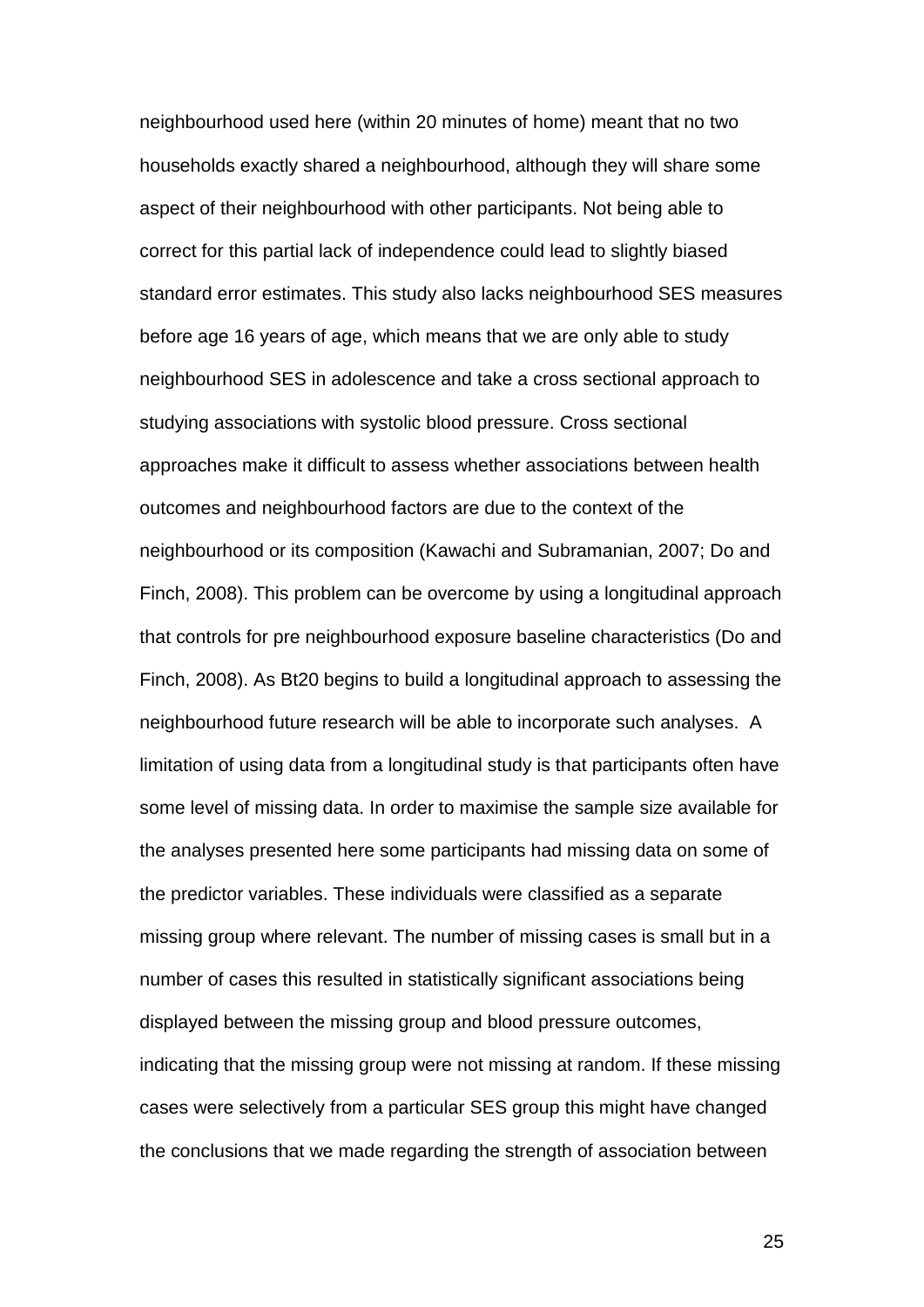neighbourhood used here (within 20 minutes of home) meant that no two households exactly shared a neighbourhood, although they will share some aspect of their neighbourhood with other participants. Not being able to correct for this partial lack of independence could lead to slightly biased standard error estimates. This study also lacks neighbourhood SES measures before age 16 years of age, which means that we are only able to study neighbourhood SES in adolescence and take a cross sectional approach to studying associations with systolic blood pressure. Cross sectional approaches make it difficult to assess whether associations between health outcomes and neighbourhood factors are due to the context of the neighbourhood or its composition (Kawachi and Subramanian, 2007; Do and Finch, 2008). This problem can be overcome by using a longitudinal approach that controls for pre neighbourhood exposure baseline characteristics (Do and Finch, 2008). As Bt20 begins to build a longitudinal approach to assessing the neighbourhood future research will be able to incorporate such analyses. A limitation of using data from a longitudinal study is that participants often have some level of missing data. In order to maximise the sample size available for the analyses presented here some participants had missing data on some of the predictor variables. These individuals were classified as a separate missing group where relevant. The number of missing cases is small but in a number of cases this resulted in statistically significant associations being displayed between the missing group and blood pressure outcomes, indicating that the missing group were not missing at random. If these missing cases were selectively from a particular SES group this might have changed the conclusions that we made regarding the strength of association between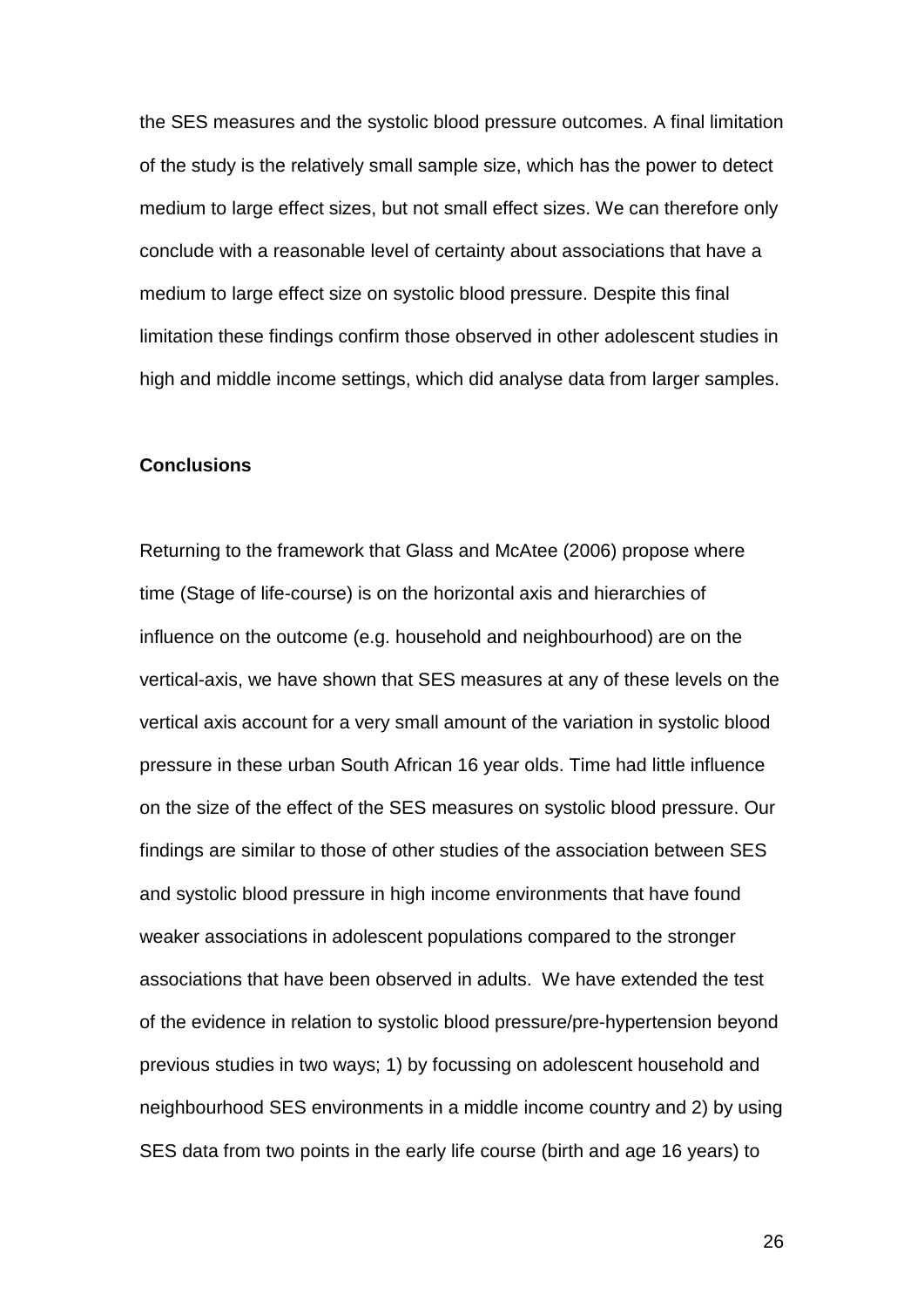the SES measures and the systolic blood pressure outcomes. A final limitation of the study is the relatively small sample size, which has the power to detect medium to large effect sizes, but not small effect sizes. We can therefore only conclude with a reasonable level of certainty about associations that have a medium to large effect size on systolic blood pressure. Despite this final limitation these findings confirm those observed in other adolescent studies in high and middle income settings, which did analyse data from larger samples.

## **Conclusions**

Returning to the framework that Glass and McAtee (2006) propose where time (Stage of life-course) is on the horizontal axis and hierarchies of influence on the outcome (e.g. household and neighbourhood) are on the vertical-axis, we have shown that SES measures at any of these levels on the vertical axis account for a very small amount of the variation in systolic blood pressure in these urban South African 16 year olds. Time had little influence on the size of the effect of the SES measures on systolic blood pressure. Our findings are similar to those of other studies of the association between SES and systolic blood pressure in high income environments that have found weaker associations in adolescent populations compared to the stronger associations that have been observed in adults. We have extended the test of the evidence in relation to systolic blood pressure/pre-hypertension beyond previous studies in two ways; 1) by focussing on adolescent household and neighbourhood SES environments in a middle income country and 2) by using SES data from two points in the early life course (birth and age 16 years) to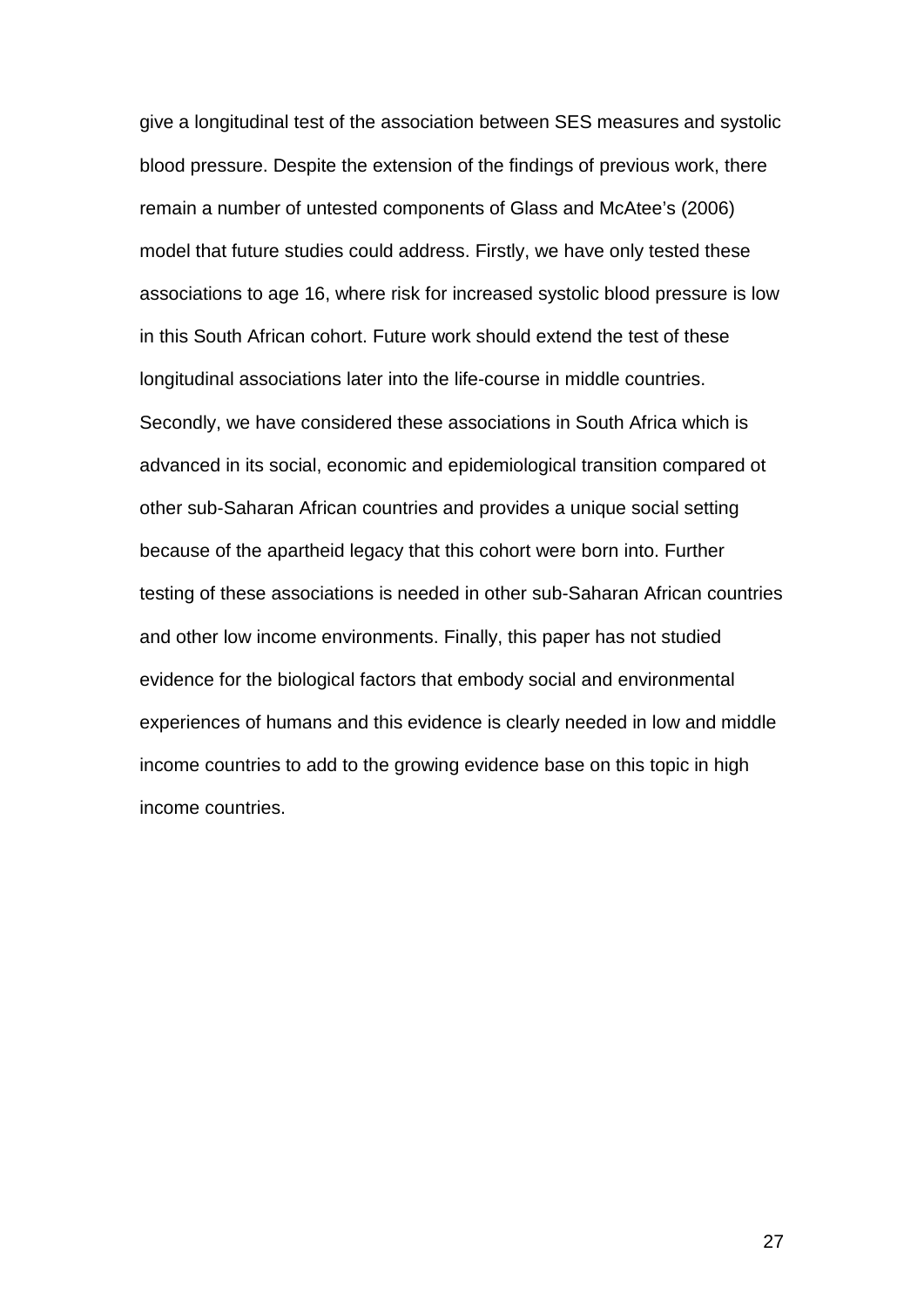give a longitudinal test of the association between SES measures and systolic blood pressure. Despite the extension of the findings of previous work, there remain a number of untested components of Glass and McAtee's (2006) model that future studies could address. Firstly, we have only tested these associations to age 16, where risk for increased systolic blood pressure is low in this South African cohort. Future work should extend the test of these longitudinal associations later into the life-course in middle countries. Secondly, we have considered these associations in South Africa which is advanced in its social, economic and epidemiological transition compared ot other sub-Saharan African countries and provides a unique social setting because of the apartheid legacy that this cohort were born into. Further testing of these associations is needed in other sub-Saharan African countries and other low income environments. Finally, this paper has not studied evidence for the biological factors that embody social and environmental experiences of humans and this evidence is clearly needed in low and middle income countries to add to the growing evidence base on this topic in high income countries.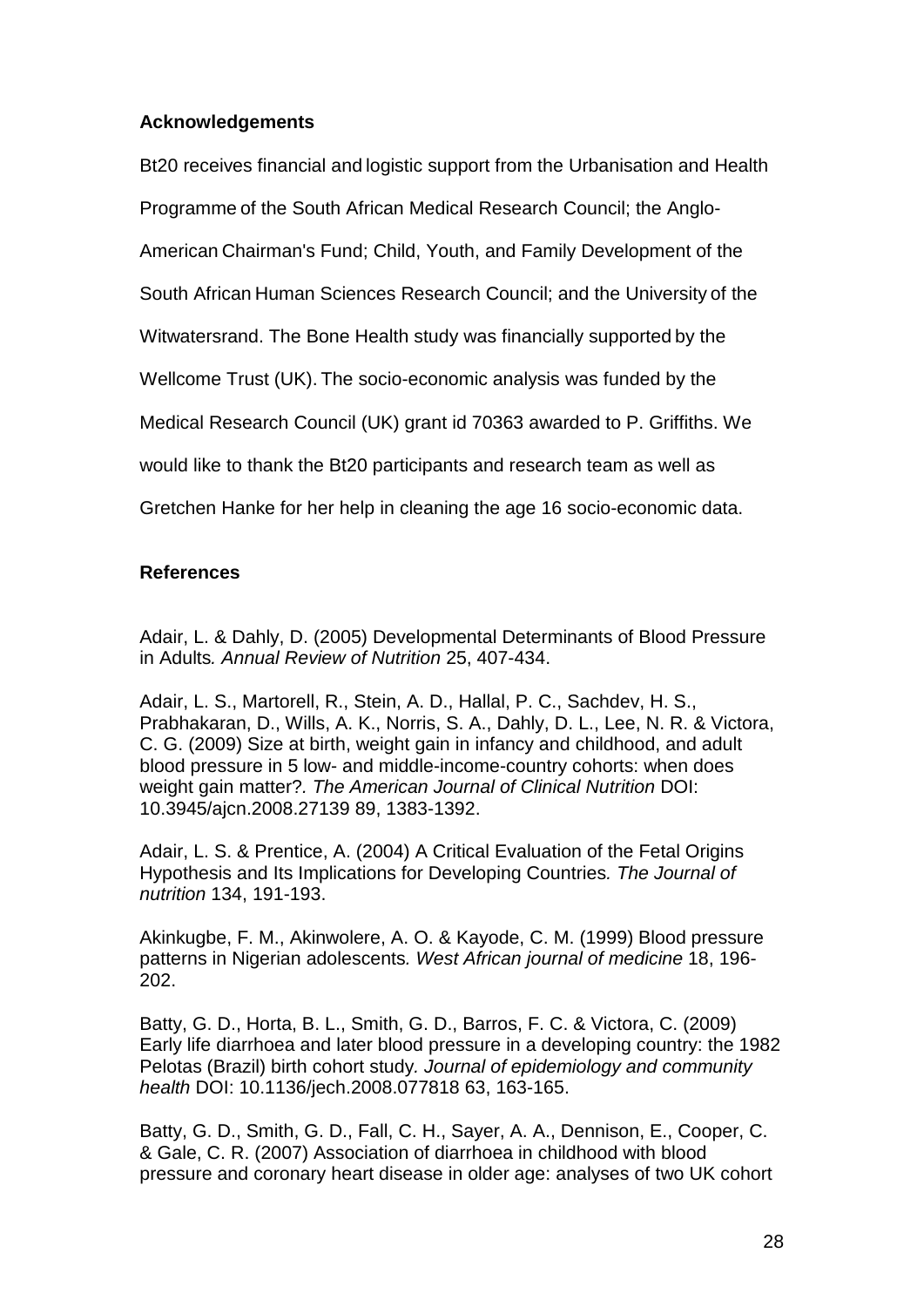# **Acknowledgements**

Bt20 receives financial and logistic support from the Urbanisation and Health Programme of the South African Medical Research Council; the Anglo-American Chairman's Fund; Child, Youth, and Family Development of the South African Human Sciences Research Council; and the University of the Witwatersrand. The Bone Health study was financially supported by the Wellcome Trust (UK). The socio-economic analysis was funded by the Medical Research Council (UK) grant id 70363 awarded to P. Griffiths. We would like to thank the Bt20 participants and research team as well as Gretchen Hanke for her help in cleaning the age 16 socio-economic data.

# **References**

Adair, L. & Dahly, D. (2005) Developmental Determinants of Blood Pressure in Adults*. Annual Review of Nutrition* 25, 407-434.

Adair, L. S., Martorell, R., Stein, A. D., Hallal, P. C., Sachdev, H. S., Prabhakaran, D., Wills, A. K., Norris, S. A., Dahly, D. L., Lee, N. R. & Victora, C. G. (2009) Size at birth, weight gain in infancy and childhood, and adult blood pressure in 5 low- and middle-income-country cohorts: when does weight gain matter?*. The American Journal of Clinical Nutrition* DOI: 10.3945/ajcn.2008.27139 89, 1383-1392.

Adair, L. S. & Prentice, A. (2004) A Critical Evaluation of the Fetal Origins Hypothesis and Its Implications for Developing Countries*. The Journal of nutrition* 134, 191-193.

Akinkugbe, F. M., Akinwolere, A. O. & Kayode, C. M. (1999) Blood pressure patterns in Nigerian adolescents*. West African journal of medicine* 18, 196- 202.

Batty, G. D., Horta, B. L., Smith, G. D., Barros, F. C. & Victora, C. (2009) Early life diarrhoea and later blood pressure in a developing country: the 1982 Pelotas (Brazil) birth cohort study*. Journal of epidemiology and community health* DOI: 10.1136/jech.2008.077818 63, 163-165.

Batty, G. D., Smith, G. D., Fall, C. H., Sayer, A. A., Dennison, E., Cooper, C. & Gale, C. R. (2007) Association of diarrhoea in childhood with blood pressure and coronary heart disease in older age: analyses of two UK cohort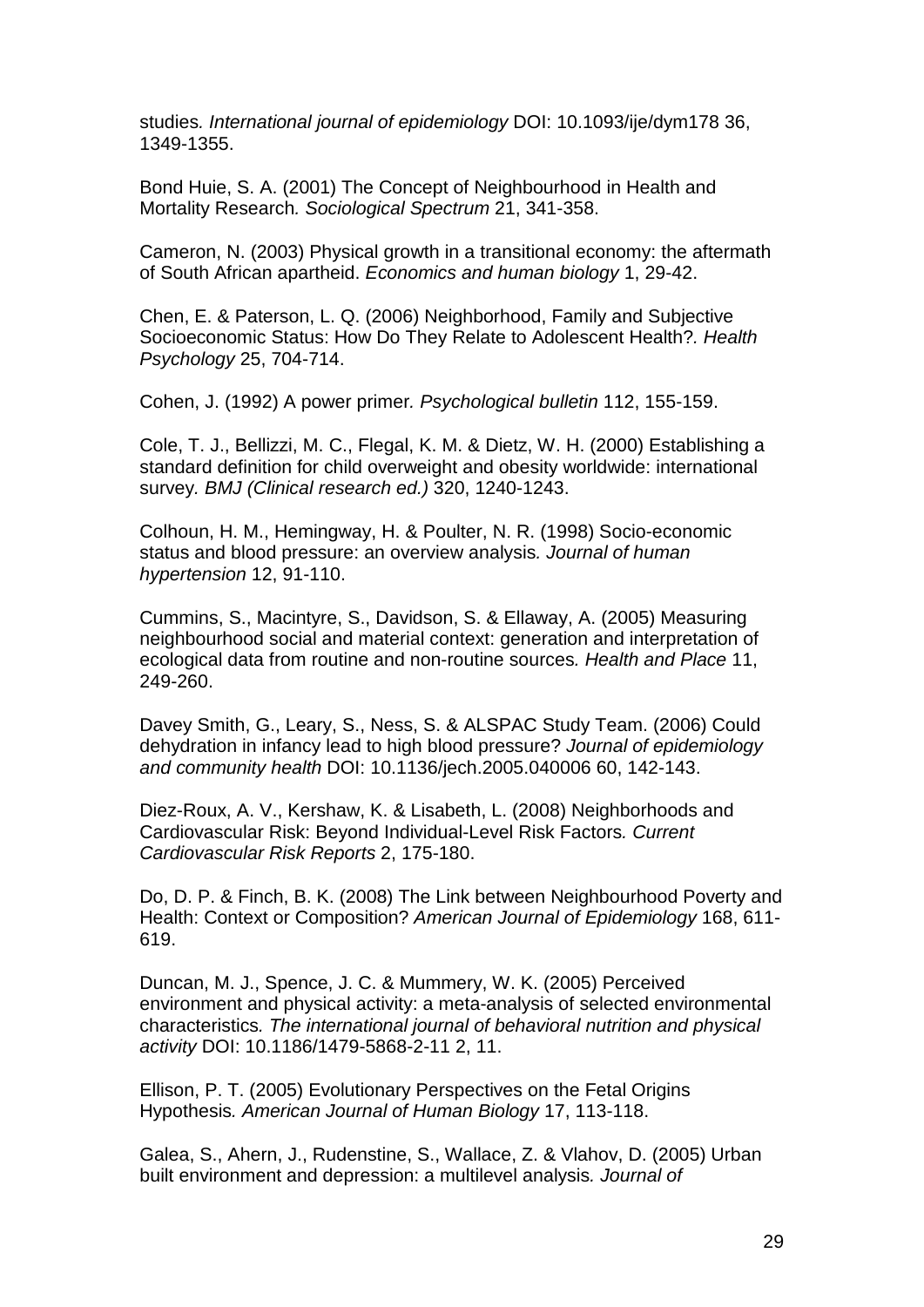studies*. International journal of epidemiology* DOI: 10.1093/ije/dym178 36, 1349-1355.

Bond Huie, S. A. (2001) The Concept of Neighbourhood in Health and Mortality Research*. Sociological Spectrum* 21, 341-358.

Cameron, N. (2003) Physical growth in a transitional economy: the aftermath of South African apartheid. *Economics and human biology* 1, 29-42.

Chen, E. & Paterson, L. Q. (2006) Neighborhood, Family and Subjective Socioeconomic Status: How Do They Relate to Adolescent Health?*. Health Psychology* 25, 704-714.

Cohen, J. (1992) A power primer*. Psychological bulletin* 112, 155-159.

Cole, T. J., Bellizzi, M. C., Flegal, K. M. & Dietz, W. H. (2000) Establishing a standard definition for child overweight and obesity worldwide: international survey*. BMJ (Clinical research ed.)* 320, 1240-1243.

Colhoun, H. M., Hemingway, H. & Poulter, N. R. (1998) Socio-economic status and blood pressure: an overview analysis*. Journal of human hypertension* 12, 91-110.

Cummins, S., Macintyre, S., Davidson, S. & Ellaway, A. (2005) Measuring neighbourhood social and material context: generation and interpretation of ecological data from routine and non-routine sources*. Health and Place* 11, 249-260.

Davey Smith, G., Leary, S., Ness, S. & ALSPAC Study Team. (2006) Could dehydration in infancy lead to high blood pressure? *Journal of epidemiology and community health* DOI: 10.1136/jech.2005.040006 60, 142-143.

Diez-Roux, A. V., Kershaw, K. & Lisabeth, L. (2008) Neighborhoods and Cardiovascular Risk: Beyond Individual-Level Risk Factors*. Current Cardiovascular Risk Reports* 2, 175-180.

Do, D. P. & Finch, B. K. (2008) The Link between Neighbourhood Poverty and Health: Context or Composition? *American Journal of Epidemiology* 168, 611- 619.

Duncan, M. J., Spence, J. C. & Mummery, W. K. (2005) Perceived environment and physical activity: a meta-analysis of selected environmental characteristics*. The international journal of behavioral nutrition and physical activity* DOI: 10.1186/1479-5868-2-11 2, 11.

Ellison, P. T. (2005) Evolutionary Perspectives on the Fetal Origins Hypothesis*. American Journal of Human Biology* 17, 113-118.

Galea, S., Ahern, J., Rudenstine, S., Wallace, Z. & Vlahov, D. (2005) Urban built environment and depression: a multilevel analysis*. Journal of*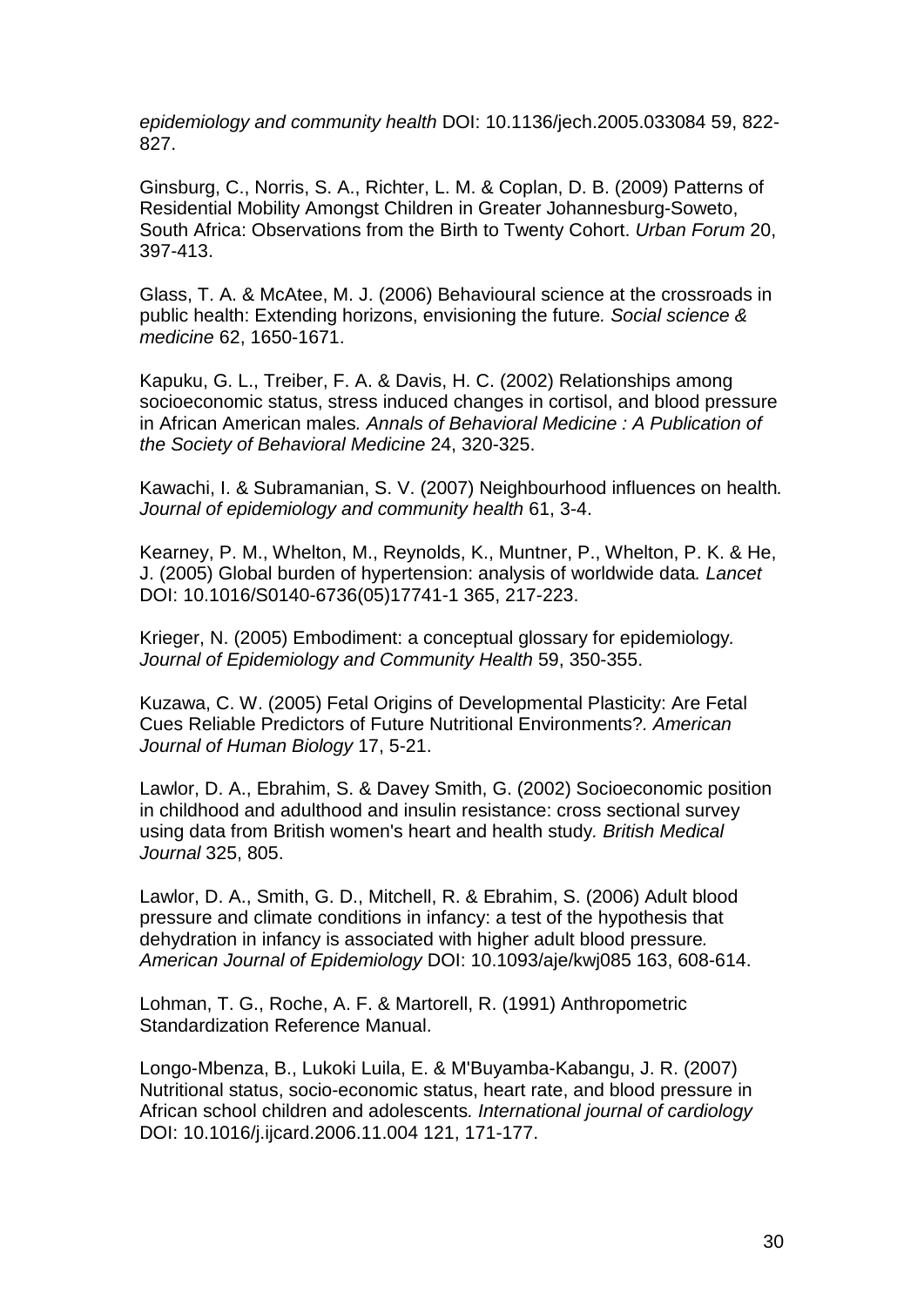*epidemiology and community health* DOI: 10.1136/jech.2005.033084 59, 822- 827.

Ginsburg, C., Norris, S. A., Richter, L. M. & Coplan, D. B. (2009) Patterns of Residential Mobility Amongst Children in Greater Johannesburg-Soweto, South Africa: Observations from the Birth to Twenty Cohort. *Urban Forum* 20, 397-413.

Glass, T. A. & McAtee, M. J. (2006) Behavioural science at the crossroads in public health: Extending horizons, envisioning the future*. Social science & medicine* 62, 1650-1671.

Kapuku, G. L., Treiber, F. A. & Davis, H. C. (2002) Relationships among socioeconomic status, stress induced changes in cortisol, and blood pressure in African American males*. Annals of Behavioral Medicine : A Publication of the Society of Behavioral Medicine* 24, 320-325.

Kawachi, I. & Subramanian, S. V. (2007) Neighbourhood influences on health*. Journal of epidemiology and community health* 61, 3-4.

Kearney, P. M., Whelton, M., Reynolds, K., Muntner, P., Whelton, P. K. & He, J. (2005) Global burden of hypertension: analysis of worldwide data*. Lancet* DOI: 10.1016/S0140-6736(05)17741-1 365, 217-223.

Krieger, N. (2005) Embodiment: a conceptual glossary for epidemiology*. Journal of Epidemiology and Community Health* 59, 350-355.

Kuzawa, C. W. (2005) Fetal Origins of Developmental Plasticity: Are Fetal Cues Reliable Predictors of Future Nutritional Environments?*. American Journal of Human Biology* 17, 5-21.

Lawlor, D. A., Ebrahim, S. & Davey Smith, G. (2002) Socioeconomic position in childhood and adulthood and insulin resistance: cross sectional survey using data from British women's heart and health study*. British Medical Journal* 325, 805.

Lawlor, D. A., Smith, G. D., Mitchell, R. & Ebrahim, S. (2006) Adult blood pressure and climate conditions in infancy: a test of the hypothesis that dehydration in infancy is associated with higher adult blood pressure*. American Journal of Epidemiology* DOI: 10.1093/aje/kwj085 163, 608-614.

Lohman, T. G., Roche, A. F. & Martorell, R. (1991) Anthropometric Standardization Reference Manual.

Longo-Mbenza, B., Lukoki Luila, E. & M'Buyamba-Kabangu, J. R. (2007) Nutritional status, socio-economic status, heart rate, and blood pressure in African school children and adolescents*. International journal of cardiology* DOI: 10.1016/j.ijcard.2006.11.004 121, 171-177.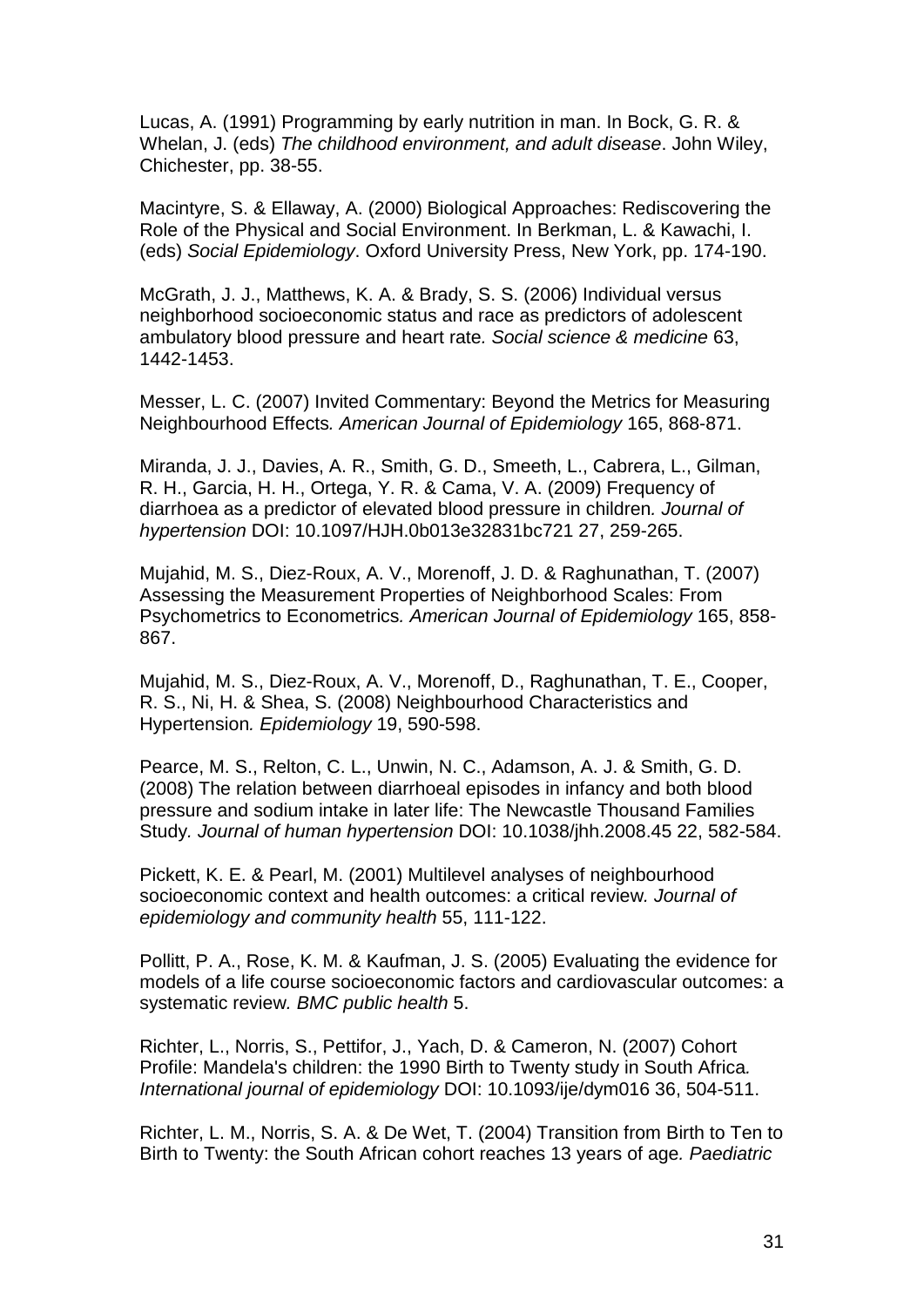Lucas, A. (1991) Programming by early nutrition in man. In Bock, G. R. & Whelan, J. (eds) *The childhood environment, and adult disease*. John Wiley, Chichester, pp. 38-55.

Macintyre, S. & Ellaway, A. (2000) Biological Approaches: Rediscovering the Role of the Physical and Social Environment. In Berkman, L. & Kawachi, I. (eds) *Social Epidemiology*. Oxford University Press, New York, pp. 174-190.

McGrath, J. J., Matthews, K. A. & Brady, S. S. (2006) Individual versus neighborhood socioeconomic status and race as predictors of adolescent ambulatory blood pressure and heart rate*. Social science & medicine* 63, 1442-1453.

Messer, L. C. (2007) Invited Commentary: Beyond the Metrics for Measuring Neighbourhood Effects*. American Journal of Epidemiology* 165, 868-871.

Miranda, J. J., Davies, A. R., Smith, G. D., Smeeth, L., Cabrera, L., Gilman, R. H., Garcia, H. H., Ortega, Y. R. & Cama, V. A. (2009) Frequency of diarrhoea as a predictor of elevated blood pressure in children*. Journal of hypertension* DOI: 10.1097/HJH.0b013e32831bc721 27, 259-265.

Mujahid, M. S., Diez-Roux, A. V., Morenoff, J. D. & Raghunathan, T. (2007) Assessing the Measurement Properties of Neighborhood Scales: From Psychometrics to Econometrics*. American Journal of Epidemiology* 165, 858- 867.

Mujahid, M. S., Diez-Roux, A. V., Morenoff, D., Raghunathan, T. E., Cooper, R. S., Ni, H. & Shea, S. (2008) Neighbourhood Characteristics and Hypertension*. Epidemiology* 19, 590-598.

Pearce, M. S., Relton, C. L., Unwin, N. C., Adamson, A. J. & Smith, G. D. (2008) The relation between diarrhoeal episodes in infancy and both blood pressure and sodium intake in later life: The Newcastle Thousand Families Study*. Journal of human hypertension* DOI: 10.1038/jhh.2008.45 22, 582-584.

Pickett, K. E. & Pearl, M. (2001) Multilevel analyses of neighbourhood socioeconomic context and health outcomes: a critical review*. Journal of epidemiology and community health* 55, 111-122.

Pollitt, P. A., Rose, K. M. & Kaufman, J. S. (2005) Evaluating the evidence for models of a life course socioeconomic factors and cardiovascular outcomes: a systematic review*. BMC public health* 5.

Richter, L., Norris, S., Pettifor, J., Yach, D. & Cameron, N. (2007) Cohort Profile: Mandela's children: the 1990 Birth to Twenty study in South Africa*. International journal of epidemiology* DOI: 10.1093/ije/dym016 36, 504-511.

Richter, L. M., Norris, S. A. & De Wet, T. (2004) Transition from Birth to Ten to Birth to Twenty: the South African cohort reaches 13 years of age*. Paediatric*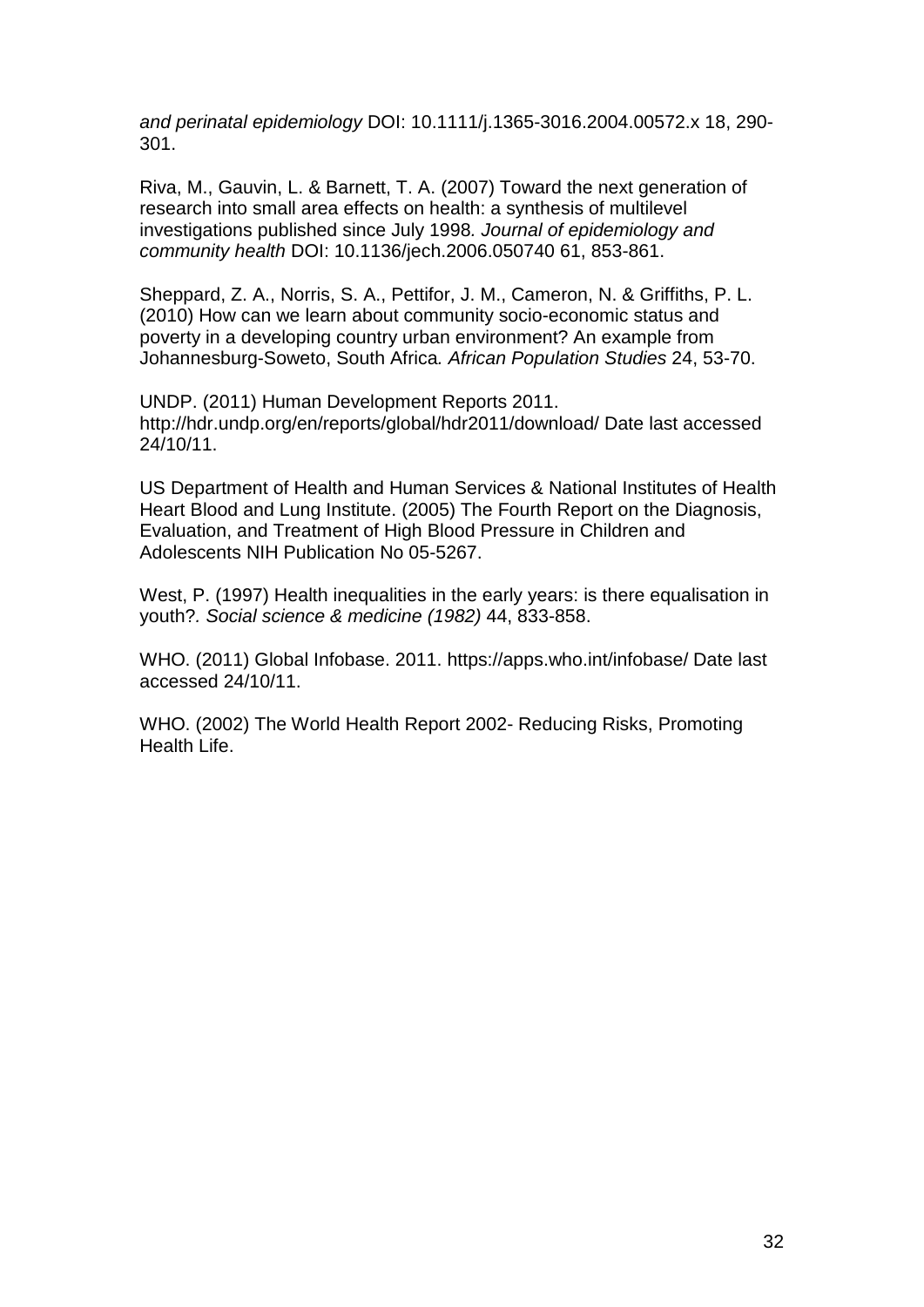*and perinatal epidemiology* DOI: 10.1111/j.1365-3016.2004.00572.x 18, 290- 301.

Riva, M., Gauvin, L. & Barnett, T. A. (2007) Toward the next generation of research into small area effects on health: a synthesis of multilevel investigations published since July 1998*. Journal of epidemiology and community health* DOI: 10.1136/jech.2006.050740 61, 853-861.

Sheppard, Z. A., Norris, S. A., Pettifor, J. M., Cameron, N. & Griffiths, P. L. (2010) How can we learn about community socio-economic status and poverty in a developing country urban environment? An example from Johannesburg-Soweto, South Africa*. African Population Studies* 24, 53-70.

UNDP. (2011) Human Development Reports 2011. http://hdr.undp.org/en/reports/global/hdr2011/download/ Date last accessed 24/10/11.

US Department of Health and Human Services & National Institutes of Health Heart Blood and Lung Institute. (2005) The Fourth Report on the Diagnosis, Evaluation, and Treatment of High Blood Pressure in Children and Adolescents NIH Publication No 05-5267.

West, P. (1997) Health inequalities in the early years: is there equalisation in youth?*. Social science & medicine (1982)* 44, 833-858.

WHO. (2011) Global Infobase. 2011. https://apps.who.int/infobase/ Date last accessed 24/10/11.

WHO. (2002) The World Health Report 2002- Reducing Risks, Promoting Health Life.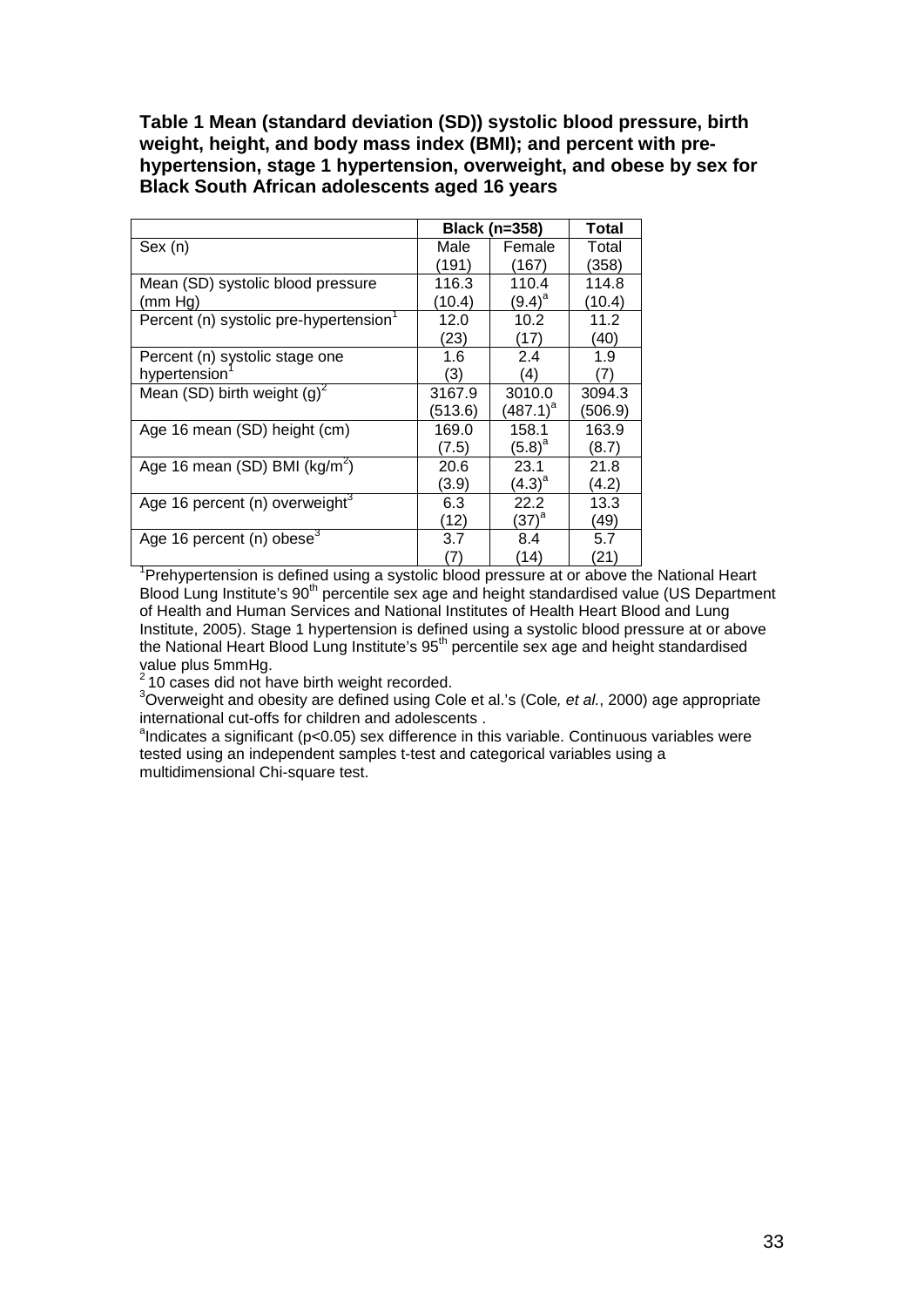**Table 1 Mean (standard deviation (SD)) systolic blood pressure, birth weight, height, and body mass index (BMI); and percent with prehypertension, stage 1 hypertension, overweight, and obese by sex for Black South African adolescents aged 16 years** 

|                                       |         | <b>Black (n=358)</b> | Total   |
|---------------------------------------|---------|----------------------|---------|
| Sex (n)                               | Male    | Female               | Total   |
|                                       | (191)   | (167)                | (358)   |
| Mean (SD) systolic blood pressure     | 116.3   | 110.4                | 114.8   |
| (mm Ha)                               | (10.4)  | $(9.4)^{a}$          | (10.4)  |
| Percent (n) systolic pre-hypertension | 12.0    | 10.2                 | 11.2    |
|                                       | (23)    | (17)                 | (40)    |
| Percent (n) systolic stage one        | 1.6     | 2.4                  | 1.9     |
| hypertension                          | (3)     | (4)                  | 7)      |
| Mean (SD) birth weight $(g)^2$        | 3167.9  | 3010.0               | 3094.3  |
|                                       | (513.6) | $(487.1)^{a}$        | (506.9) |
| Age 16 mean (SD) height (cm)          | 169.0   | 158.1                | 163.9   |
|                                       | (7.5)   | $(5.8)^{a}$          | (8.7)   |
| Age 16 mean (SD) BMI ( $kg/m2$ )      | 20.6    | 23.1                 | 21.8    |
|                                       | (3.9)   | $(4.3)^{a}$          | (4.2)   |
| Age 16 percent (n) overweight $3$     | 6.3     | 22.2                 | 13.3    |
|                                       | (12)    | $(37)^{a}$           | (49)    |
| Age 16 percent (n) obese <sup>3</sup> | 3.7     | 8.4                  | 5.7     |
|                                       | (7)     | (14)                 | (21)    |

 $\begin{array}{c|c} \hline (7) & (14) & (21) \ \hline \end{array}$ <br><sup>1</sup>Prehypertension is defined using a systolic blood pressure at or above the National Heart Blood Lung Institute's 90<sup>th</sup> percentile sex age and height standardised value (US Department of Health and Human Services and National Institutes of Health Heart Blood and Lung Institute, 2005). Stage 1 hypertension is defined using a systolic blood pressure at or above the National Heart Blood Lung Institute's 95<sup>th</sup> percentile sex age and height standardised value plus 5mmHg.<br>
<sup>2</sup> 10 cases did not have birth weight recorded.

Overweight and obesity are defined using Cole et al.'s (Cole*, et al.*, 2000) age appropriate international cut-offs for children and adolescents.

 $a$  indicates a significant ( $p$ <0.05) sex difference in this variable. Continuous variables were tested using an independent samples t-test and categorical variables using a multidimensional Chi-square test.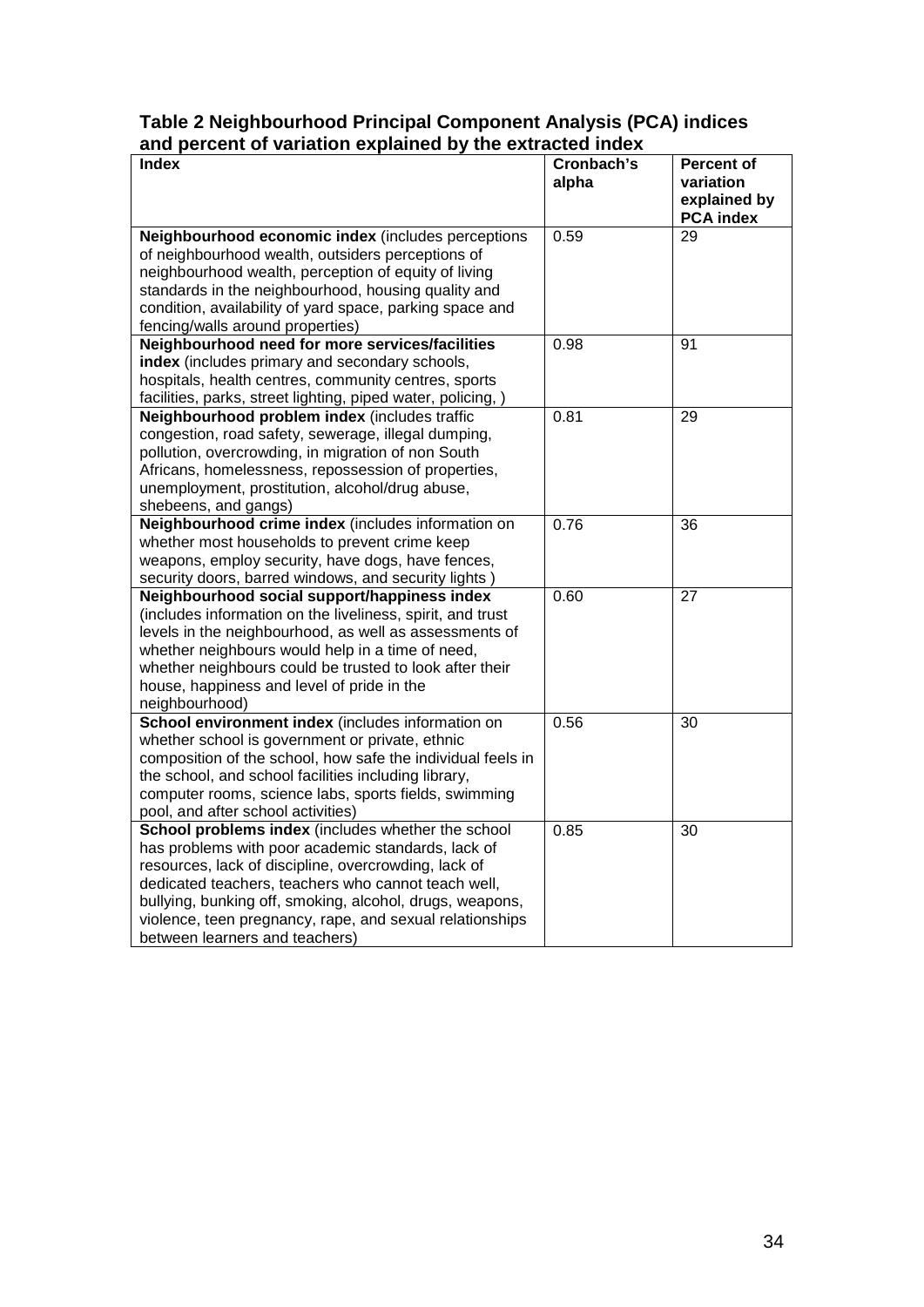# **Table 2 Neighbourhood Principal Component Analysis (PCA) indices and percent of variation explained by the extracted index**

| and percent or variation explained by the extracted index<br>Index                         | Cronbach's | <b>Percent of</b>                |
|--------------------------------------------------------------------------------------------|------------|----------------------------------|
|                                                                                            | alpha      | variation                        |
|                                                                                            |            | explained by<br><b>PCA</b> index |
| Neighbourhood economic index (includes perceptions                                         | 0.59       | 29                               |
| of neighbourhood wealth, outsiders perceptions of                                          |            |                                  |
| neighbourhood wealth, perception of equity of living                                       |            |                                  |
| standards in the neighbourhood, housing quality and                                        |            |                                  |
| condition, availability of yard space, parking space and                                   |            |                                  |
| fencing/walls around properties)                                                           |            |                                  |
| Neighbourhood need for more services/facilities                                            | 0.98       | 91                               |
| index (includes primary and secondary schools,                                             |            |                                  |
| hospitals, health centres, community centres, sports                                       |            |                                  |
| facilities, parks, street lighting, piped water, policing, )                               |            |                                  |
| Neighbourhood problem index (includes traffic                                              | 0.81       | 29                               |
| congestion, road safety, sewerage, illegal dumping,                                        |            |                                  |
| pollution, overcrowding, in migration of non South                                         |            |                                  |
| Africans, homelessness, repossession of properties,                                        |            |                                  |
| unemployment, prostitution, alcohol/drug abuse,                                            |            |                                  |
| shebeens, and gangs)                                                                       |            |                                  |
| Neighbourhood crime index (includes information on                                         | 0.76       | 36                               |
| whether most households to prevent crime keep                                              |            |                                  |
| weapons, employ security, have dogs, have fences,                                          |            |                                  |
| security doors, barred windows, and security lights)                                       |            |                                  |
| Neighbourhood social support/happiness index                                               | 0.60       | 27                               |
| (includes information on the liveliness, spirit, and trust                                 |            |                                  |
| levels in the neighbourhood, as well as assessments of                                     |            |                                  |
| whether neighbours would help in a time of need,                                           |            |                                  |
| whether neighbours could be trusted to look after their                                    |            |                                  |
| house, happiness and level of pride in the                                                 |            |                                  |
| neighbourhood)                                                                             |            |                                  |
| School environment index (includes information on                                          | 0.56       | 30                               |
| whether school is government or private, ethnic                                            |            |                                  |
| composition of the school, how safe the individual feels in                                |            |                                  |
| the school, and school facilities including library,                                       |            |                                  |
| computer rooms, science labs, sports fields, swimming                                      |            |                                  |
| pool, and after school activities)                                                         |            |                                  |
| School problems index (includes whether the school                                         | 0.85       | 30                               |
| has problems with poor academic standards, lack of                                         |            |                                  |
| resources, lack of discipline, overcrowding, lack of                                       |            |                                  |
| dedicated teachers, teachers who cannot teach well,                                        |            |                                  |
| bullying, bunking off, smoking, alcohol, drugs, weapons,                                   |            |                                  |
| violence, teen pregnancy, rape, and sexual relationships<br>between learners and teachers) |            |                                  |
|                                                                                            |            |                                  |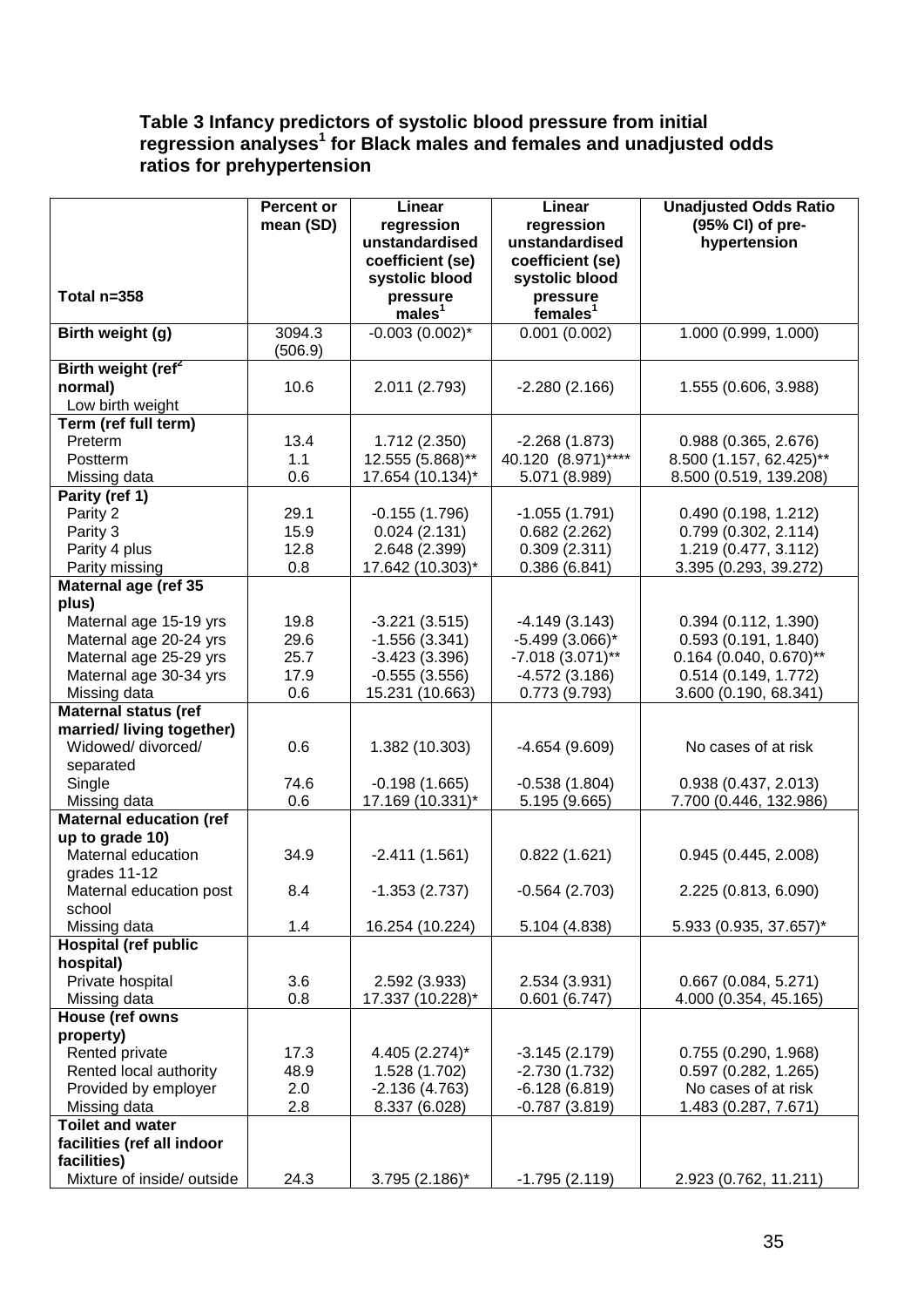# **Table 3 Infancy predictors of systolic blood pressure from initial regression analyses<sup>1</sup> for Black males and females and unadjusted odds ratios for prehypertension**

|                                                   | <b>Percent or</b><br>mean (SD) | Linear<br>regression             | Linear<br>regression               | <b>Unadjusted Odds Ratio</b><br>(95% CI) of pre- |
|---------------------------------------------------|--------------------------------|----------------------------------|------------------------------------|--------------------------------------------------|
|                                                   |                                | unstandardised                   | unstandardised                     | hypertension                                     |
|                                                   |                                | coefficient (se)                 | coefficient (se)                   |                                                  |
| Total n=358                                       |                                | systolic blood<br>pressure       | systolic blood<br>pressure         |                                                  |
|                                                   |                                | males <sup>1</sup>               | females <sup>1</sup>               |                                                  |
| Birth weight (g)                                  | 3094.3                         | $-0.003(0.002)^{*}$              | 0.001(0.002)                       | 1.000 (0.999, 1.000)                             |
| Birth weight (ref <sup>2</sup>                    | (506.9)                        |                                  |                                    |                                                  |
| normal)                                           | 10.6                           | 2.011 (2.793)                    | $-2.280(2.166)$                    | 1.555 (0.606, 3.988)                             |
| Low birth weight                                  |                                |                                  |                                    |                                                  |
| Term (ref full term)                              |                                |                                  |                                    |                                                  |
| Preterm                                           | 13.4                           | 1.712 (2.350)                    | $-2.268(1.873)$                    | 0.988(0.365, 2.676)                              |
| <b>Postterm</b>                                   | 1.1                            | 12.555 (5.868)**                 | 40.120 (8.971)****                 | 8.500 (1.157, 62.425)**                          |
| Missing data                                      | 0.6                            | 17.654 (10.134)*                 | 5.071 (8.989)                      | 8.500 (0.519, 139.208)                           |
| Parity (ref 1)                                    |                                |                                  |                                    |                                                  |
| Parity 2                                          | 29.1                           | $-0.155(1.796)$                  | $-1.055(1.791)$                    | 0.490(0.198, 1.212)                              |
| Parity 3                                          | 15.9                           | 0.024(2.131)                     | 0.682(2.262)                       | 0.799(0.302, 2.114)                              |
| Parity 4 plus                                     | 12.8                           | 2.648 (2.399)                    | 0.309(2.311)                       | 1.219 (0.477, 3.112)                             |
| Parity missing                                    | 0.8                            | 17.642 (10.303)*                 | 0.386(6.841)                       | 3.395 (0.293, 39.272)                            |
| Maternal age (ref 35<br>plus)                     |                                |                                  |                                    |                                                  |
| Maternal age 15-19 yrs                            | 19.8                           | $-3.221(3.515)$                  | $-4.149(3.143)$                    | 0.394(0.112, 1.390)                              |
| Maternal age 20-24 yrs                            | 29.6                           | $-1.556(3.341)$                  | $-5.499(3.066)$ *                  | 0.593(0.191, 1.840)                              |
| Maternal age 25-29 yrs                            | 25.7                           | $-3.423(3.396)$                  | $-7.018(3.071)$ **                 | $0.164$ (0.040, 0.670)**                         |
| Maternal age 30-34 yrs                            | 17.9                           | $-0.555(3.556)$                  | $-4.572(3.186)$                    | 0.514 (0.149, 1.772)                             |
| Missing data                                      | 0.6                            | 15.231 (10.663)                  | 0.773(9.793)                       | 3.600 (0.190, 68.341)                            |
| <b>Maternal status (ref</b>                       |                                |                                  |                                    |                                                  |
| married/living together)                          |                                |                                  |                                    |                                                  |
| Widowed/ divorced/                                | 0.6                            | 1.382 (10.303)                   | $-4.654(9.609)$                    | No cases of at risk                              |
| separated                                         |                                |                                  |                                    |                                                  |
| Single                                            | 74.6                           | $-0.198(1.665)$                  | $-0.538(1.804)$                    | 0.938 (0.437, 2.013)                             |
| Missing data                                      | 0.6                            | 17.169 (10.331)*                 | 5.195 (9.665)                      | 7.700 (0.446, 132.986)                           |
| <b>Maternal education (ref</b><br>up to grade 10) |                                |                                  |                                    |                                                  |
| Maternal education                                | 34.9                           | $-2.411(1.561)$                  | 0.822(1.621)                       | 0.945(0.445, 2.008)                              |
| grades 11-12                                      |                                |                                  |                                    |                                                  |
| Maternal education post                           | 8.4                            | $-1.353(2.737)$                  | $-0.564(2.703)$                    | 2.225 (0.813, 6.090)                             |
| school                                            |                                |                                  |                                    |                                                  |
| Missing data                                      | 1.4                            | 16.254 (10.224)                  | 5.104 (4.838)                      | 5.933 (0.935, 37.657)*                           |
| <b>Hospital (ref public</b>                       |                                |                                  |                                    |                                                  |
| hospital)                                         |                                |                                  |                                    |                                                  |
| Private hospital                                  | 3.6                            | 2.592 (3.933)                    | 2.534 (3.931)                      | 0.667(0.084, 5.271)                              |
| Missing data                                      | 0.8                            | 17.337 (10.228)*                 | 0.601(6.747)                       | 4.000 (0.354, 45.165)                            |
| House (ref owns                                   |                                |                                  |                                    |                                                  |
| property)                                         |                                |                                  |                                    |                                                  |
| Rented private<br>Rented local authority          | 17.3<br>48.9                   | 4.405 (2.274)*                   | $-3.145(2.179)$<br>$-2.730(1.732)$ | 0.755(0.290, 1.968)<br>0.597(0.282, 1.265)       |
| Provided by employer                              | 2.0                            | 1.528 (1.702)<br>$-2.136(4.763)$ | $-6.128(6.819)$                    | No cases of at risk                              |
| Missing data                                      | 2.8                            | 8.337 (6.028)                    | $-0.787(3.819)$                    | 1.483 (0.287, 7.671)                             |
| <b>Toilet and water</b>                           |                                |                                  |                                    |                                                  |
| facilities (ref all indoor                        |                                |                                  |                                    |                                                  |
| facilities)                                       |                                |                                  |                                    |                                                  |
| Mixture of inside/ outside                        | 24.3                           | 3.795 (2.186)*                   | $-1.795(2.119)$                    | 2.923 (0.762, 11.211)                            |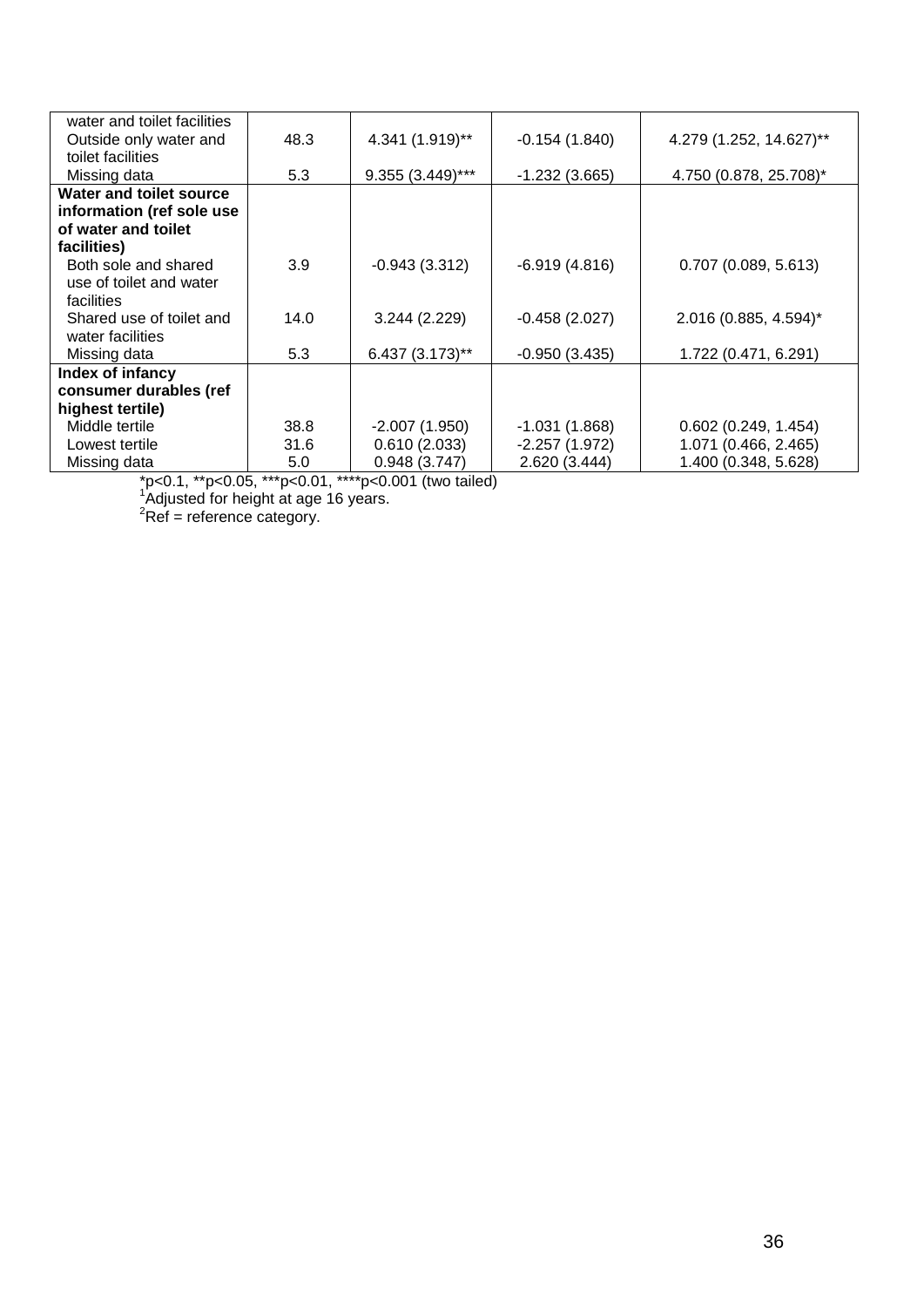| water and toilet facilities                                   |      |                    |                 |                         |
|---------------------------------------------------------------|------|--------------------|-----------------|-------------------------|
| Outside only water and                                        | 48.3 | 4.341 (1.919)**    | $-0.154(1.840)$ | 4.279 (1.252, 14.627)** |
| toilet facilities                                             |      |                    |                 |                         |
| Missing data                                                  | 5.3  | $9.355(3.449)$ *** | $-1.232(3.665)$ | 4.750 (0.878, 25.708)*  |
| Water and toilet source                                       |      |                    |                 |                         |
| information (ref sole use                                     |      |                    |                 |                         |
| of water and toilet                                           |      |                    |                 |                         |
| facilities)                                                   |      |                    |                 |                         |
| Both sole and shared<br>use of toilet and water<br>facilities | 3.9  | $-0.943(3.312)$    | $-6.919(4.816)$ | 0.707(0.089, 5.613)     |
| Shared use of toilet and<br>water facilities                  | 14.0 | 3.244 (2.229)      | $-0.458(2.027)$ | 2.016 (0.885, 4.594)*   |
| Missing data                                                  | 5.3  | 6.437 (3.173)**    | $-0.950(3.435)$ | 1.722 (0.471, 6.291)    |
| Index of infancy                                              |      |                    |                 |                         |
| consumer durables (ref                                        |      |                    |                 |                         |
| highest tertile)                                              |      |                    |                 |                         |
| Middle tertile                                                | 38.8 | $-2.007(1.950)$    | $-1.031(1.868)$ | 0.602(0.249, 1.454)     |
| Lowest tertile                                                | 31.6 | 0.610(2.033)       | $-2.257(1.972)$ | 1.071 (0.466, 2.465)    |
| Missing data                                                  | 5.0  | 0.948(3.747)       | 2.620 (3.444)   | 1.400 (0.348, 5.628)    |

\*p<0.1, \*\*p<0.05, \*\*\*p<0.01, \*\*\*\*p<0.001 (two tailed)  $^{16}$  diusted for boight at 200.16 years.

'Adjusted for height at age 16 years.<br><sup>2</sup>Ref = reference category.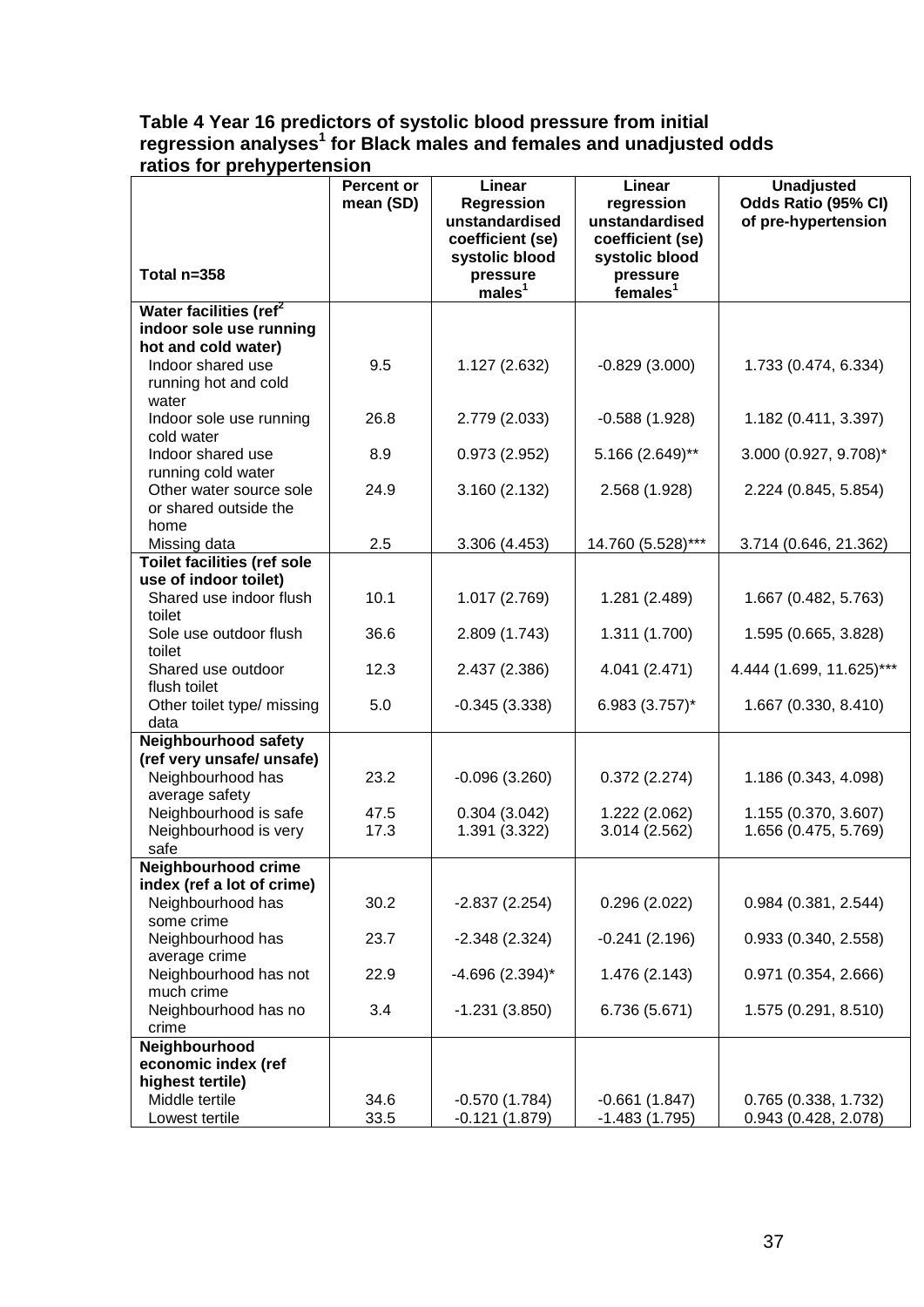# **Table 4 Year 16 predictors of systolic blood pressure from initial regression analyses<sup>1</sup> for Black males and females and unadjusted odds ratios for prehypertension**

|                                                   | <b>Percent or</b><br>mean (SD) | Linear<br>Regression<br>unstandardised | Linear<br>regression<br>unstandardised | <b>Unadjusted</b><br>Odds Ratio (95% CI)<br>of pre-hypertension |
|---------------------------------------------------|--------------------------------|----------------------------------------|----------------------------------------|-----------------------------------------------------------------|
|                                                   |                                | coefficient (se)<br>systolic blood     | coefficient (se)<br>systolic blood     |                                                                 |
| Total n=358                                       |                                | pressure<br>males <sup>1</sup>         | pressure<br>females <sup>1</sup>       |                                                                 |
| Water facilities (ref <sup>2</sup>                |                                |                                        |                                        |                                                                 |
| indoor sole use running                           |                                |                                        |                                        |                                                                 |
| hot and cold water)<br>Indoor shared use          | 9.5                            | 1.127 (2.632)                          | $-0.829(3.000)$                        | 1.733 (0.474, 6.334)                                            |
| running hot and cold                              |                                |                                        |                                        |                                                                 |
| water                                             |                                |                                        |                                        |                                                                 |
| Indoor sole use running                           | 26.8                           | 2.779 (2.033)                          | $-0.588(1.928)$                        | 1.182 (0.411, 3.397)                                            |
| cold water                                        |                                |                                        |                                        |                                                                 |
| Indoor shared use                                 | 8.9                            | 0.973(2.952)                           | 5.166 (2.649)**                        | 3.000 (0.927, 9.708)*                                           |
| running cold water                                |                                |                                        |                                        |                                                                 |
| Other water source sole<br>or shared outside the  | 24.9                           | 3.160 (2.132)                          | 2.568 (1.928)                          | 2.224 (0.845, 5.854)                                            |
| home                                              |                                |                                        |                                        |                                                                 |
| Missing data                                      | 2.5                            | 3.306 (4.453)                          | 14.760 (5.528)***                      | 3.714 (0.646, 21.362)                                           |
| <b>Toilet facilities (ref sole</b>                |                                |                                        |                                        |                                                                 |
| use of indoor toilet)                             |                                |                                        |                                        |                                                                 |
| Shared use indoor flush                           | 10.1                           | 1.017 (2.769)                          | 1.281 (2.489)                          | 1.667 (0.482, 5.763)                                            |
| toilet<br>Sole use outdoor flush                  | 36.6                           |                                        |                                        |                                                                 |
| toilet                                            |                                | 2.809 (1.743)                          | 1.311 (1.700)                          | 1.595 (0.665, 3.828)                                            |
| Shared use outdoor                                | 12.3                           | 2.437 (2.386)                          | 4.041 (2.471)                          | 4.444 (1.699, 11.625)***                                        |
| flush toilet                                      |                                |                                        |                                        |                                                                 |
| Other toilet type/ missing                        | 5.0                            | $-0.345(3.338)$                        | $6.983(3.757)^*$                       | 1.667 (0.330, 8.410)                                            |
| data                                              |                                |                                        |                                        |                                                                 |
| Neighbourhood safety<br>(ref very unsafe/ unsafe) |                                |                                        |                                        |                                                                 |
| Neighbourhood has                                 | 23.2                           | $-0.096(3.260)$                        | 0.372(2.274)                           | 1.186 (0.343, 4.098)                                            |
| average safety                                    |                                |                                        |                                        |                                                                 |
| Neighbourhood is safe                             | 47.5                           | 0.304(3.042)                           | 1.222 (2.062)                          | 1.155 (0.370, 3.607)                                            |
| Neighbourhood is very                             | 17.3                           | 1.391 (3.322)                          | 3.014 (2.562)                          | 1.656 (0.475, 5.769)                                            |
| safe                                              |                                |                                        |                                        |                                                                 |
| Neighbourhood crime<br>index (ref a lot of crime) |                                |                                        |                                        |                                                                 |
| Neighbourhood has                                 | 30.2                           | $-2.837(2.254)$                        | 0.296(2.022)                           | 0.984(0.381, 2.544)                                             |
| some crime                                        |                                |                                        |                                        |                                                                 |
| Neighbourhood has                                 | 23.7                           | $-2.348(2.324)$                        | $-0.241(2.196)$                        | 0.933(0.340, 2.558)                                             |
| average crime                                     |                                |                                        |                                        |                                                                 |
| Neighbourhood has not                             | 22.9                           | $-4.696$ (2.394)*                      | 1.476 (2.143)                          | 0.971(0.354, 2.666)                                             |
| much crime<br>Neighbourhood has no                | 3.4                            | $-1.231(3.850)$                        | 6.736 (5.671)                          | 1.575 (0.291, 8.510)                                            |
| crime                                             |                                |                                        |                                        |                                                                 |
| Neighbourhood                                     |                                |                                        |                                        |                                                                 |
| economic index (ref                               |                                |                                        |                                        |                                                                 |
| highest tertile)                                  |                                |                                        |                                        |                                                                 |
| Middle tertile                                    | 34.6                           | $-0.570(1.784)$                        | $-0.661(1.847)$                        | 0.765(0.338, 1.732)                                             |
| Lowest tertile                                    | 33.5                           | $-0.121(1.879)$                        | $-1.483(1.795)$                        | 0.943 (0.428, 2.078)                                            |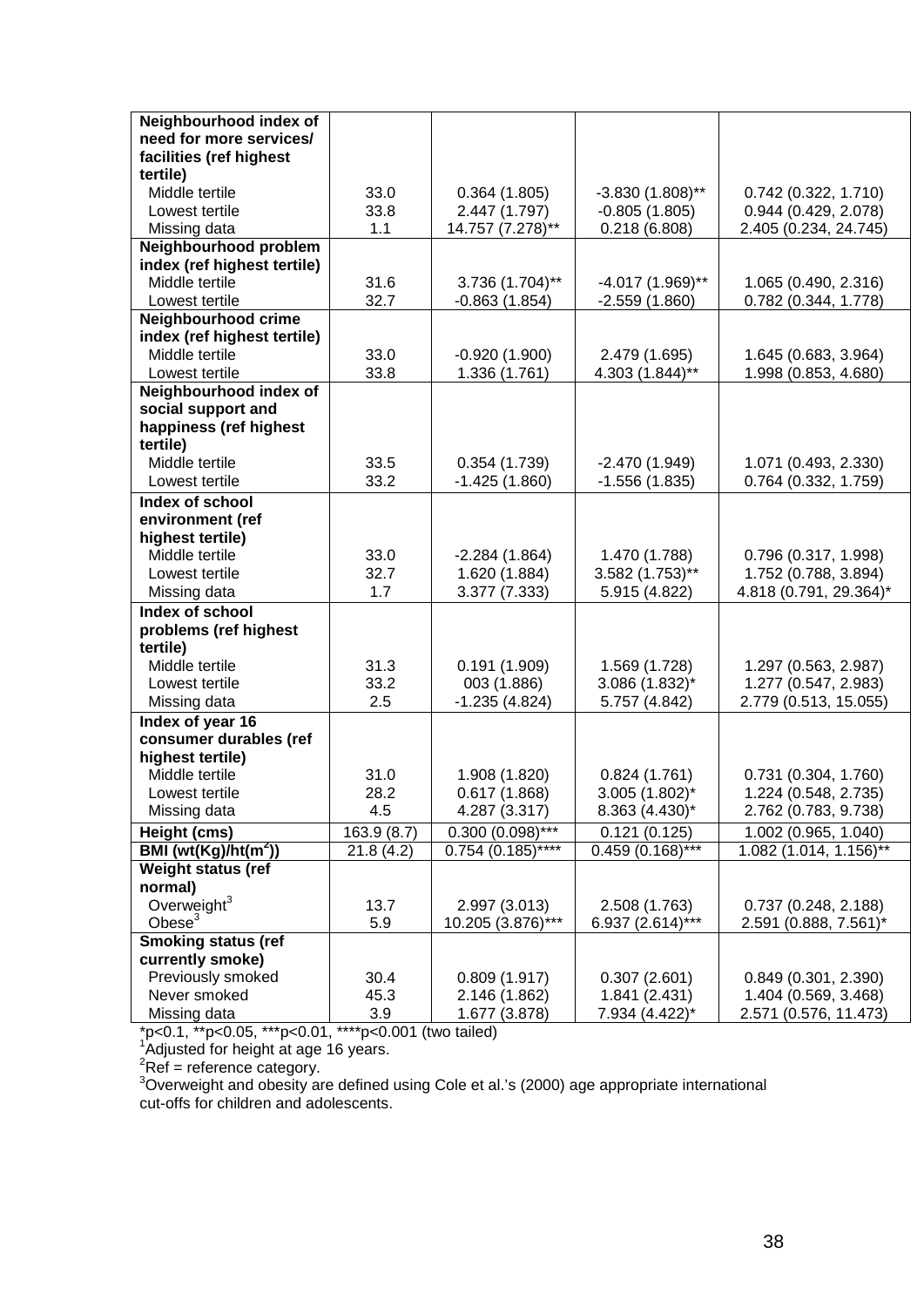| Neighbourhood index of           |             |                     |                    |                        |
|----------------------------------|-------------|---------------------|--------------------|------------------------|
| need for more services/          |             |                     |                    |                        |
| facilities (ref highest          |             |                     |                    |                        |
| tertile)                         |             |                     |                    |                        |
| Middle tertile                   | 33.0        | 0.364(1.805)        | $-3.830(1.808)$ ** | 0.742 (0.322, 1.710)   |
| Lowest tertile                   | 33.8        | 2.447 (1.797)       | $-0.805(1.805)$    | 0.944 (0.429, 2.078)   |
| Missing data                     | 1.1         | 14.757 (7.278)**    | 0.218(6.808)       | 2.405 (0.234, 24.745)  |
| Neighbourhood problem            |             |                     |                    |                        |
| index (ref highest tertile)      |             |                     |                    |                        |
| Middle tertile                   | 31.6        | 3.736 (1.704)**     | $-4.017(1.969)$ ** | 1.065 (0.490, 2.316)   |
| Lowest tertile                   | 32.7        | $-0.863(1.854)$     | $-2.559(1.860)$    | 0.782 (0.344, 1.778)   |
| Neighbourhood crime              |             |                     |                    |                        |
| index (ref highest tertile)      |             |                     |                    |                        |
| Middle tertile                   | 33.0        | $-0.920(1.900)$     | 2.479 (1.695)      | 1.645 (0.683, 3.964)   |
| Lowest tertile                   | 33.8        | 1.336 (1.761)       | 4.303 (1.844)**    | 1.998 (0.853, 4.680)   |
| Neighbourhood index of           |             |                     |                    |                        |
| social support and               |             |                     |                    |                        |
| happiness (ref highest           |             |                     |                    |                        |
| tertile)                         |             |                     |                    |                        |
| Middle tertile                   | 33.5        | 0.354(1.739)        | $-2.470(1.949)$    | 1.071 (0.493, 2.330)   |
| Lowest tertile                   | 33.2        | $-1.425(1.860)$     | $-1.556(1.835)$    | 0.764 (0.332, 1.759)   |
| Index of school                  |             |                     |                    |                        |
| environment (ref                 |             |                     |                    |                        |
| highest tertile)                 |             |                     |                    |                        |
| Middle tertile                   | 33.0        | $-2.284(1.864)$     | 1.470 (1.788)      | 0.796 (0.317, 1.998)   |
| Lowest tertile                   | 32.7        | 1.620 (1.884)       | 3.582 (1.753)**    | 1.752 (0.788, 3.894)   |
| Missing data                     | 1.7         | 3.377 (7.333)       | 5.915 (4.822)      | 4.818 (0.791, 29.364)* |
| Index of school                  |             |                     |                    |                        |
| problems (ref highest            |             |                     |                    |                        |
| tertile)                         |             |                     |                    |                        |
| Middle tertile                   | 31.3        | 0.191(1.909)        | 1.569 (1.728)      | 1.297 (0.563, 2.987)   |
| Lowest tertile                   | 33.2        | 003 (1.886)         | 3.086 (1.832)*     | 1.277 (0.547, 2.983)   |
| Missing data                     | 2.5         | $-1.235(4.824)$     | 5.757 (4.842)      | 2.779 (0.513, 15.055)  |
| Index of year 16                 |             |                     |                    |                        |
| consumer durables (ref           |             |                     |                    |                        |
| highest tertile)                 |             |                     |                    |                        |
| Middle tertile                   | 31.0        | 1.908 (1.820)       | 0.824(1.761)       | 0.731(0.304, 1.760)    |
| Lowest tertile                   | 28.2        | 0.617(1.868)        | 3.005 (1.802)*     | 1.224 (0.548, 2.735)   |
| Missing data                     | 4.5         | 4.287 (3.317)       | $8.363(4.430)^{*}$ | 2.762 (0.783, 9.738)   |
| Height (cms)                     | 163.9 (8.7) | $0.300(0.098)$ ***  | 0.121(0.125)       | 1.002 (0.965, 1.040)   |
| BMI (wt(Kg)/ht(m <sup>2</sup> )) | 21.8(4.2)   | $0.754(0.185)$ **** | $0.459(0.168)$ *** | 1.082 (1.014, 1.156)** |
| Weight status (ref               |             |                     |                    |                        |
| normal)                          |             |                     |                    |                        |
| Overweight <sup>3</sup>          | 13.7        | 2.997 (3.013)       | 2.508 (1.763)      | 0.737(0.248, 2.188)    |
| Obese $3$                        | 5.9         | 10.205 (3.876)***   | 6.937 (2.614)***   | 2.591 (0.888, 7.561)*  |
| <b>Smoking status (ref</b>       |             |                     |                    |                        |
| currently smoke)                 |             |                     |                    |                        |
| Previously smoked                | 30.4        | 0.809(1.917)        | 0.307(2.601)       | 0.849(0.301, 2.390)    |
| Never smoked                     | 45.3        | 2.146 (1.862)       | 1.841 (2.431)      | 1.404 (0.569, 3.468)   |
| Missing data                     | 3.9         | 1.677 (3.878)       | 7.934 (4.422)*     | 2.571 (0.576, 11.473)  |

\*p<0.1, \*\*p<0.05, \*\*\*p<0.01, \*\*\*\*p<0.001 (two tailed) <sup>1</sup>

'Adjusted for height at age 16 years.<br><sup>2</sup> Pef – reference estegen:

<sup>∠</sup>Ref = reference category.<br><sup>3</sup>Overweight and obesity are defined using Cole et al.'s (2000) age appropriate international cut-offs for children and adolescents.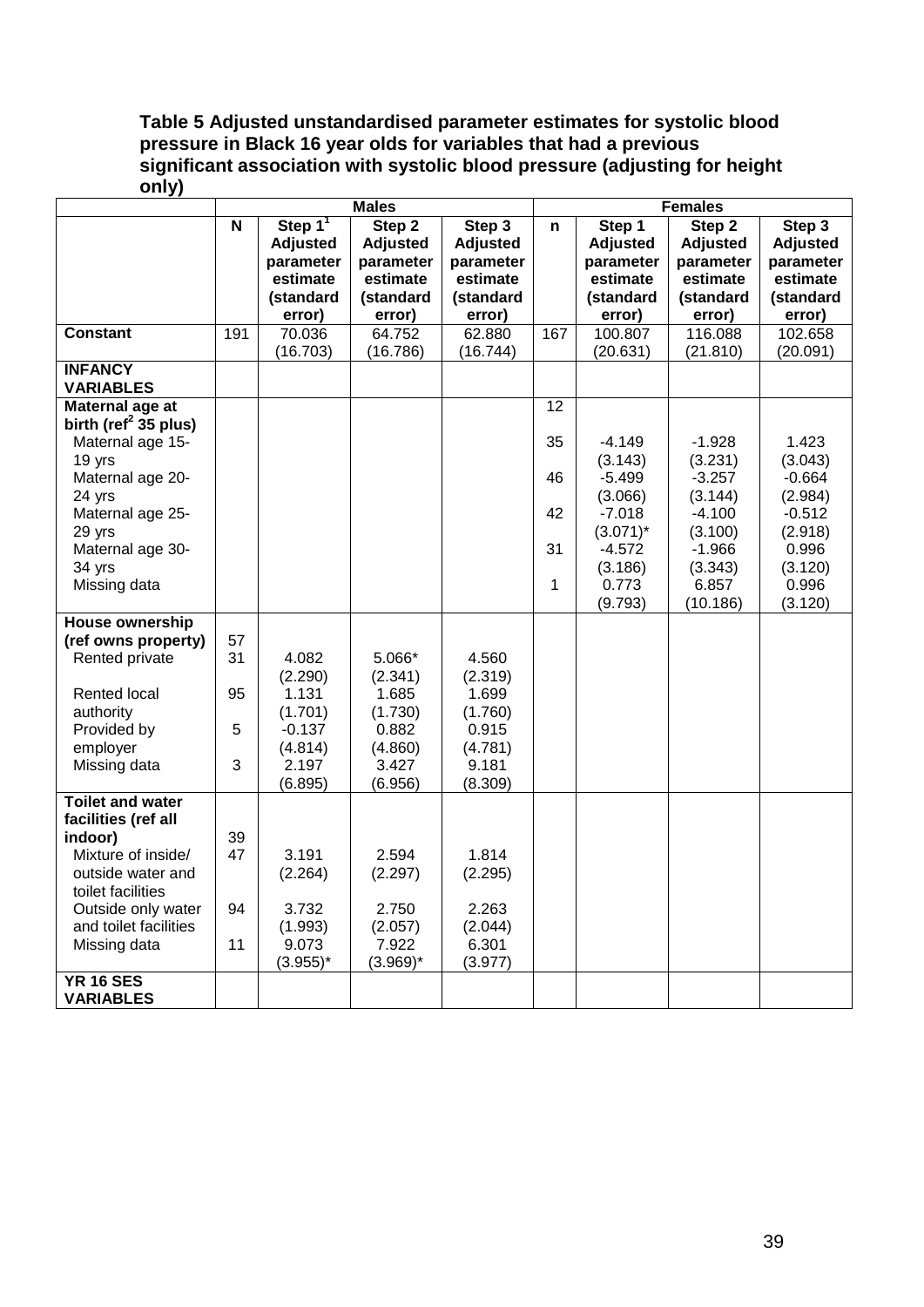# **Table 5 Adjusted unstandardised parameter estimates for systolic blood pressure in Black 16 year olds for variables that had a previous significant association with systolic blood pressure (adjusting for height only)**

|                                  | <b>Males</b> |                 |                 | <b>Females</b>  |     |                 |                 |                 |
|----------------------------------|--------------|-----------------|-----------------|-----------------|-----|-----------------|-----------------|-----------------|
|                                  | $\mathbf N$  | Step $1^1$      | Step 2          | Step 3          | n   | Step 1          | Step 2          | Step $3$        |
|                                  |              | <b>Adjusted</b> | <b>Adjusted</b> | <b>Adjusted</b> |     | <b>Adjusted</b> | <b>Adjusted</b> | <b>Adjusted</b> |
|                                  |              | parameter       | parameter       | parameter       |     | parameter       | parameter       | parameter       |
|                                  |              | estimate        | estimate        | estimate        |     | estimate        | estimate        | estimate        |
|                                  |              | (standard       | (standard       | (standard       |     | (standard       | (standard       | (standard       |
|                                  |              | error)          | error)          | error)          |     | error)          | error)          | error)          |
| <b>Constant</b>                  | 191          | 70.036          | 64.752          | 62.880          | 167 | 100.807         | 116.088         | 102.658         |
|                                  |              | (16.703)        | (16.786)        | (16.744)        |     | (20.631)        | (21.810)        | (20.091)        |
| <b>INFANCY</b>                   |              |                 |                 |                 |     |                 |                 |                 |
| <b>VARIABLES</b>                 |              |                 |                 |                 |     |                 |                 |                 |
| Maternal age at                  |              |                 |                 |                 | 12  |                 |                 |                 |
| birth (ref <sup>2</sup> 35 plus) |              |                 |                 |                 |     |                 |                 |                 |
| Maternal age 15-                 |              |                 |                 |                 | 35  | $-4.149$        | $-1.928$        | 1.423           |
| 19 yrs                           |              |                 |                 |                 |     | (3.143)         | (3.231)         | (3.043)         |
| Maternal age 20-                 |              |                 |                 |                 | 46  | $-5.499$        | $-3.257$        | $-0.664$        |
| 24 yrs                           |              |                 |                 |                 |     | (3.066)         | (3.144)         | (2.984)         |
| Maternal age 25-                 |              |                 |                 |                 | 42  | $-7.018$        | $-4.100$        | $-0.512$        |
| 29 yrs                           |              |                 |                 |                 |     | $(3.071)^*$     | (3.100)         | (2.918)         |
| Maternal age 30-                 |              |                 |                 |                 | 31  | $-4.572$        | $-1.966$        | 0.996           |
| 34 yrs                           |              |                 |                 |                 |     | (3.186)         | (3.343)         | (3.120)         |
| Missing data                     |              |                 |                 |                 | 1   | 0.773           | 6.857           | 0.996           |
|                                  |              |                 |                 |                 |     | (9.793)         | (10.186)        | (3.120)         |
| <b>House ownership</b>           |              |                 |                 |                 |     |                 |                 |                 |
| (ref owns property)              | 57           |                 |                 |                 |     |                 |                 |                 |
| Rented private                   | 31           | 4.082           | 5.066*          | 4.560           |     |                 |                 |                 |
|                                  |              | (2.290)         | (2.341)         | (2.319)         |     |                 |                 |                 |
| <b>Rented local</b>              | 95           | 1.131           | 1.685           | 1.699           |     |                 |                 |                 |
| authority                        |              | (1.701)         | (1.730)         | (1.760)         |     |                 |                 |                 |
| Provided by                      | 5            | $-0.137$        | 0.882           | 0.915           |     |                 |                 |                 |
| employer                         |              | (4.814)         | (4.860)         | (4.781)         |     |                 |                 |                 |
| Missing data                     | 3            | 2.197           | 3.427           | 9.181           |     |                 |                 |                 |
|                                  |              | (6.895)         | (6.956)         | (8.309)         |     |                 |                 |                 |
| <b>Toilet and water</b>          |              |                 |                 |                 |     |                 |                 |                 |
| facilities (ref all              |              |                 |                 |                 |     |                 |                 |                 |
| indoor)                          | 39           |                 |                 |                 |     |                 |                 |                 |
| Mixture of inside/               | 47           | 3.191           | 2.594           | 1.814           |     |                 |                 |                 |
|                                  |              |                 |                 |                 |     |                 |                 |                 |
| outside water and                |              | (2.264)         | (2.297)         | (2.295)         |     |                 |                 |                 |
| toilet facilities                |              |                 |                 |                 |     |                 |                 |                 |
| Outside only water               | 94           | 3.732           | 2.750           | 2.263           |     |                 |                 |                 |
| and toilet facilities            |              | (1.993)         | (2.057)         | (2.044)         |     |                 |                 |                 |
| Missing data                     | 11           | 9.073           | 7.922           | 6.301           |     |                 |                 |                 |
|                                  |              | $(3.955)^*$     | $(3.969)^*$     | (3.977)         |     |                 |                 |                 |
| <b>YR 16 SES</b>                 |              |                 |                 |                 |     |                 |                 |                 |
| <b>VARIABLES</b>                 |              |                 |                 |                 |     |                 |                 |                 |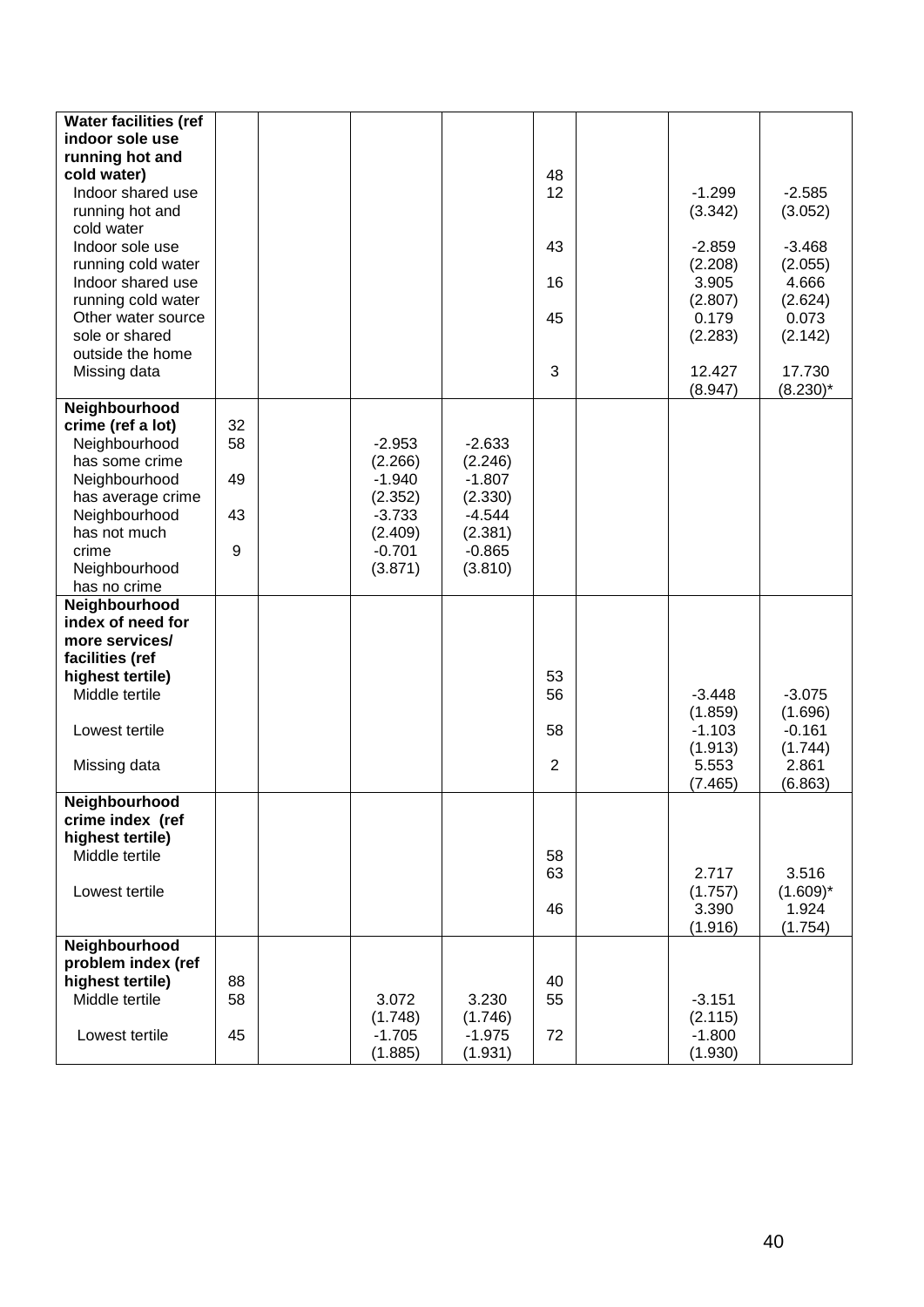| <b>Water facilities (ref</b><br>indoor sole use |    |                     |                     |                |                     |                       |
|-------------------------------------------------|----|---------------------|---------------------|----------------|---------------------|-----------------------|
| running hot and                                 |    |                     |                     |                |                     |                       |
| cold water)                                     |    |                     |                     | 48             |                     |                       |
| Indoor shared use                               |    |                     |                     | 12             | $-1.299$            | $-2.585$              |
| running hot and                                 |    |                     |                     |                | (3.342)             | (3.052)               |
| cold water                                      |    |                     |                     |                |                     |                       |
| Indoor sole use                                 |    |                     |                     | 43             | $-2.859$<br>(2.208) | $-3.468$              |
| running cold water<br>Indoor shared use         |    |                     |                     | 16             | 3.905               | (2.055)<br>4.666      |
| running cold water                              |    |                     |                     |                | (2.807)             | (2.624)               |
| Other water source                              |    |                     |                     | 45             | 0.179               | 0.073                 |
| sole or shared                                  |    |                     |                     |                | (2.283)             | (2.142)               |
| outside the home                                |    |                     |                     |                |                     |                       |
| Missing data                                    |    |                     |                     | 3              | 12.427<br>(8.947)   | 17.730<br>$(8.230)^*$ |
| Neighbourhood                                   |    |                     |                     |                |                     |                       |
| crime (ref a lot)                               | 32 |                     |                     |                |                     |                       |
| Neighbourhood                                   | 58 | $-2.953$            | $-2.633$            |                |                     |                       |
| has some crime                                  |    | (2.266)             | (2.246)             |                |                     |                       |
| Neighbourhood                                   | 49 | $-1.940$            | $-1.807$            |                |                     |                       |
| has average crime<br>Neighbourhood              | 43 | (2.352)<br>$-3.733$ | (2.330)<br>$-4.544$ |                |                     |                       |
| has not much                                    |    | (2.409)             | (2.381)             |                |                     |                       |
| crime                                           | 9  | $-0.701$            | $-0.865$            |                |                     |                       |
| Neighbourhood                                   |    | (3.871)             | (3.810)             |                |                     |                       |
| has no crime                                    |    |                     |                     |                |                     |                       |
| Neighbourhood                                   |    |                     |                     |                |                     |                       |
| index of need for<br>more services/             |    |                     |                     |                |                     |                       |
| facilities (ref                                 |    |                     |                     |                |                     |                       |
| highest tertile)                                |    |                     |                     | 53             |                     |                       |
| Middle tertile                                  |    |                     |                     | 56             | $-3.448$            | $-3.075$              |
|                                                 |    |                     |                     |                | (1.859)             | (1.696)               |
| Lowest tertile                                  |    |                     |                     | 58             | $-1.103$            | $-0.161$              |
|                                                 |    |                     |                     |                | (1.913)             | (1.744)               |
| Missing data                                    |    |                     |                     | $\overline{2}$ | 5.553<br>(7.465)    | 2.861<br>(6.863)      |
| Neighbourhood                                   |    |                     |                     |                |                     |                       |
| crime index (ref                                |    |                     |                     |                |                     |                       |
| highest tertile)<br>Middle tertile              |    |                     |                     |                |                     |                       |
|                                                 |    |                     |                     | 58<br>63       | 2.717               | 3.516                 |
| Lowest tertile                                  |    |                     |                     |                | (1.757)             | $(1.609)^*$           |
|                                                 |    |                     |                     | 46             | 3.390               | 1.924                 |
|                                                 |    |                     |                     |                | (1.916)             | (1.754)               |
| Neighbourhood                                   |    |                     |                     |                |                     |                       |
| problem index (ref                              |    |                     |                     |                |                     |                       |
| highest tertile)<br>Middle tertile              | 88 |                     |                     | 40             |                     |                       |
|                                                 | 58 | 3.072<br>(1.748)    | 3.230<br>(1.746)    | 55             | $-3.151$<br>(2.115) |                       |
| Lowest tertile                                  | 45 | $-1.705$            | $-1.975$            | 72             | $-1.800$            |                       |
|                                                 |    | (1.885)             | (1.931)             |                | (1.930)             |                       |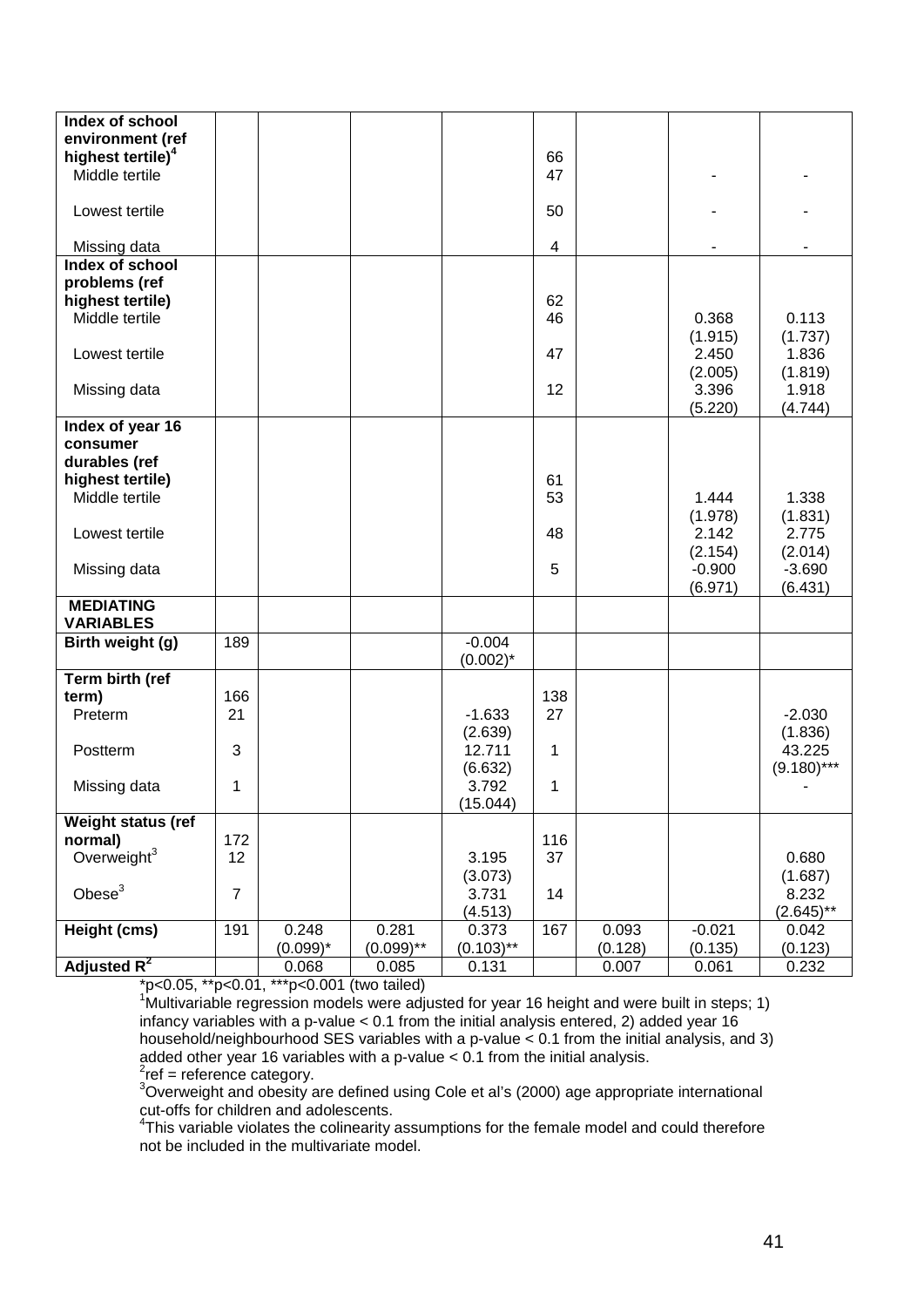| Index of school<br>environment (ref |                |             |              |              |                         |         |          |               |
|-------------------------------------|----------------|-------------|--------------|--------------|-------------------------|---------|----------|---------------|
| highest tertile) <sup>4</sup>       |                |             |              |              | 66                      |         |          |               |
| Middle tertile                      |                |             |              |              | 47                      |         |          |               |
|                                     |                |             |              |              |                         |         |          |               |
| Lowest tertile                      |                |             |              |              | 50                      |         |          |               |
| Missing data                        |                |             |              |              | $\overline{\mathbf{4}}$ |         |          |               |
| Index of school<br>problems (ref    |                |             |              |              |                         |         |          |               |
| highest tertile)                    |                |             |              |              | 62                      |         |          |               |
| Middle tertile                      |                |             |              |              | 46                      |         | 0.368    | 0.113         |
|                                     |                |             |              |              |                         |         | (1.915)  | (1.737)       |
| Lowest tertile                      |                |             |              |              | 47                      |         | 2.450    | 1.836         |
|                                     |                |             |              |              |                         |         | (2.005)  | (1.819)       |
| Missing data                        |                |             |              |              | 12                      |         | 3.396    | 1.918         |
|                                     |                |             |              |              |                         |         | (5.220)  | (4.744)       |
| Index of year 16                    |                |             |              |              |                         |         |          |               |
| consumer                            |                |             |              |              |                         |         |          |               |
| durables (ref                       |                |             |              |              |                         |         |          |               |
| highest tertile)                    |                |             |              |              | 61                      |         |          |               |
| Middle tertile                      |                |             |              |              | 53                      |         | 1.444    | 1.338         |
|                                     |                |             |              |              |                         |         | (1.978)  | (1.831)       |
| Lowest tertile                      |                |             |              |              | 48                      |         | 2.142    | 2.775         |
|                                     |                |             |              |              |                         |         | (2.154)  | (2.014)       |
| Missing data                        |                |             |              |              | 5                       |         | $-0.900$ | $-3.690$      |
|                                     |                |             |              |              |                         |         | (6.971)  | (6.431)       |
| <b>MEDIATING</b>                    |                |             |              |              |                         |         |          |               |
| <b>VARIABLES</b>                    |                |             |              |              |                         |         |          |               |
| Birth weight (g)                    | 189            |             |              | $-0.004$     |                         |         |          |               |
|                                     |                |             |              | $(0.002)^*$  |                         |         |          |               |
| Term birth (ref<br>term)            | 166            |             |              |              | 138                     |         |          |               |
| Preterm                             | 21             |             |              | $-1.633$     | 27                      |         |          | $-2.030$      |
|                                     |                |             |              | (2.639)      |                         |         |          | (1.836)       |
| Postterm                            | 3              |             |              | 12.711       | 1                       |         |          | 43.225        |
|                                     |                |             |              | (6.632)      |                         |         |          | $(9.180)$ *** |
| Missing data                        | 1              |             |              | 3.792        | 1                       |         |          |               |
|                                     |                |             |              | (15.044)     |                         |         |          |               |
| Weight status (ref                  |                |             |              |              |                         |         |          |               |
| normal)                             | 172            |             |              |              | 116                     |         |          |               |
| Overweight $3$                      | 12             |             |              | 3.195        | 37                      |         |          | 0.680         |
|                                     |                |             |              | (3.073)      |                         |         |          | (1.687)       |
| Obese <sup>3</sup>                  | $\overline{7}$ |             |              | 3.731        | 14                      |         |          | 8.232         |
|                                     |                |             |              | (4.513)      |                         |         |          | $(2.645)$ **  |
| Height (cms)                        | 191            | 0.248       | 0.281        | 0.373        | 167                     | 0.093   | $-0.021$ | 0.042         |
|                                     |                | $(0.099)^*$ | $(0.099)$ ** | $(0.103)$ ** |                         | (0.128) | (0.135)  | (0.123)       |
| Adjusted $R^2$                      |                | 0.068       | 0.085        | 0.131        |                         | 0.007   | 0.061    | 0.232         |

\*p<0.05, \*\*p<0.01, \*\*\*p<0.001 (two tailed) 1 Multivariable regression models were adjusted for year 16 height and were built in steps; 1) infancy variables with a p-value < 0.1 from the initial analysis entered, 2) added year 16 household/neighbourhood SES variables with a p-value < 0.1 from the initial analysis, and 3) added other year 16 variables with a p-value < 0.1 from the initial analysis.<br><sup>2</sup>ref = reference category.

<sup>3</sup>Overweight and obesity are defined using Cole et al's (2000) age appropriate international

cut-offs for children and adolescents.<br><sup>4</sup>This variable violates the colinearity assumptions for the female model and could therefore not be included in the multivariate model.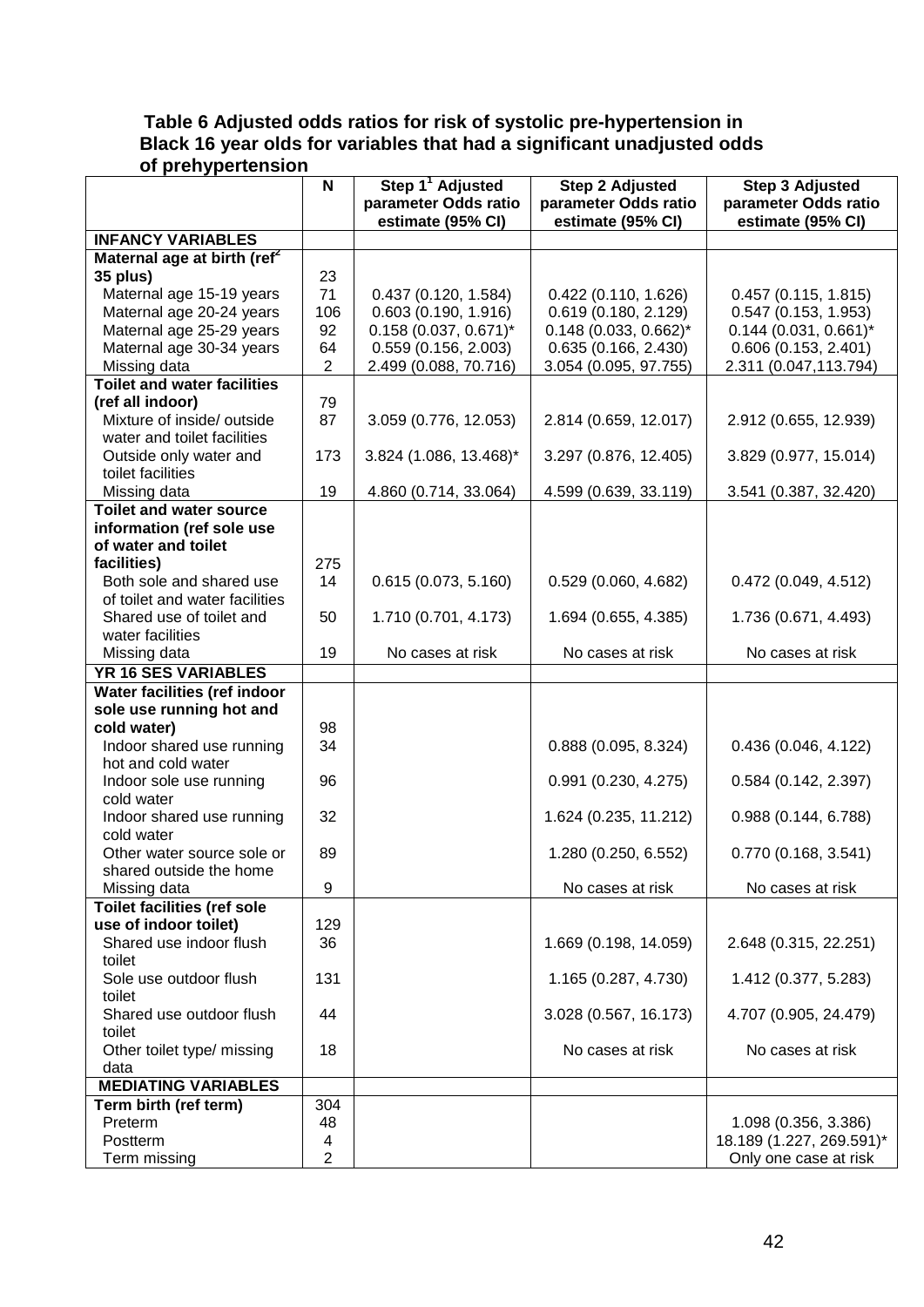# **Table 6 Adjusted odds ratios for risk of systolic pre-hypertension in Black 16 year olds for variables that had a significant unadjusted odds of prehypertension**

|                                                          | N              | Step 1 <sup>1</sup> Adjusted | <b>Step 2 Adjusted</b>  | <b>Step 3 Adjusted</b>   |
|----------------------------------------------------------|----------------|------------------------------|-------------------------|--------------------------|
|                                                          |                | parameter Odds ratio         | parameter Odds ratio    | parameter Odds ratio     |
|                                                          |                | estimate (95% CI)            | estimate (95% CI)       | estimate (95% CI)        |
| <b>INFANCY VARIABLES</b>                                 |                |                              |                         |                          |
| Maternal age at birth (ref <sup>2</sup>                  |                |                              |                         |                          |
| 35 plus)                                                 | 23             |                              |                         |                          |
| Maternal age 15-19 years                                 | 71             | 0.437(0.120, 1.584)          | 0.422(0.110, 1.626)     | 0.457(0.115, 1.815)      |
| Maternal age 20-24 years                                 | 106            | 0.603(0.190, 1.916)          | 0.619(0.180, 2.129)     | 0.547(0.153, 1.953)      |
| Maternal age 25-29 years                                 | 92             | $0.158$ (0.037, 0.671)*      | $0.148$ (0.033, 0.662)* | $0.144$ (0.031, 0.661)*  |
| Maternal age 30-34 years                                 | 64             | 0.559(0.156, 2.003)          | 0.635(0.166, 2.430)     | 0.606(0.153, 2.401)      |
| Missing data                                             | $\overline{2}$ | 2.499 (0.088, 70.716)        | 3.054 (0.095, 97.755)   | 2.311 (0.047,113.794)    |
| <b>Toilet and water facilities</b>                       |                |                              |                         |                          |
| (ref all indoor)                                         | 79             |                              |                         |                          |
| Mixture of inside/ outside                               | 87             | 3.059 (0.776, 12.053)        | 2.814 (0.659, 12.017)   | 2.912 (0.655, 12.939)    |
| water and toilet facilities                              |                |                              |                         |                          |
| Outside only water and                                   | 173            | 3.824 (1.086, 13.468)*       | 3.297 (0.876, 12.405)   | 3.829 (0.977, 15.014)    |
| toilet facilities                                        |                |                              |                         |                          |
| Missing data                                             | 19             | 4.860 (0.714, 33.064)        | 4.599 (0.639, 33.119)   | 3.541 (0.387, 32.420)    |
| <b>Toilet and water source</b>                           |                |                              |                         |                          |
| information (ref sole use                                |                |                              |                         |                          |
| of water and toilet                                      |                |                              |                         |                          |
| facilities)                                              | 275            |                              |                         |                          |
| Both sole and shared use                                 | 14             | 0.615(0.073, 5.160)          | 0.529(0.060, 4.682)     | 0.472(0.049, 4.512)      |
| of toilet and water facilities                           |                |                              |                         |                          |
| Shared use of toilet and                                 | 50             | 1.710 (0.701, 4.173)         | 1.694 (0.655, 4.385)    | 1.736 (0.671, 4.493)     |
| water facilities                                         |                |                              |                         |                          |
| Missing data                                             | 19             | No cases at risk             | No cases at risk        | No cases at risk         |
| YR 16 SES VARIABLES                                      |                |                              |                         |                          |
| Water facilities (ref indoor<br>sole use running hot and |                |                              |                         |                          |
| cold water)                                              | 98             |                              |                         |                          |
| Indoor shared use running                                | 34             |                              | 0.888 (0.095, 8.324)    | 0.436(0.046, 4.122)      |
| hot and cold water                                       |                |                              |                         |                          |
| Indoor sole use running                                  | 96             |                              | 0.991(0.230, 4.275)     | 0.584(0.142, 2.397)      |
| cold water                                               |                |                              |                         |                          |
| Indoor shared use running                                | 32             |                              | 1.624 (0.235, 11.212)   | 0.988(0.144, 6.788)      |
| cold water                                               |                |                              |                         |                          |
| Other water source sole or                               | 89             |                              | 1.280 (0.250, 6.552)    | 0.770(0.168, 3.541)      |
| shared outside the home                                  |                |                              |                         |                          |
| Missing data                                             | 9              |                              | No cases at risk        | No cases at risk         |
| <b>Toilet facilities (ref sole</b>                       |                |                              |                         |                          |
| use of indoor toilet)                                    | 129            |                              |                         |                          |
| Shared use indoor flush                                  | 36             |                              | 1.669 (0.198, 14.059)   | 2.648 (0.315, 22.251)    |
| toilet                                                   |                |                              |                         |                          |
| Sole use outdoor flush                                   | 131            |                              | 1.165 (0.287, 4.730)    | 1.412 (0.377, 5.283)     |
| toilet                                                   |                |                              |                         |                          |
| Shared use outdoor flush                                 | 44             |                              | 3.028 (0.567, 16.173)   | 4.707 (0.905, 24.479)    |
| toilet                                                   |                |                              |                         |                          |
| Other toilet type/ missing                               | 18             |                              | No cases at risk        | No cases at risk         |
| data                                                     |                |                              |                         |                          |
| <b>MEDIATING VARIABLES</b>                               |                |                              |                         |                          |
| Term birth (ref term)                                    | 304            |                              |                         |                          |
| Preterm                                                  | 48             |                              |                         | 1.098 (0.356, 3.386)     |
| Postterm                                                 | 4              |                              |                         | 18.189 (1.227, 269.591)* |
| Term missing                                             | 2              |                              |                         | Only one case at risk    |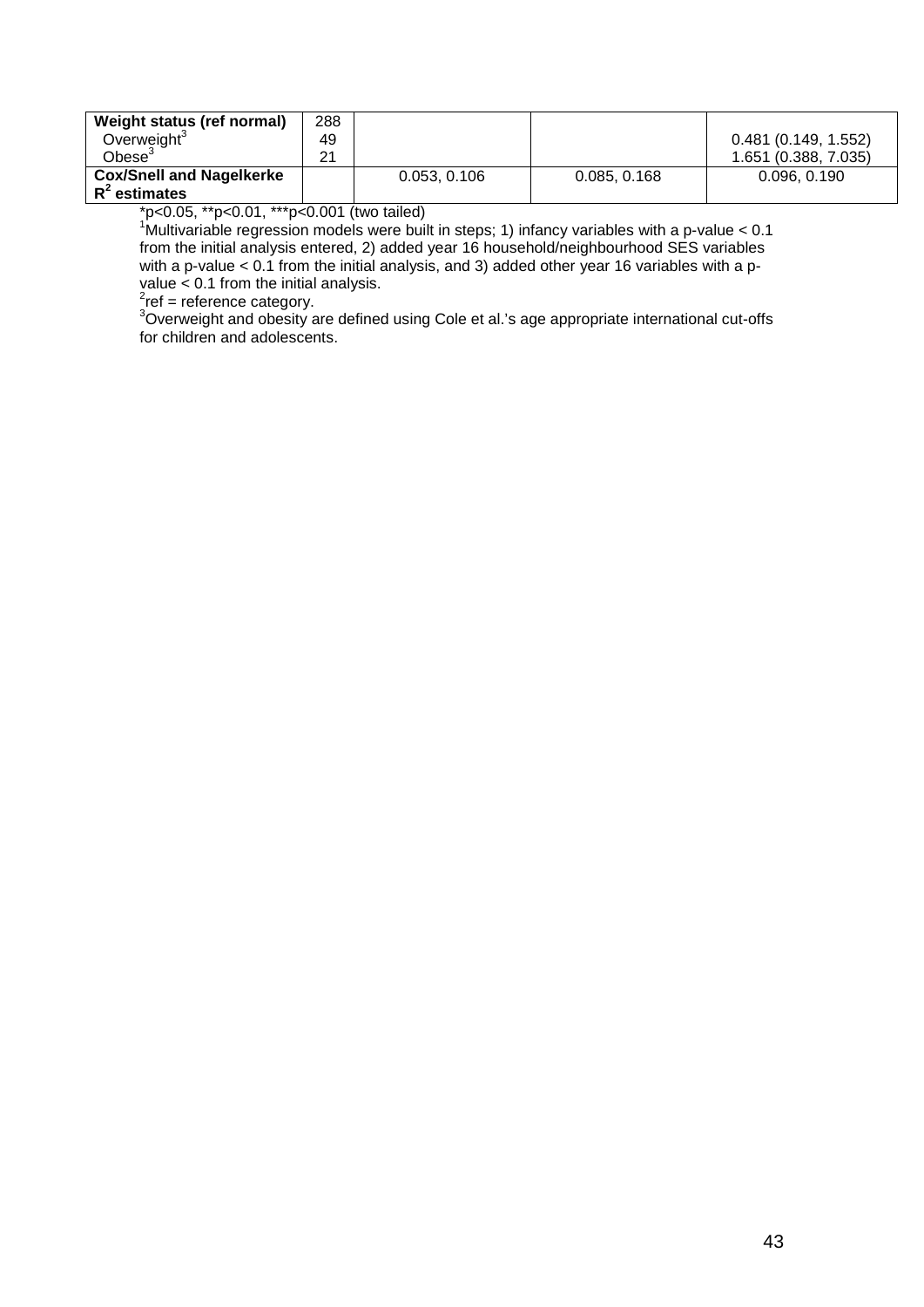| Weight status (ref normal)                         | 288 |              |              |                      |
|----------------------------------------------------|-----|--------------|--------------|----------------------|
| Overweight <sup>3</sup>                            | 49  |              |              | 0.481(0.149, 1.552)  |
| $Obese^3$                                          | 21  |              |              | 1.651 (0.388, 7.035) |
| <b>Cox/Snell and Nagelkerke</b><br>$R^2$ estimates |     | 0.053, 0.106 | 0.085, 0.168 | 0.096, 0.190         |

\*p<0.05, \*\*p<0.01, \*\*\*p<0.001 (two tailed)

<sup>1</sup>Multivariable regression models were built in steps; 1) infancy variables with a p-value < 0.1 from the initial analysis entered, 2) added year 16 household/neighbourhood SES variables with a p-value < 0.1 from the initial analysis, and 3) added other year 16 variables with a pvalue  $\lt 0.1$  from the initial analysis.

<sup>∠</sup>ref = reference category.<br><sup>3</sup>Overweight and obesity are defined using Cole et al.'s age appropriate international cut-offs for children and adolescents.